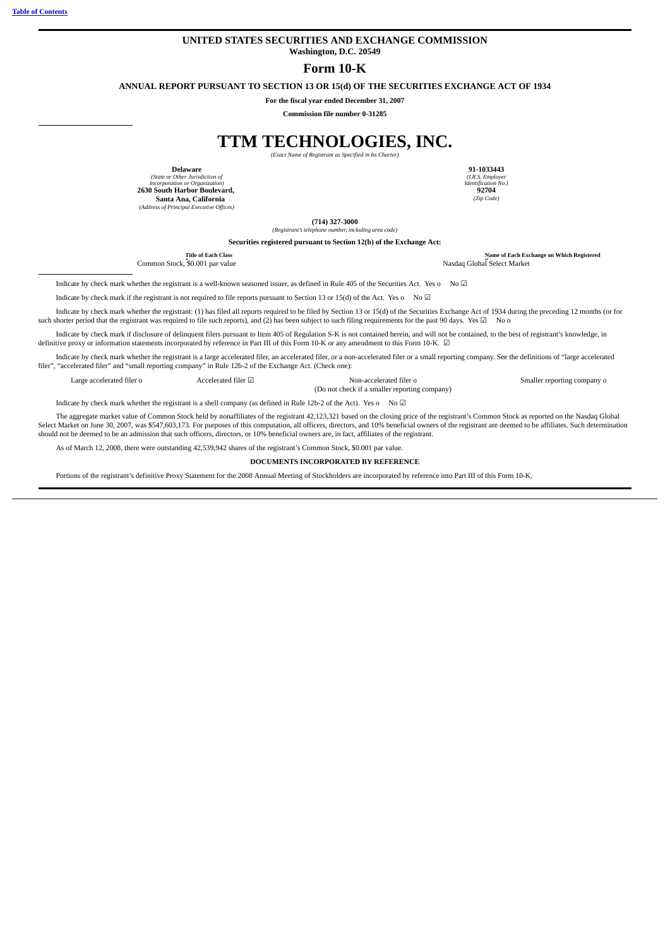## **UNITED STATES SECURITIES AND EXCHANGE COMMISSION Washington, D.C. 20549**

## **Form 10-K**

**ANNUAL REPORT PURSUANT TO SECTION 13 OR 15(d) OF THE SECURITIES EXCHANGE ACT OF 1934**

**For the fiscal year ended December 31, 2007**

**Commission file number 0-31285**

# **TTM TECHNOLOGIES, INC.** *(Exact Name of Registrant as Specified in Its Charter)*

**Delaware 91-1033443** *(State or Other Jurisdiction of Incorporation or Organization)* **2630 South Harbor Boulevard, Santa Ana, California** *(Address of Principal Executive Offices)*

*(I.R.S. Employer Identification No.)* **92704** *(Zip Code)*

**(714) 327-3000** *(Registrant's telephone number, including area code)*

**Securities registered pursuant to Section 12(b) of the Exchange Act:**

Common Stock, \$0.001 par value

**Title of Each Class Name of Each Exchange on Which Registered**

Indicate by check mark whether the registrant is a well-known seasoned issuer, as defined in Rule 405 of the Securities Act. Yes o No  $\boxtimes$ 

Indicate by check mark if the registrant is not required to file reports pursuant to Section 13 or 15(d) of the Act. Yes o No  $\Box$ 

Indicate by check mark whether the registrant: (1) has filed all reports required to be filed by Section 13 or 15(d) of the Securities Exchange Act of 1934 during the preceding 12 months (or for such shorter period that the registrant was required to file such reports), and (2) has been subject to such filing requirements for the past 90 days. Yes ⊠ No o

Indicate by check mark if disclosure of delinquent filers pursuant to Item 405 of Regulation S-K is not contained herein, and will not be contained, to the best of registrant's knowledge, in definitive proxy or information statements incorporated by reference in Part III of this Form 10-K or any amendment to this Form 10-K. ☑

Indicate by check mark whether the registrant is a large accelerated filer, an accelerated filer, or a non-accelerated filer or a small reporting company. See the definitions of "large accelerated filer", "accelerated filer" and "small reporting company" in Rule 12b-2 of the Exchange Act. (Check one):

| Large accelerated filer o<br>. | Accelerated filer | <br>Non-accelerated filer                     | Smaller reporting<br>company<br>. |
|--------------------------------|-------------------|-----------------------------------------------|-----------------------------------|
|                                |                   | (Do not check if a smaller reporting company) |                                   |

Indicate by check mark whether the registrant is a shell company (as defined in Rule 12b-2 of the Act). Yes o No ☑

The aggregate market value of Common Stock held by nonaffiliates of the registrant 42,123,321 based on the closing price of the registrant's Common Stock as reported on the Nasdaq Global Select Market on June 30, 2007, was \$547,603,173. For purposes of this computation, all officers, directors, and 10% beneficial owners of the registrant are deemed to be affiliates. Such determination should not be deemed to be an admission that such officers, directors, or 10% beneficial owners are, in fact, affiliates of the registrant.

As of March 12, 2008, there were outstanding 42,539,942 shares of the registrant's Common Stock, \$0.001 par value.

## **DOCUMENTS INCORPORATED BY REFERENCE**

Portions of the registrant's definitive Proxy Statement for the 2008 Annual Meeting of Stockholders are incorporated by reference into Part III of this Form 10-K.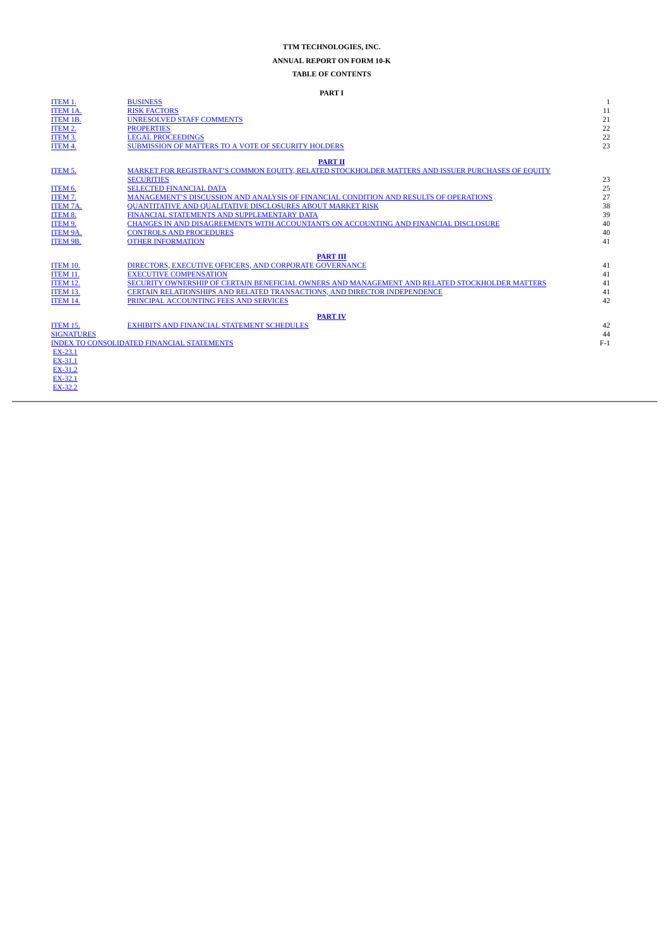# **TTM TECHNOLOGIES, INC.**

**ANNUAL REPORT ON FORM 10-K TABLE OF CONTENTS**

<span id="page-2-0"></span>

|                   | <b>PART I</b>                                                                                     |              |
|-------------------|---------------------------------------------------------------------------------------------------|--------------|
| ITEM 1.           | <b>BUSINESS</b>                                                                                   | $\mathbf{1}$ |
| <b>ITEM 1A.</b>   | <b>RISK FACTORS</b>                                                                               | 11           |
| <b>ITEM 1B.</b>   | UNRESOLVED STAFF COMMENTS                                                                         | 21           |
| ITEM 2.           | <b>PROPERTIES</b>                                                                                 | 22           |
| ITEM 3.           | <b>LEGAL PROCEEDINGS</b>                                                                          | 22           |
| ITEM 4.           | SUBMISSION OF MATTERS TO A VOTE OF SECURITY HOLDERS                                               | 23           |
|                   | <b>PART II</b>                                                                                    |              |
| ITEM 5.           | MARKET FOR REGISTRANT'S COMMON EQUITY, RELATED STOCKHOLDER MATTERS AND ISSUER PURCHASES OF EQUITY |              |
|                   | <b>SECURITIES</b>                                                                                 | 23           |
| ITEM 6.           | <b>SELECTED FINANCIAL DATA</b>                                                                    | 25           |
| ITEM 7.           | MANAGEMENT'S DISCUSSION AND ANALYSIS OF FINANCIAL CONDITION AND RESULTS OF OPERATIONS             | 27           |
| ITEM 7A.          | <b>QUANTITATIVE AND QUALITATIVE DISCLOSURES ABOUT MARKET RISK</b>                                 | 38           |
| ITEM 8.           | FINANCIAL STATEMENTS AND SUPPLEMENTARY DATA                                                       | 39           |
| ITEM 9.           | CHANGES IN AND DISAGREEMENTS WITH ACCOUNTANTS ON ACCOUNTING AND FINANCIAL DISCLOSURE              | 40           |
| ITEM 9A.          | <b>CONTROLS AND PROCEDURES</b>                                                                    | 40           |
| ITEM 9B.          | <b>OTHER INFORMATION</b>                                                                          | 41           |
|                   | <b>PART III</b>                                                                                   |              |
| ITEM 10.          | DIRECTORS, EXECUTIVE OFFICERS, AND CORPORATE GOVERNANCE                                           | 41           |
| <b>ITEM 11.</b>   | <b>EXECUTIVE COMPENSATION</b>                                                                     | 41           |
| <b>ITEM 12.</b>   | SECURITY OWNERSHIP OF CERTAIN BENEFICIAL OWNERS AND MANAGEMENT AND RELATED STOCKHOLDER MATTERS    | 41           |
| ITEM 13.          | CERTAIN RELATIONSHIPS AND RELATED TRANSACTIONS. AND DIRECTOR INDEPENDENCE                         | 41           |
| ITEM 14.          | PRINCIPAL ACCOUNTING FEES AND SERVICES                                                            | 42           |
|                   | <b>PART IV</b>                                                                                    |              |
| ITEM 15.          | <b>EXHIBITS AND FINANCIAL STATEMENT SCHEDULES</b>                                                 | 42           |
| <b>SIGNATURES</b> |                                                                                                   | 44           |
|                   | <b>INDEX TO CONSOLIDATED FINANCIAL STATEMENTS</b>                                                 | $F-1$        |
| EX-23.1           |                                                                                                   |              |
| EX-31.1           |                                                                                                   |              |
| EX-31.2           |                                                                                                   |              |
| EX-32.1           |                                                                                                   |              |
| EX-32.2           |                                                                                                   |              |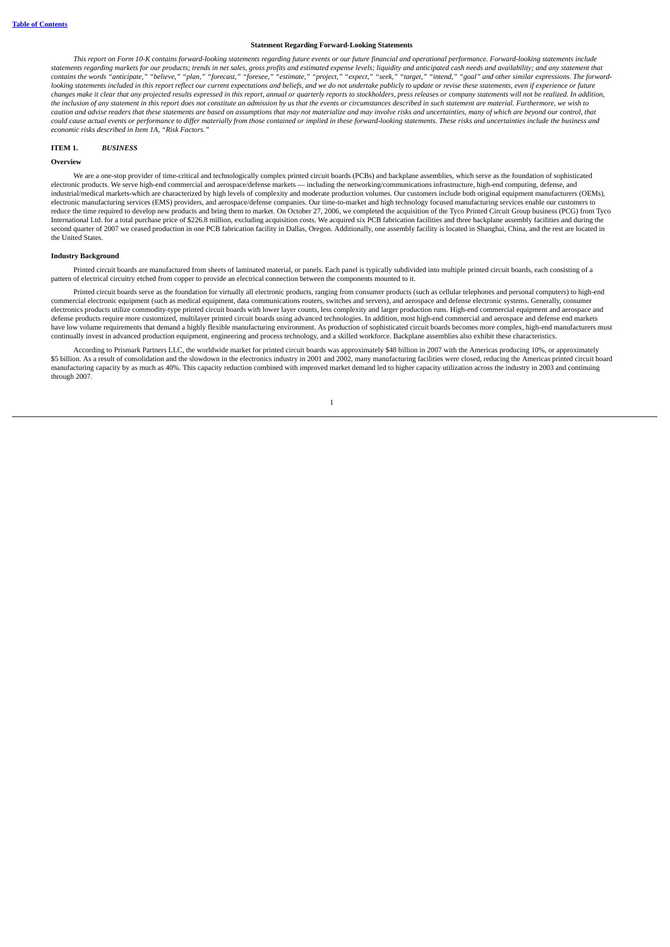#### **Statement Regarding Forward-Looking Statements**

This report on Form 10-K contains forward-looking statements regarding future events or our future financial and operational performance. Forward-looking statements include statements regarding markets for our products; trends in net sales, gross profits and estimated expense levels; liquidity and anticipated cash needs and availability; and any statement that<br>contains the words "anticipate," changes make it clear that any projected results expressed in this report, annual or quarterly reports to stockholders, press releases or company statements will not be realized. In addition, the inclusion of any statement in this report does not constitute an admission by us that the events or circumstances described in such statement are material. Furthermore, we wish to caution and advise readers that these statements are based on assumptions that may not materialize and may involve risks and uncertainties, many of which are beyond our control, that<br>could cause actual events or performanc *economic risks described in Item 1A, "Risk Factors."*

## <span id="page-3-0"></span>**ITEM 1.** *BUSINESS*

#### **Overview**

We are a one-stop provider of time-critical and technologically complex printed circuit boards (PCBs) and backplane assemblies, which serve as the foundation of sophisticated electronic products. We serve high-end commercial and aerospace/defense markets — including the networking/communications infrastructure, high-end computing, defense, and<br>industrial/medical markets-which are characterized electronic manufacturing services (EMS) providers, and aerospace/defense companies. Our time-to-market and high technology focused manufacturing services enable our customers to reduce the time required to develop new products and bring them to market. On October 27, 2006, we completed the acquisition of the Tyco Printed Circuit Group business (PCG) from Tyco International Ltd. for a total purchase price of \$226.8 million, excluding acquisition costs. We acquired six PCB fabrication facilities and three backplane assembly facilities and during the<br>second quarter of 2007 we ceas the United States.

#### **Industry Background**

Printed circuit boards are manufactured from sheets of laminated material, or panels. Each panel is typically subdivided into multiple printed circuit boards, each consisting of a pattern of electrical circuitry etched from copper to provide an electrical connection between the components mounted to it.

Printed circuit boards serve as the foundation for virtually all electronic products, ranging from consumer products (such as cellular telephones and personal computers) to high-end commercial electronic equipment (such as medical equipment, data communications routers, switches and servers), and aerospace and defense electronic systems. Generally, consumer electronics products utilize commodity-type printed circuit boards with lower layer counts, less complexity and larger production runs. High-end commercial equipment and aerospace and defense products require more customized, multilayer printed circuit boards using advanced technologies. In addition, most high-end commercial and aerospace and defense end markets have low volume requirements that demand a highly flexible manufacturing environment. As production of sophisticated circuit boards becomes more complex, high-end manufacturers must continually invest in advanced production equipment, engineering and process technology, and a skilled workforce. Backplane assemblies also exhibit these characteristics.

According to Prismark Partners LLC, the worldwide market for printed circuit boards was approximately \$48 billion in 2007 with the Americas producing 10%, or approximately \$5 billion. As a result of consolidation and the slowdown in the electronics industry in 2001 and 2002, many manufacturing facilities were closed, reducing the Americas printed circuit board manufacturing capacity by as much as 40%. This capacity reduction combined with improved market demand led to higher capacity utilization across the industry in 2003 and continuing through 2007.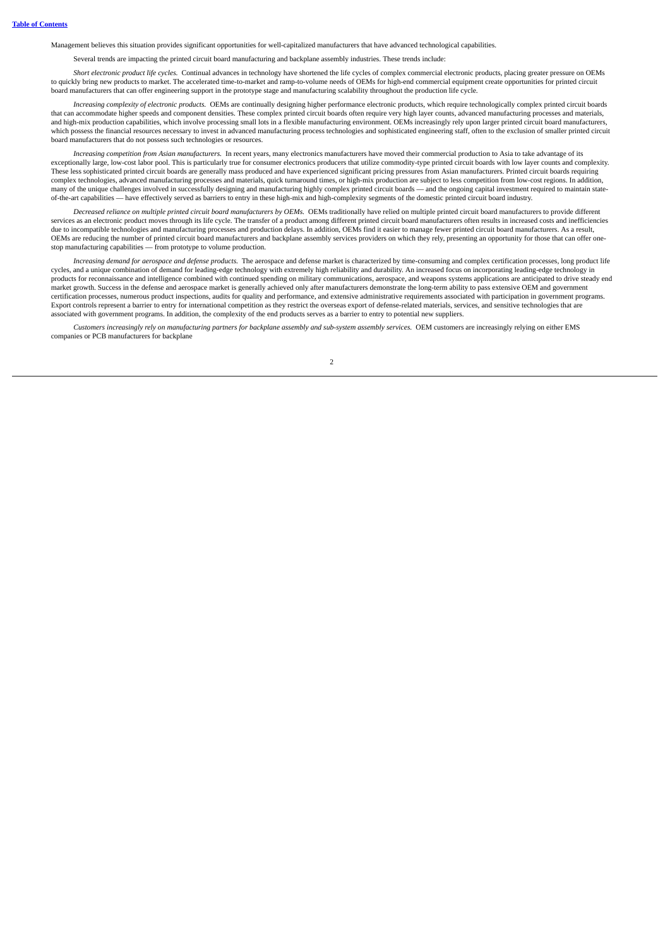Management believes this situation provides significant opportunities for well-capitalized manufacturers that have advanced technological capabilities.

Several trends are impacting the printed circuit board manufacturing and backplane assembly industries. These trends include:

*Short electronic product life cycles.* Continual advances in technology have shortened the life cycles of complex commercial electronic products, placing greater pressure on OEMs to quickly bring new products to market. The accelerated time-to-market and ramp-to-volume needs of OEMs for high-end commercial equipment create opportunities for printed circuit board manufacturers that can offer engineering support in the prototype stage and manufacturing scalability throughout the production life cycle.

*Increasing complexity of electronic products.* OEMs are continually designing higher performance electronic products, which require technologically complex printed circuit boards that can accommodate higher speeds and component densities. These complex printed circuit boards often require very high layer counts, advanced manufacturing processes and materials, and high-mix production capabilities, which involve processing small lots in a flexible manufacturing environment. OEMs increasingly rely upon larger printed circuit board manufacturers, which possess the financial resources necessary to invest in advanced manufacturing process technologies and sophisticated engineering staff, often to the exclusion of smaller printed circuit board manufacturers that do not possess such technologies or resources.

*Increasing competition from Asian manufacturers.* In recent years, many electronics manufacturers have moved their commercial production to Asia to take advantage of its exceptionally large, low-cost labor pool. This is particularly true for consumer electronics producers that utilize commodity-type printed circuit boards with low layer counts and complexity. These less sophisticated printed circuit boards are generally mass produced and have experienced significant pricing pressures from Asian manufacturers. Printed circuit boards requiring complex technologies, advanced manufacturing processes and materials, quick turnaround times, or high-mix production are subject to less competition from low-cost regions. In addition, many of the unique challenges involved in successfully designing and manufacturing highly complex printed circuit boards — and the ongoing capital investment required to maintain stateof-the-art capabilities — have effectively served as barriers to entry in these high-mix and high-complexity segments of the domestic printed circuit board industry.

Decreased reliance on multiple printed circuit board manufacturers by OEMs. OEMs traditionally have relied on multiple printed circuit board manufacturers to provide different services as an electronic product moves through its life cycle. The transfer of a product among different printed circuit board manufacturers often results in increased costs and inefficiencies due to incompatible technologies and manufacturing processes and production delays. In addition, OEMs find it easier to manage fewer printed circuit board manufacturers. As a result, OEMs are reducing the number of printed circuit board manufacturers and backplane assembly services providers on which they rely, presenting an opportunity for those that can offer onestop manufacturing capabilities — from prototype to volume production.

Increasing demand for aerospace and defense products. The aerospace and defense market is characterized by time-consuming and complex certification processes, long product life cycles, and a unique combination of demand for leading-edge technology with extremely high reliability and durability. An increased focus on incorporating leading-edge technology in products for reconnaissance and intelligence combined with continued spending on military communications, aerospace, and weapons systems applications are anticipated to drive steady end market growth. Success in the defense and aerospace market is generally achieved only after manufacturers demonstrate the long-term ability to pass extensive OEM and government certification processes, numerous product inspections, audits for quality and performance, and extensive administrative requirements associated with participation in government programs. Export controls represent a barrier to entry for international competition as they restrict the overseas export of defense-related materials, services, and sensitive technologies that are associated with government programs. In addition, the complexity of the end products serves as a barrier to entry to potential new suppliers.

Customers increasingly rely on manufacturing partners for backplane assembly and sub-system assembly services. OEM customers are increasingly relying on either EMS companies or PCB manufacturers for backplane

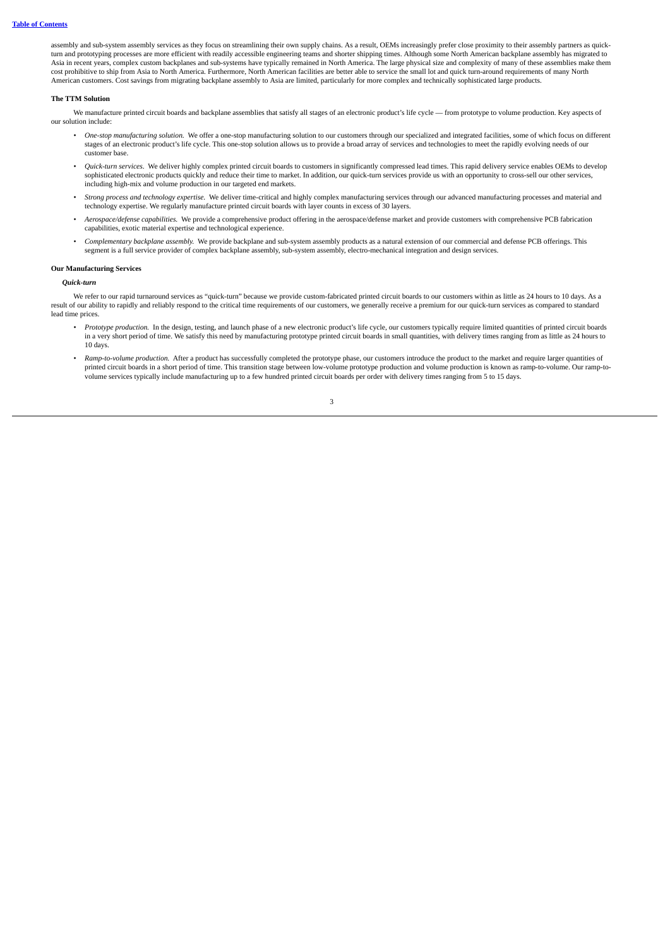assembly and sub-system assembly services as they focus on streamlining their own supply chains. As a result, OEMs increasingly prefer close proximity to their assembly partners as quickturn and prototyping processes are more efficient with readily accessible engineering teams and shorter shipping times. Although some North American backplane assembly has migrated to Asia in recent years, complex custom backplanes and sub-systems have typically remained in North America. The large physical size and complexity of many of these assemblies make them cost prohibitive to ship from Asia to North America. Furthermore, North American facilities are better able to service the small lot and quick turn-around requirements of many North American customers. Cost savings from migrating backplane assembly to Asia are limited, particularly for more complex and technically sophisticated large products.

#### **The TTM Solution**

We manufacture printed circuit boards and backplane assemblies that satisfy all stages of an electronic product's life cycle — from prototype to volume production. Key aspects of our solution include:

- *One-stop manufacturing solution.* We offer a one-stop manufacturing solution to our customers through our specialized and integrated facilities, some of which focus on different stages of an electronic product's life cycle. This one-stop solution allows us to provide a broad array of services and technologies to meet the rapidly evolving needs of our customer base.
- *Quick-turn services*. We deliver highly complex printed circuit boards to customers in significantly compressed lead times. This rapid delivery service enables OEMs to develop sophisticated electronic products quickly and reduce their time to market. In addition, our quick-turn services provide us with an opportunity to cross-sell our other services, including high-mix and volume production in our targeted end markets.
- Strong process and technology expertise. We deliver time-critical and highly complex manufacturing services through our advanced manufacturing processes and material and technology expertise. We regularly manufacture pri
- *Aerospace/defense capabilities.* We provide a comprehensive product offering in the aerospace/defense market and provide customers with comprehensive PCB fabrication capabilities, exotic material expertise and technological experience.
- *Complementary backplane assembly.* We provide backplane and sub-system assembly products as a natural extension of our commercial and defense PCB offerings. This segment is a full service provider of complex backplane assembly, sub-system assembly, electro-mechanical integration and design services.

## **Our Manufacturing Services**

#### *Quick-turn*

We refer to our rapid turnaround services as "quick-turn" because we provide custom-fabricated printed circuit boards to our customers within as little as 24 hours to 10 days. As a result of our ability to rapidly and reliably respond to the critical time requirements of our customers, we generally receive a premium for our quick-turn services as compared to standard lead time prices.

- *Prototype production.* In the design, testing, and launch phase of a new electronic product's life cycle, our customers typically require limited quantities of printed circuit boards in a very short period of time. We satisfy this need by manufacturing prototype printed circuit boards in small quantities, with delivery times ranging from as little as 24 hours to 10 days.
- *Ramp-to-volume production.* After a product has successfully completed the prototype phase, our customers introduce the product to the market and require larger quantities of printed circuit boards in a short period of time. This transition stage between low-volume production and volume production is known as ramp-to-volume. Our ramp-to-<br>volume services typically include manufacturing up to a f

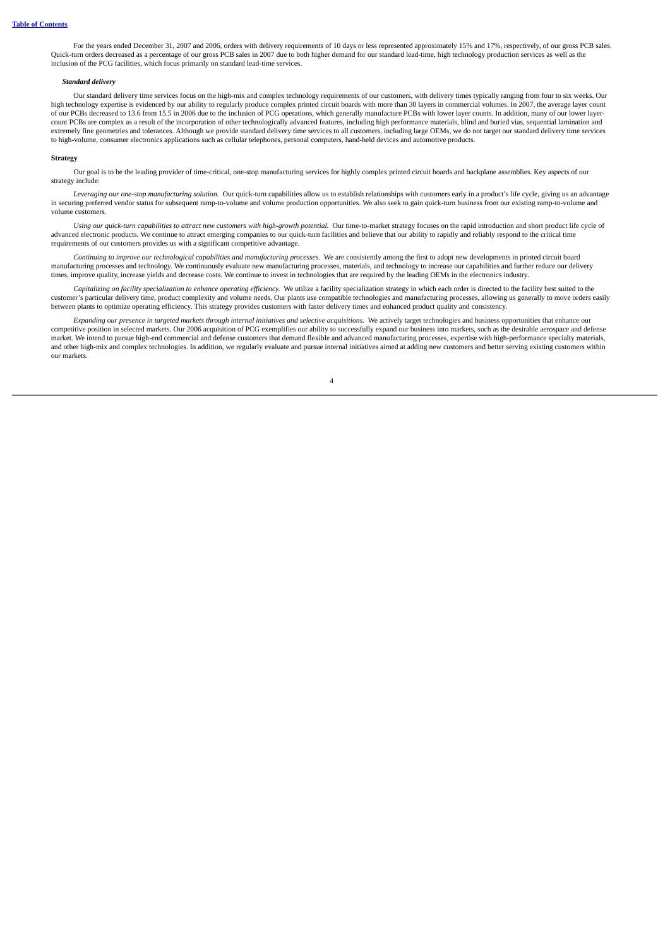For the years ended December 31, 2007 and 2006, orders with delivery requirements of 10 days or less represented approximately 15% and 17%, respectively, of our gross PCB sales. Quick-turn orders decreased as a percentage of our gross PCB sales in 2007 due to both higher demand for our standard lead-time, high technology production services as well as the inclusion of the PCG facilities, which focus primarily on standard lead-time services.

### *Standard delivery*

Our standard delivery time services focus on the high-mix and complex technology requirements of our customers, with delivery times typically ranging from four to six weeks. Our high technology expertise is evidenced by our ability to regularly produce complex printed circuit boards with more than 30 layers in commercial volumes. In 2007, the average layer count of our PCBs decreased to 13.6 from 15.5 in 2006 due to the inclusion of PCG operations, which generally manufacture PCBs with lower layer counts. In addition, many of our lower layercount PCBs are complex as a result of the incorporation of other technologically advanced features, including high performance materials, blind and buried vias, sequential lamination and extremely fine geometries and tolerances. Although we provide standard delivery time services to all customers, including large OEMs, we do not target our standard delivery time services to high-volume, consumer electronics applications such as cellular telephones, personal computers, hand-held devices and automotive products.

#### **Strategy**

Our goal is to be the leading provider of time-critical, one-stop manufacturing services for highly complex printed circuit boards and backplane assemblies. Key aspects of our strategy include:

*Leveraging our one-stop manufacturing solution.* Our quick-turn capabilities allow us to establish relationships with customers early in a product's life cycle, giving us an advantage in securing preferred vendor status for subsequent ramp-to-volume and volume production opportunities. We also seek to gain quick-turn business from our existing ramp-to-volume and volume customers.

Using our quick-turn capabilities to attract new customers with high-growth potential. Our time-to-market strategy focuses on the rapid introduction and short product life cycle of advanced electronic products. We continue to attract emerging companies to our quick-turn facilities and believe that our ability to rapidly and reliably respond to the critical time requirements of our customers provides us with a significant competitive advantage.

Continuing to improve our technological capabilities and manufacturing processes. We are consistently among the first to adopt new developments in printed circuit board manufacturing processes and technology. We continuously evaluate new manufacturing processes, materials, and technology to increase our capabilities and further reduce our delivery<br>times, improve quality, increase yields a

Capitalizing on facility specialization to enhance operating efficiency. We utilize a facility specialization strategy in which each order is directed to the facility best suited to the customer's particular delivery time, product complexity and volume needs. Our plants use compatible technologies and manufacturing processes, allowing us generally to move orders easily between plants to optimize operating efficiency. This strategy provides customers with faster delivery times and enhanced product quality and consistency.

Expanding our presence in targeted markets through internal initiatives and selective acquisitions. We actively target technologies and business opportunities that enhance our competitive position in selected markets. Our market. We intend to pursue high-end commercial and defense customers that demand flexible and advanced manufacturing processes, expertise with high-performance specialty materials, and other high-mix and complex technologies. In addition, we regularly evaluate and pursue internal initiatives aimed at adding new customers and better serving existing customers within our markets.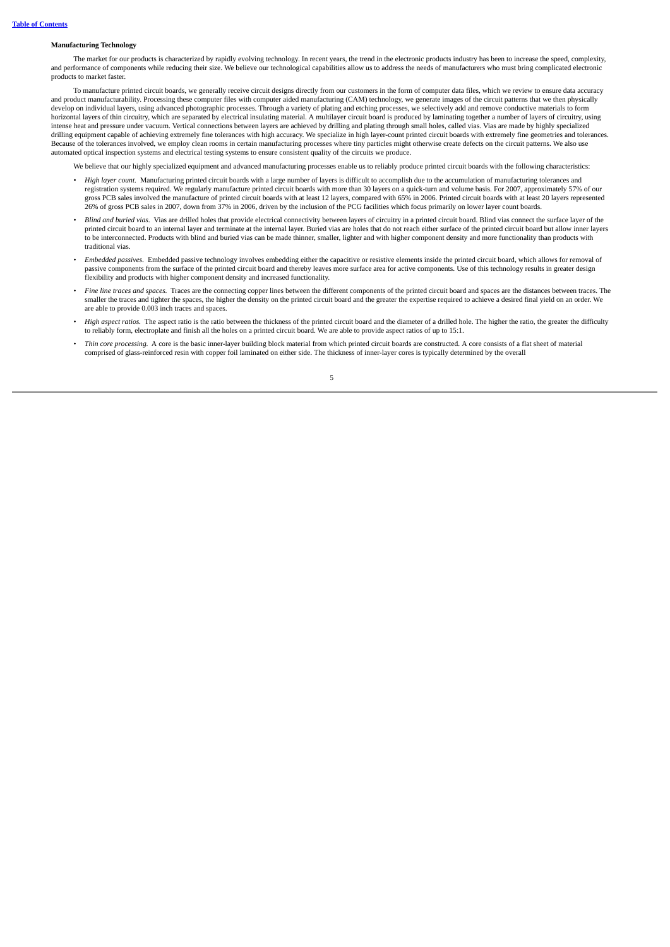#### **Manufacturing Technology**

The market for our products is characterized by rapidly evolving technology. In recent years, the trend in the electronic products industry has been to increase the speed, complexity, and performance of components while reducing their size. We believe our technological capabilities allow us to address the needs of manufacturers who must bring complicated electronic products to market faster.

To manufacture printed circuit boards, we generally receive circuit designs directly from our customers in the form of computer data files, which we review to ensure data accuracy and product manufacturability. Processing these computer files with computer aided manufacturing (CAM) technology, we generate images of the circuit patterns that we then physically<br>develop on individual layers, using adva horizontal layers of thin circuitry, which are separated by electrical insulating material. A multilayer circuit board is produced by laminating together a number of layers of circuitry, using intense heat and pressure under vacuum. Vertical connections between layers are achieved by drilling and plating through small holes, called vias. Vias are made by highly specialized drilling equipment capable of achieving extremely fine tolerances with high accuracy. We specialize in high layer-count printed circuit boards with extremely fine geometries and tolerances. Because of the tolerances involved, we employ clean rooms in certain manufacturing processes where tiny particles might otherwise create defects on the circuit patterns. We also use automated optical inspection systems and electrical testing systems to ensure consistent quality of the circuits we produce.

We believe that our highly specialized equipment and advanced manufacturing processes enable us to reliably produce printed circuit boards with the following characteristics:

- *High layer count.* Manufacturing printed circuit boards with a large number of layers is difficult to accomplish due to the accumulation of manufacturing tolerances and registration systems required. We regularly manufacture printed circuit boards with more than 30 layers on a quick-turn and volume basis. For 2007, approximately 57% of our gross PCB sales involved the manufacture of printed circuit boards with at least 12 layers, compared with 65% in 2006. Printed circuit boards with at least 20 layers represented 26% of gross PCB sales in 2007, down from 37% in 2006, driven by the inclusion of the PCG facilities which focus primarily on lower layer count boards.
- *Blind and buried vias.* Vias are drilled holes that provide electrical connectivity between layers of circuitry in a printed circuit board. Blind vias connect the surface layer of the printed circuit board to an internal layer and terminate at the internal layer. Buried vias are holes that do not reach either surface of the printed circuit board but allow inner layers to be interconnected. Products with blind and buried vias can be made thinner, smaller, lighter and with higher component density and more functionality than products with traditional vias.
- Embedded passives. Embedded passive technology involves embedding either the capacitive or resistive elements inside the printed circuit board, which allows for removal of passive components from the surface of the print flexibility and products with higher component density and increased functionality.
- *Fine line traces and spaces.* Traces are the connecting copper lines between the different components of the printed circuit board and spaces are the distances between traces. The smaller the traces and tighter the spaces, the higher the density on the printed circuit board and the greater the expertise required to achieve a desired final yield on an order. We are able to provide 0.003 inch traces and spaces.
- *High aspect ratios.* The aspect ratio is the ratio between the thickness of the printed circuit board and the diameter of a drilled hole. The higher the ratio, the greater the difficulty to reliably form, electroplate and finish all the holes on a printed circuit board. We are able to provide aspect ratios of up to 15:1.
- *Thin core processing.* A core is the basic inner-layer building block material from which printed circuit boards are constructed. A core consists of a flat sheet of material comprised of glass-reinforced resin with copper foil laminated on either side. The thickness of inner-layer cores is typically determined by the overall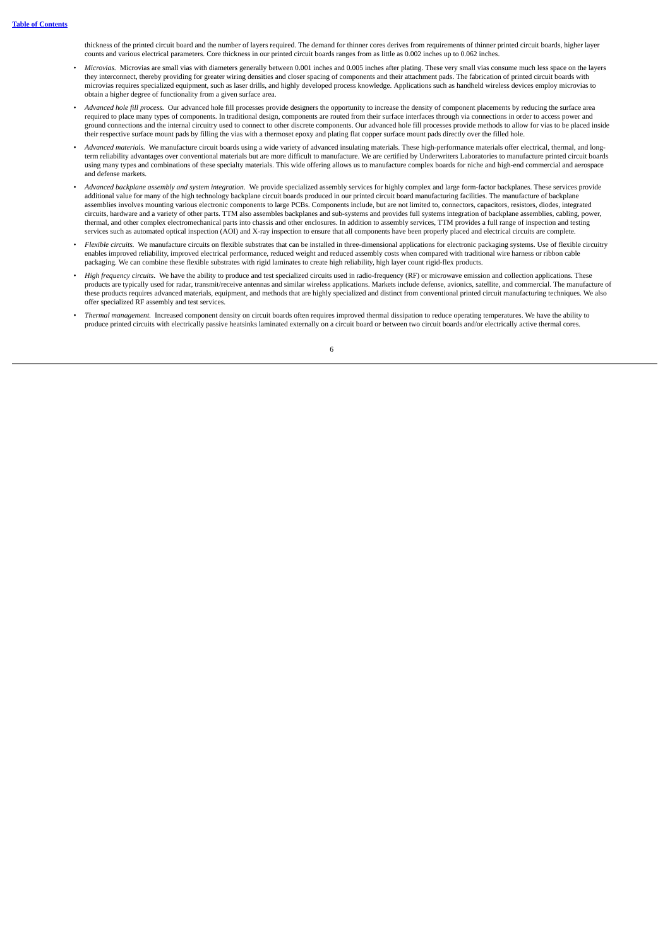thickness of the printed circuit board and the number of layers required. The demand for thinner cores derives from requirements of thinner printed circuit boards, higher layer counts and various electrical parameters. Core thickness in our printed circuit boards ranges from as little as 0.002 inches up to 0.062 inches.

- *Microvias.* Microvias are small vias with diameters generally between 0.001 inches and 0.005 inches after plating. These very small vias consume much less space on the layers they interconnect, thereby providing for greater wiring densities and closer spacing of components and their attachment pads. The fabrication of printed circuit boards with microvias requires specialized equipment, such as laser drills, and highly developed process knowledge. Applications such as handheld wireless devices employ microvias to microvias to the state of the state of the state of obtain a higher degree of functionality from a given surface area.
- *Advanced hole fill process.* Our advanced hole fill processes provide designers the opportunity to increase the density of component placements by reducing the surface area required to place many types of components. In traditional design, components are routed from their surface interfaces through via connections in order to access power and ground connections and the internal circuitry used to connect to other discrete components. Our advanced hole fill processes provide methods to allow for vias to be placed inside their respective surface mount pads by filling the vias with a thermoset epoxy and plating flat copper surface mount pads directly over the filled hole.
- *Advanced materials.* We manufacture circuit boards using a wide variety of advanced insulating materials. These high-performance materials offer electrical, thermal, and longterm reliability advantages over conventional materials but are more difficult to manufacture. We are certified by Underwriters Laboratories to manufacture printed circuit boards using many types and combinations of these specialty materials. This wide offering allows us to manufacture complex boards for niche and high-end commercial and aerospace and defense markets.
- *Advanced backplane assembly and system integration.* We provide specialized assembly services for highly complex and large form-factor backplanes. These services provide additional value for many of the high technology backplane circuit boards produced in our printed circuit board manufacturing facilities. The manufacture of backplane assemblies involves mounting various electronic components to large PCBs. Components include, but are not limited to, connectors, capacitors, resistors, diodes, integrated circuits, hardware and a variety of other parts. TTM also assembles backplanes and sub-systems and provides full systems integration of backplane assemblies, cabling, power, thermal, and other complex electromechanical parts into chassis and other enclosures. In addition to assembly services, TTM provides a full range of inspection and testing services such as automated optical inspection (AOI) and X-ray inspection to ensure that all components have been properly placed and electrical circuits are complete.
- *Flexible circuits.* We manufacture circuits on flexible substrates that can be installed in three-dimensional applications for electronic packaging systems. Use of flexible circuitry enables improved reliability, improved electrical performance, reduced weight and reduced assembly costs when compared with traditional wire harness or ribbon cable packaging. We can combine these flexible substrates with rigid laminates to create high reliability, high layer count rigid-flex products.
- *High frequency circuits.* We have the ability to produce and test specialized circuits used in radio-frequency (RF) or microwave emission and collection applications. These products are typically used for radar, transmit/receive antennas and similar wireless applications. Markets include defense, avionics, satellite, and commercial. The manufacture of these products requires advanced materials, equipment, and methods that are highly specialized and distinct from conventional printed circuit manufacturing techniques. We also offer specialized RF assembly and test service
- *Thermal management.* Increased component density on circuit boards often requires improved thermal dissipation to reduce operating temperatures. We have the ability to produce printed circuits with electrically passive heatsinks laminated externally on a circuit board or between two circuit boards and/or electrically active thermal cores.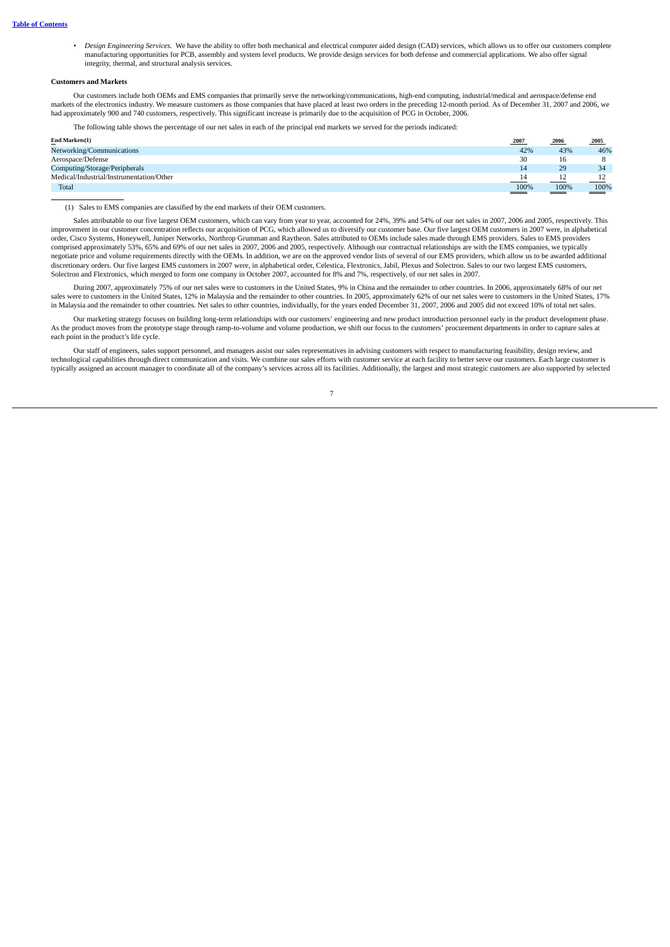• *Design Engineering Services.* We have the ability to offer both mechanical and electrical computer aided design (CAD) services, which allows us to offer our customers complete manufacturing opportunities for PCB, assembly and system level products. We provide design services for both defense and commercial applications. We also offer signal integrity, thermal, and structural analysis services.

#### **Customers and Markets**

Our customers include both OEMs and EMS companies that primarily serve the networking/communications, high-end computing, industrial/medical and aerospace/defense end markets of the electronics industry. We measure customers as those companies that have placed at least two orders in the preceding 12-month period. As of December 31, 2007 and 2006, we had approximately 900 and 740 customers, respectively. This significant increase is primarily due to the acquisition of PCG in October, 2006.

The following table shows the percentage of our net sales in each of the principal end markets we served for the periods indicated:

| End Markets(1)                           | 2007 | 2006 | 2005 |
|------------------------------------------|------|------|------|
| Networking/Communications                | 42%  | 43%  | 46%  |
| Aerospace/Defense                        | 30   | 16   |      |
| Computing/Storage/Peripherals            | 14   | 29   | 34   |
| Medical/Industrial/Instrumentation/Other |      |      |      |
| Total                                    | 100% | 100% | 100% |

(1) Sales to EMS companies are classified by the end markets of their OEM customers.

Sales attributable to our five largest OEM customers, which can vary from year to year, accounted for 24%, 39% and 54% of our net sales in 2007, 2006 and 2005, respectively. This improvement in our customer concentration reflects our acquisition of PCG, which allowed us to diversify our customer base. Our five largest OEM customers in 2007 were, in alphabetical order, Cisco Systems, Honeywell, Juniper Networks, Northrop Grumman and Raytheon. Sales attributed to OEMs include sales made through EMS providers. Sales to EMS providers comprised approximately 53%, 65% and 69% of our net sales in 2007, 2006 and 2005, respectively. Although our contractual relationships are with the EMS companies, we typically negotiate price and volume requirements directly with the OEMs. In addition, we are on the approved vendor lists of several of our EMS providers, which allow us to be awarded additional negotiate price and volume requireme discretionary orders. Our five largest EMS customers in 2007 were, in alphabetical order, Celestica, Flextronics, Jabil, Plexus and Solectron. Sales to our two largest EMS customers, Solectron and Flextronics, which merged to form one company in October 2007, accounted for 8% and 7%, respectively, of our net sales in 2007.

During 2007, approximately 75% of our net sales were to customers in the United States, 9% in China and the remainder to other countries. In 2006, approximately 68% of our net sales were to customers in the United States, 12% in Malaysia and the remainder to other countries. In 2005, approximately 62% of our net sales were to customers in the United States, 17% in Malaysia and the remainder to other countries. Net sales to other countries, individually, for the years ended December 31, 2007, 2006 and 2005 did not exceed 10% of total net sales.

Our marketing strategy focuses on building long-term relationships with our customers' engineering and new product introduction personnel early in the product development phase. As the product moves from the prototype stage through ramp-to-volume and volume production, we shift our focus to the customers' procurement departments in order to capture sales at each point in the product's life cycle.

Our staff of engineers, sales support personnel, and managers assist our sales representatives in advising customers with respect to manufacturing feasibility, design review, and technological capabilities through direct communication and visits. We combine our sales efforts with customer service at each facility to better serve our customers. Each large customer is typically assigned an account manager to coordinate all of the company's services across all its facilities. Additionally, the largest and most strategic customers are also supported by selected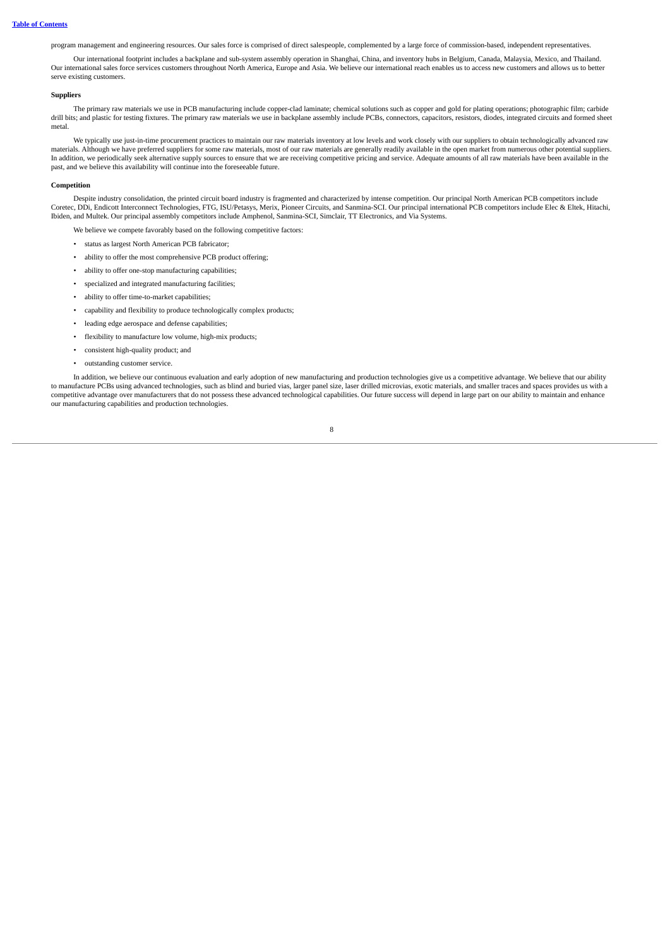program management and engineering resources. Our sales force is comprised of direct salespeople, complemented by a large force of commission-based, independent representatives.

Our international footprint includes a backplane and sub-system assembly operation in Shanghai, China, and inventory hubs in Belgium, Canada, Malaysia, Mexico, and Thailand. Our international sales force services customers throughout North America, Europe and Asia. We believe our international reach enables us to access new customers and allows us to better serve existing customers.

#### **Suppliers**

The primary raw materials we use in PCB manufacturing include copper-clad laminate; chemical solutions such as copper and gold for plating operations; photographic film; carbide drill bits; and plastic for testing fixtures metal.

We typically use just-in-time procurement practices to maintain our raw materials inventory at low levels and work closely with our suppliers to obtain technologically advanced raw materials. Although we have preferred suppliers for some raw materials, most of our raw materials are generally readily available in the open market from numerous other potential suppliers.<br>In addition, we periodically see past, and we believe this availability will continue into the foreseeable future.

#### **Competition**

Despite industry consolidation, the printed circuit board industry is fragmented and characterized by intense competition. Our principal North American PCB competitors include Coretec, DDi, Endicott Interconnect Technologies, FTG, ISU/Petasys, Merix, Pioneer Circuits, and Sanmina-SCI. Our principal international PCB competitors include Elec & Eltek, Hitachi, Ibiden, and Multek. Our principal assembly competitors include Amphenol, Sanmina-SCI, Simclair, TT Electronics, and Via Systems.

We believe we compete favorably based on the following competitive factors:

- status as largest North American PCB fabricator;
- ability to offer the most comprehensive PCB product offering;
- ability to offer one-stop manufacturing capabilities;
- specialized and integrated manufacturing facilities;
- ability to offer time-to-market capabilities;
- capability and flexibility to produce technologically complex products;
- leading edge aerospace and defense capabilities;
- flexibility to manufacture low volume, high-mix products;
- consistent high-quality product; and
- outstanding customer service.

In addition, we believe our continuous evaluation and early adoption of new manufacturing and production technologies give us a competitive advantage. We believe that our ability to manufacture PCBs using advanced technologies, such as blind and buried vias, larger panel size, laser drilled microvias, exotic materials, and smaller traces and spaces provides us with a<br>competitive advantage over manu our manufacturing capabilities and production technologies.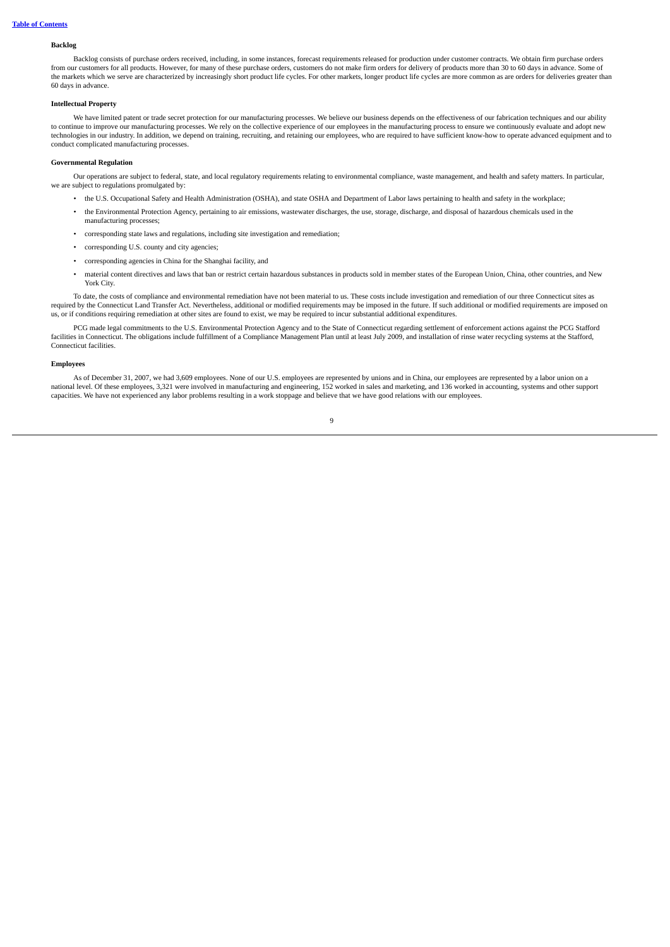#### **Backlog**

Backlog consists of purchase orders received, including, in some instances, forecast requirements released for production under customer contracts. We obtain firm purchase orders from our customers for all products. However, for many of these purchase orders, customers do not make firm orders for delivery of products more than 30 to 60 days in advance. Some of the markets which we serve are characterized by increasingly short product life cycles. For other markets, longer product life cycles are more common as are orders for deliveries greater than 60 days in advance.

## **Intellectual Property**

We have limited patent or trade secret protection for our manufacturing processes. We believe our business depends on the effectiveness of our fabrication techniques and our ability to continue to improve our manufacturing processes. We rely on the collective experience of our employees in the manufacturing process to ensure we continuously evaluate and adopt new technologies in our industry. In addition, we depend on training, recruiting, and retaining our employees, who are required to have sufficient know-how to operate advanced equipment and to conduct complicated manufacturing processes.

#### **Governmental Regulation**

Our operations are subject to federal, state, and local regulatory requirements relating to environmental compliance, waste management, and health and safety matters. In particular, we are subject to regulations promulgated by:

- the U.S. Occupational Safety and Health Administration (OSHA), and state OSHA and Department of Labor laws pertaining to health and safety in the workplace;
- the Environmental Protection Agency, pertaining to air emissions, wastewater discharges, the use, storage, discharge, and disposal of hazardous chemicals used in the manufacturing processes;
- corresponding state laws and regulations, including site investigation and remediation;
- corresponding U.S. county and city agencies;
- corresponding agencies in China for the Shanghai facility, and
- material content directives and laws that ban or restrict certain hazardous substances in products sold in member states of the European Union, China, other countries, and New York City.

To date, the costs of compliance and environmental remediation have not been material to us. These costs include investigation and remediation of our three Connecticut sites as required by the Connecticut Land Transfer Act. Nevertheless, additional or modified requirements may be imposed in the future. If such additional or modified requirements are imposed on us, or if conditions requiring remediation at other sites are found to exist, we may be required to incur substantial additional expenditures.

PCG made legal commitments to the U.S. Environmental Protection Agency and to the State of Connecticut regarding settlement of enforcement actions against the PCG Stafford facilities in Connecticut. The obligations include fulfillment of a Compliance Management Plan until at least July 2009, and installation of rinse water recycling systems at the Stafford, Connecticut facilities.

#### **Employees**

As of December 31, 2007, we had 3,609 employees. None of our U.S. employees are represented by unions and in China, our employees are represented by a labor union on a national level. Of these employees, 3,321 were involved in manufacturing and engineering, 152 worked in sales and marketing, and 136 worked in accounting, systems and other support<br>capacities. We have not experienced any l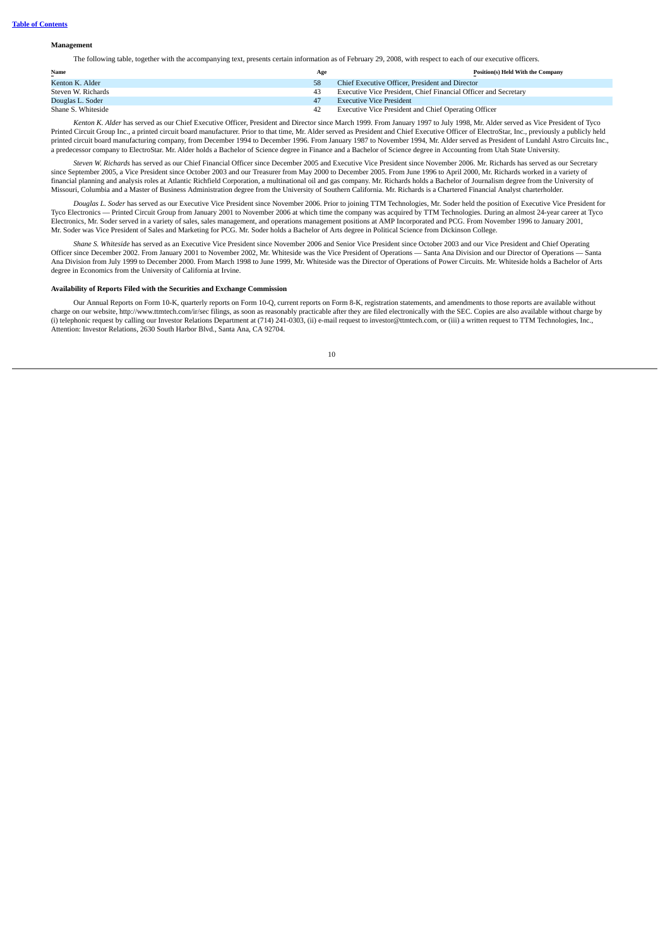## **Table of [Contents](#page-2-0)**

#### **Management**

The following table, together with the accompanying text, presents certain information as of February 29, 2008, with respect to each of our executive officers.

| Name               | Age | Position(s) Held With the Company                               |
|--------------------|-----|-----------------------------------------------------------------|
| Kenton K. Alder    | 58  | Chief Executive Officer, President and Director                 |
| Steven W. Richards | 43  | Executive Vice President, Chief Financial Officer and Secretary |
| Douglas L. Soder   | 47  | <b>Executive Vice President</b>                                 |
| Shane S. Whiteside | 42  | Executive Vice President and Chief Operating Officer            |

*Kenton K. Alder* has served as our Chief Executive Officer, President and Director since March 1999. From January 1997 to July 1998, Mr. Alder served as Vice President of Tyco Printed Circuit Group Inc., a printed circuit board manufacturer. Prior to that time, Mr. Alder served as President and Chief Executive Officer of ElectroStar, Inc., previously a publicly held printed circuit board manufacturing company, from December 1994 to December 1996. From January 1987 to November 1994, Mr. Alder served as President of Lundahl Astro Circuits Inc., a predecessor company to ElectroStar. Mr. Alder holds a Bachelor of Science degree in Finance and a Bachelor of Science degree in Accounting from Utah State University.

*Steven W. Richards* has served as our Chief Financial Officer since December 2005 and Executive Vice President since November 2006. Mr. Richards has served as our Secretary since September 2005, a Vice President since October 2003 and our Treasurer from May 2000 to December 2005. From June 1996 to April 2000, Mr. Richards worked in a variety of financial planning and analysis roles at Atlantic Richfield Corporation, a multinational oil and gas company. Mr. Richards holds a Bachelor of Journalism degree from the University of Missouri, Columbia and a Master of Business Administration degree from the University of Southern California. Mr. Richards is a Chartered Financial Analyst charterholder.

*Douglas L. Soder* has served as our Executive Vice President since November 2006. Prior to joining TTM Technologies, Mr. Soder held the position of Executive Vice President for Tyco Electronics — Printed Circuit Group from January 2001 to November 2006 at which time the company was acquired by TTM Technologies. During an almost 24-year career at Tyco Electronics, Mr. Soder served in a variety of sales, sales management, and operations management positions at AMP Incorporated and PCG. From November 1996 to January 2001, Mr. Soder was Vice President of Sales and Marketing for PCG. Mr. Soder holds a Bachelor of Arts degree in Political Science from Dickinson College.

Shane S. Whiteside has served as an Executive Vice President since November 2006 and Senior Vice President since October 2003 and our Vice President and Chief Operating<br>Officer since December 2002. From January 2001 to Nov Ana Division from July 1999 to December 2000. From March 1998 to June 1999, Mr. Whiteside was the Director of Operations of Power Circuits. Mr. Whiteside holds a Bachelor of Arts degree in Economics from the University of California at Irvine.

## **Availability of Reports Filed with the Securities and Exchange Commission**

Our Annual Reports on Form 10-K, quarterly reports on Form 10-Q, current reports on Form 8-K, registration statements, and amendments to those reports are available without charge on our website, http://www.ttmtech.com/ir/sec filings, as soon as reasonably practicable after they are filed electronically with the SEC. Copies are also available without charge by (i) telephonic request by calling our Investor Relations Department at (714) 241-0303, (ii) e-mail request to investor@ttmtech.com, or (iii) a written request to TTM Technologies, Inc.,<br>Attention: Investor Relations, 2630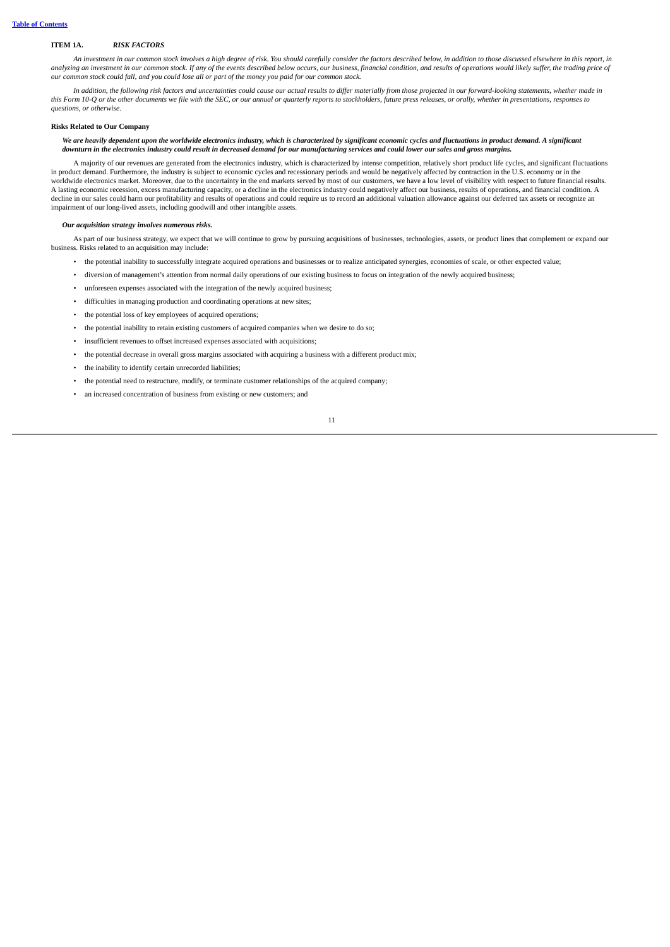## **ITEM 1A.** *RISK FACTORS*

<span id="page-13-0"></span>An investment in our common stock involves a high degree of risk. You should carefully consider the factors described below, in addition to those discussed elsewhere in this report, in analyzing an investment in our common stock. If any of the events described below occurs, our business, financial condition, and results of operations would likely suffer, the trading price of our common stock could fall, and you could lose all or part of the money you paid for our common stock.

In addition, the following risk factors and uncertainties could cause our actual results to differ materially from those projected in our forward-looking statements, whether made in this Form 10-Q or the other documents we file with the SEC, or our annual or quarterly reports to stockholders, future press releases, or orally, whether in presentations, responses to *questions, or otherwise.*

## **Risks Related to Our Company**

## We are heavily dependent upon the worldwide electronics industry, which is characterized by significant economic cycles and fluctuations in product demand. A significant downturn in the electronics industry could result in decreased demand for our manufacturing services and could lower our sales and gross margins.

A majority of our revenues are generated from the electronics industry, which is characterized by intense competition, relatively short product life cycles, and significant fluctuations in product demand. Furthermore, the industry is subject to economic cycles and recessionary periods and would be negatively affected by contraction in the U.S. economy or in the<br>worldwide electronics market. Moreover, due A lasting economic recession, excess manufacturing capacity, or a decline in the electronics industry could negatively affect our business, results of operations, and financial condition. A decline in our sales could harm our profitability and results of operations and could require us to record an additional valuation allowance against our deferred tax assets or recognize an impairment of our long-lived assets, including goodwill and other intangible assets.

#### *Our acquisition strategy involves numerous risks.*

As part of our business strategy, we expect that we will continue to grow by pursuing acquisitions of businesses, technologies, assets, or product lines that complement or expand our business. Risks related to an acquisition may include:

- the potential inability to successfully integrate acquired operations and businesses or to realize anticipated synergies, economies of scale, or other expected value;
- diversion of management's attention from normal daily operations of our existing business to focus on integration of the newly acquired business;
- unforeseen expenses associated with the integration of the newly acquired business;
- difficulties in managing production and coordinating operations at new sites;
- the potential loss of key employees of acquired operations;
- the potential inability to retain existing customers of acquired companies when we desire to do so;
- insufficient revenues to offset increased expenses associated with acquisitions;
- the potential decrease in overall gross margins associated with acquiring a business with a different product mix;
- the inability to identify certain unrecorded liabilities;
- the potential need to restructure, modify, or terminate customer relationships of the acquired company;
- an increased concentration of business from existing or new customers; and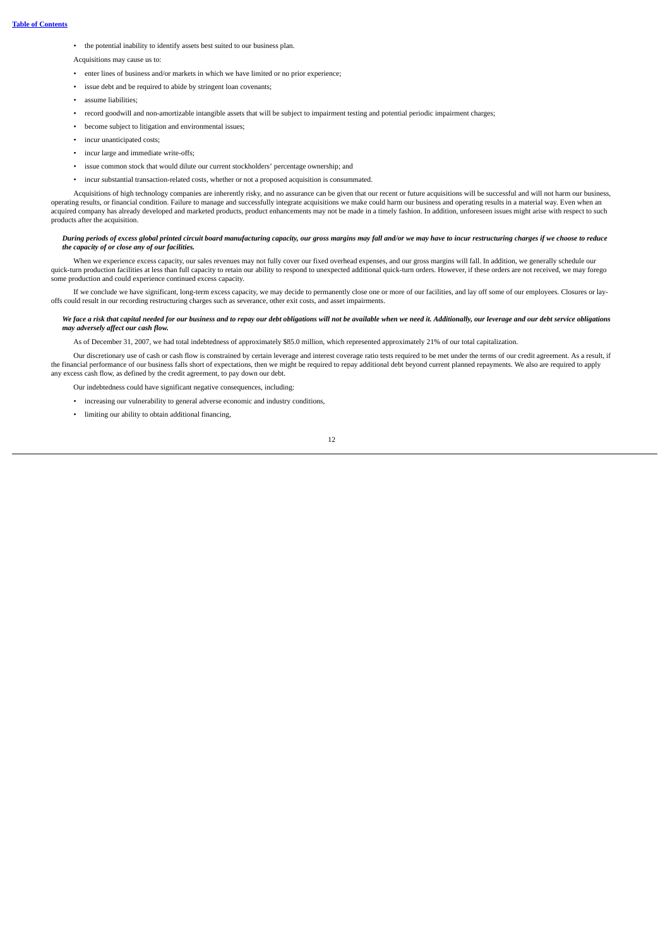• the potential inability to identify assets best suited to our business plan.

Acquisitions may cause us to:

- enter lines of business and/or markets in which we have limited or no prior experience;
- issue debt and be required to abide by stringent loan covenants;
- assume liabilities;
- record goodwill and non-amortizable intangible assets that will be subject to impairment testing and potential periodic impairment charges;
- become subject to litigation and environmental issues;
- incur unanticipated costs:
- incur large and immediate write-offs;
- issue common stock that would dilute our current stockholders' percentage ownership; and
- incur substantial transaction-related costs, whether or not a proposed acquisition is consummated.

Acquisitions of high technology companies are inherently risky, and no assurance can be given that our recent or future acquisitions will be successful and will not harm our business, operating results, or financial condition. Failure to manage and successfully integrate acquisitions we make could harm our business and operating results in a material way. Even when an acquired company has already developed and marketed products, product enhancements may not be made in a timely fashion. In addition, unforeseen issues might arise with respect to such products after the acquisition.

## During periods of excess global printed circuit board manufacturing capacity, our gross margins may fall and/or we may have to incur restructuring charges if we choose to reduce *the capacity of or close any of our facilities.*

When we experience excess capacity, our sales revenues may not fully cover our fixed overhead expenses, and our gross margins will fall. In addition, we generally schedule our quick-turn production facilities at less than full capacity to retain our ability to respond to unexpected additional quick-turn orders. However, if these orders are not received, we may forego some production and could experience continued excess capacity.

If we conclude we have significant, long-term excess capacity, we may decide to permanently close one or more of our facilities, and lay off some of our employees. Closures or layoffs could result in our recording restructuring charges such as severance, other exit costs, and asset impairments.

## We face a risk that capital needed for our business and to repay our debt obligations will not be available when we need it. Additionally, our leverage and our debt service obligations *may adversely affect our cash flow.*

As of December 31, 2007, we had total indebtedness of approximately \$85.0 million, which represented approximately 21% of our total capitalization.

Our discretionary use of cash or cash flow is constrained by certain leverage and interest coverage ratio tests required to be met under the terms of our credit agreement. As a result, if the financial performance of our business falls short of expectations, then we might be required to repay additional debt beyond current planned repayments. We also are required to apply any excess cash flow, as defined by the credit agreement, to pay down our debt.

Our indebtedness could have significant negative consequences, including:

- increasing our vulnerability to general adverse economic and industry conditions,
- limiting our ability to obtain additional financing,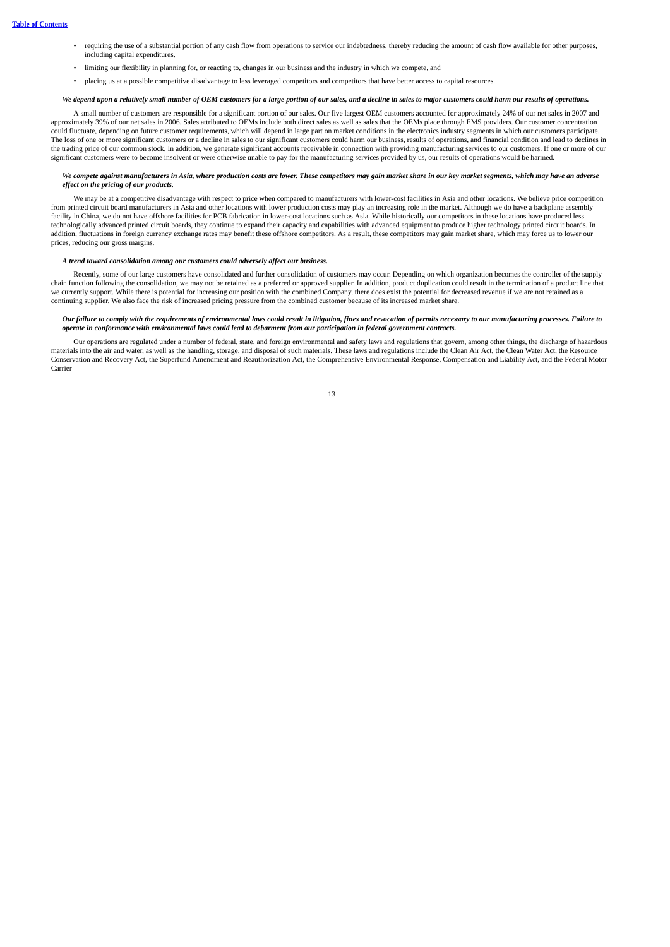- requiring the use of a substantial portion of any cash flow from operations to service our indebtedness, thereby reducing the amount of cash flow available for other purposes, including capital expenditures,
- limiting our flexibility in planning for, or reacting to, changes in our business and the industry in which we compete, and
- placing us at a possible competitive disadvantage to less leveraged competitors and competitors that have better access to capital resources.

#### We depend upon a relatively small number of OEM customers for a large portion of our sales, and a decline in sales to major customers could harm our results of operations.

A small number of customers are responsible for a significant portion of our sales. Our five largest OEM customers accounted for approximately 24% of our net sales in 2007 and approximately 39% of our net sales in 2006. Sales attributed to OEMs include both direct sales as well as sales that the OEMs place through EMS providers. Our customer concentration could fluctuate, depending on future customer requirements, which will depend in large part on market conditions in the electronics industry segments in which our customers participate. The loss of one or more significant customers or a decline in sales to our significant customers could harm our business, results of operations, and financial condition and lead to declines in the trading price of our common stock. In addition, we generate significant accounts receivable in connection with providing manufacturing services to our customers. If one or more of our significant customers were to become insolvent or were otherwise unable to pay for the manufacturing services provided by us, our results of operations would be harmed.

## We compete against manufacturers in Asia, where production costs are lower. These competitors may gain market share in our key market segments, which may have an adverse *effect on the pricing of our products.*

We may be at a competitive disadvantage with respect to price when compared to manufacturers with lower-cost facilities in Asia and other locations. We believe price competition from printed circuit board manufacturers in Asia and other locations with lower production costs may play an increasing role in the market. Although we do have a backplane assembly facility in China, we do not have offshore facilities for PCB fabrication in lower-cost locations such as Asia. While historically our competitors in these locations have produced less technologically advanced printed circuit boards, they continue to expand their capacity and capabilities with advanced equipment to produce higher technology printed circuit boards. In addition, fluctuations in foreign currency exchange rates may benefit these offshore competitors. As a result, these competitors may gain market share, which may force us to lower our prices, reducing our gross margins.

#### *A trend toward consolidation among our customers could adversely affect our business.*

Recently, some of our large customers have consolidated and further consolidation of customers may occur. Depending on which organization becomes the controller of the supply chain function following the consolidation, we may not be retained as a preferred or approved supplier. In addition, product duplication could result in the termination of a product line that we currently support. While there is potential for increasing our position with the combined Company, there does exist the potential for decreased revenue if we are not retained as a continuing supplier. We also face the risk of increased pricing pressure from the combined customer because of its increased market share.

## Our failure to comply with the requirements of environmental laws could result in litigation, fines and revocation of permits necessary to our manufacturing processes. Failure to operate in conformance with environmental laws could lead to debarment from our participation in federal government contracts.

Our operations are regulated under a number of federal, state, and foreign environmental and safety laws and regulations that govern, among other things, the discharge of hazardous materials into the air and water, as well Conservation and Recovery Act, the Superfund Amendment and Reauthorization Act, the Comprehensive Environmental Response, Compensation and Liability Act, and the Federal Motor Carrier

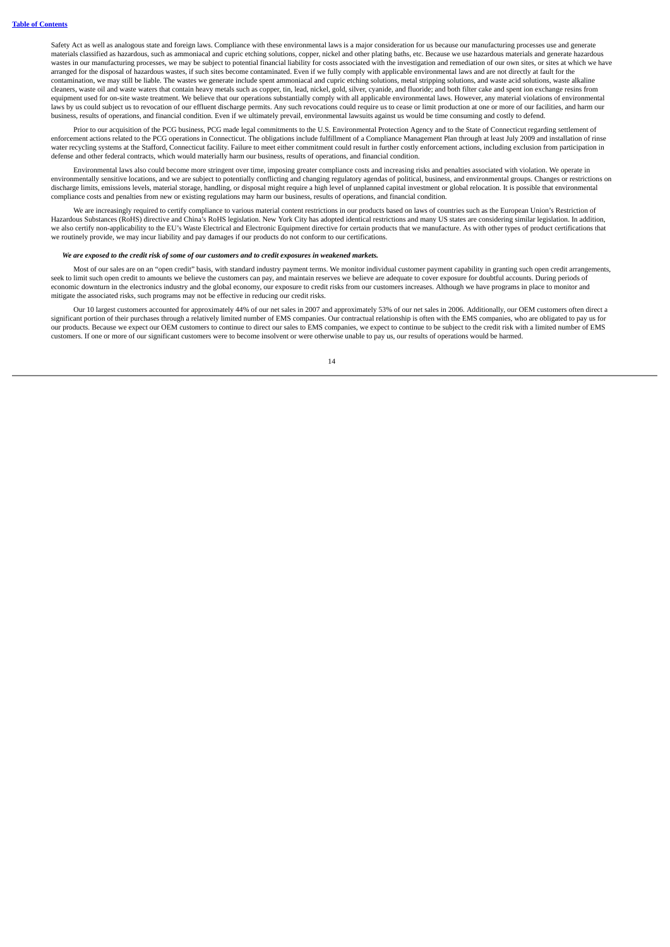Safety Act as well as analogous state and foreign laws. Compliance with these environmental laws is a major consideration for us because our manufacturing processes use and generate materials classified as hazardous, such as ammoniacal and cupric etching solutions, copper, nickel and other plating baths, etc. Because we use hazardous materials and generate hazardous wastes in our manufacturing processes, we may be subject to potential financial liability for costs associated with the investigation and remediation of our own sites, or sites at which we have arranged for the disposal of hazardous wastes, if such sites become contaminated. Even if we fully comply with applicable environmental laws and are not directly at fault for the contamination, we may still be liable. The wastes we generate include spent ammoniacal and cupric etching solutions, metal stripping solutions, and waste acid solutions, waste alkaline cleaners, waste oil and waste waters that contain heavy metals such as copper, tin, lead, nickel, gold, silver, cyanide, and fluoride; and both filter cake and spent ion exchange resins from equipment used for on-site waste treatment. We believe that our operations substantially comply with all applicable environmental laws. However, any material violations of environmental laws by us could subject us to revocation of our effluent discharge permits. Any such revocations could require us to cease or limit production at one or more of our facilities, and harm our business, results of operations, and financial condition. Even if we ultimately prevail, environmental lawsuits against us would be time consuming and costly to defend.

Prior to our acquisition of the PCG business, PCG made legal commitments to the U.S. Environmental Protection Agency and to the State of Connecticut regarding settlement of enforcement actions related to the PCG operations in Connecticut. The obligations include fulfillment of a Compliance Management Plan through at least July 2009 and installation of rinse water recycling systems at the Stafford, Connecticut facility. Failure to meet either commitment could result in further costly enforcement actions, including exclusion from participation in defense and other federal contracts, which would materially harm our business, results of operations, and financial condition.

Environmental laws also could become more stringent over time, imposing greater compliance costs and increasing risks and penalties associated with violation. We operate in environmentally sensitive locations, and we are subject to potentially conflicting and changing regulatory agendas of political, business, and environmental groups. Changes or restrictions on discharge limits, emissions levels, material storage, handling, or disposal might require a high level of unplanned capital investment or global relocation. It is possible that environmental compliance costs and penalties from new or existing regulations may harm our business, results of operations, and financial condition.

We are increasingly required to certify compliance to various material content restrictions in our products based on laws of countries such as the European Union's Restriction of Hazardous Substances (RoHS) directive and China's RoHS legislation. New York City has adopted identical restrictions and many US states are considering similar legislation. In addition, we also certify non-applicability to the EU's Waste Electrical and Electronic Equipment directive for certain products that we manufacture. As with other types of product certifications that we routinely provide, we may incur liability and pay damages if our products do not conform to our certifications.

## We are exposed to the credit risk of some of our customers and to credit exposures in weakened markets.

Most of our sales are on an "open credit" basis, with standard industry payment terms. We monitor individual customer payment capability in granting such open credit arrangements, seek to limit such open credit to amounts we believe the customers can pay, and maintain reserves we believe are adequate to cover exposure for doubtful accounts. During periods of economic downturn in the electronics industry and the global economy, our exposure to credit risks from our customers increases. Although we have programs in place to monitor and mitigate the associated risks, such programs may not be effective in reducing our credit risks.

Our 10 largest customers accounted for approximately 44% of our net sales in 2007 and approximately 53% of our net sales in 2006. Additionally, our OEM customers often direct a significant portion of their purchases through a relatively limited number of EMS companies. Our contractual relationship is often with the EMS companies, who are obligated to pay us for our products. Because we expect our OEM customers to continue to direct our sales to EMS companies, we expect to continue to be subject to the credit risk with a limited number of EMS<br>customers. If one or more of our signi

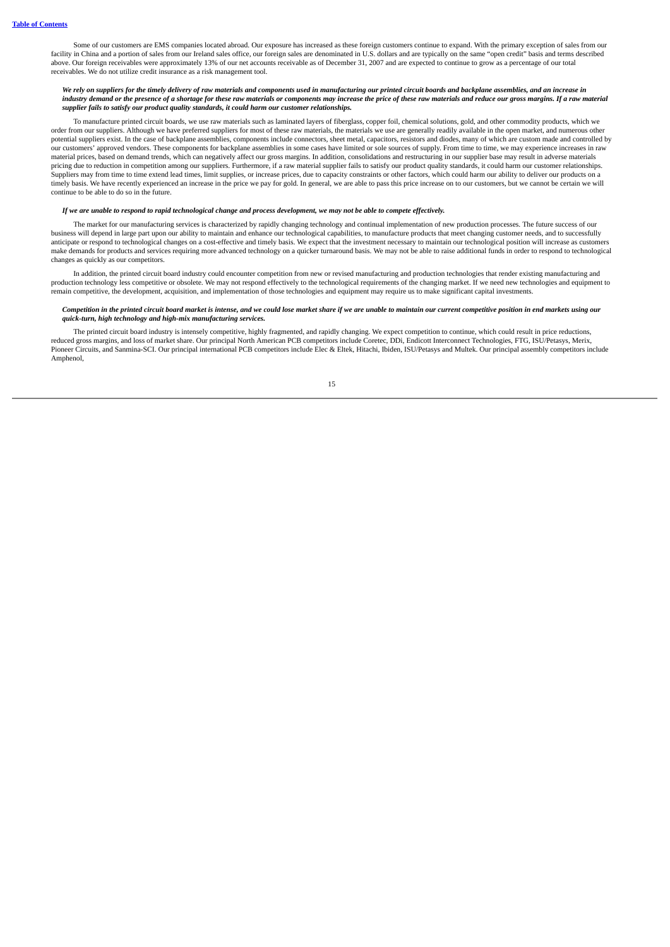Some of our customers are EMS companies located abroad. Our exposure has increased as these foreign customers continue to expand. With the primary exception of sales from our facility in China and a portion of sales from our Ireland sales office, our foreign sales are denominated in U.S. dollars and are typically on the same "open credit" basis and terms described above. Our foreign receivables were approximately 13% of our net accounts receivable as of December 31, 2007 and are expected to continue to grow as a percentage of our total receivables. We do not utilize credit insurance as a risk management tool.

# We rely on suppliers for the timely delivery of raw materials and components used in manufacturing our printed circuit boards and backplane assemblies, and an increase in<br>industry demand or the presence of a shortage for t *supplier fails to satisfy our product quality standards, it could harm our customer relationships.*

To manufacture printed circuit boards, we use raw materials such as laminated layers of fiberglass, copper foil, chemical solutions, gold, and other commodity products, which we order from our suppliers. Although we have preferred suppliers for most of these raw materials, the materials we use are generally readily available in the open market, and numerous other potential suppliers exist. In the case of backplane assemblies, components include connectors, sheet metal, capacitors, resistors and diodes, many of which are custom made and controlled by our customers' approved vendors. These components for backplane assemblies in some cases have limited or sole sources of supply. From time to time, we may experience increases in raw material prices, based on demand trends, which can negatively affect our gross margins. In addition, consolidations and restructuring in our supplier base may result in adverse materials pricing due to reduction in competition among our suppliers. Furthermore, if a raw material supplier fails to satisfy our product quality standards, it could harm our customer relationships. Suppliers may from time to time extend lead times, limit supplies, or increase prices, due to capacity constraints or other factors, which could harm our ability to deliver our products on a timely basis. We have recently experienced an increase in the price we pay for gold. In general, we are able to pass this price increase on to our customers, but we cannot be certain we will continue to be able to do so in the future.

## If we are unable to respond to rapid technological change and process development, we may not be able to compete effectively.

The market for our manufacturing services is characterized by rapidly changing technology and continual implementation of new production processes. The future success of our business will depend in large part upon our ability to maintain and enhance our technological capabilities, to manufacture products that meet changing customer needs, and to successfully anticipate or respond to technological changes on a cost-effective and timely basis. We expect that the investment necessary to maintain our technological position will increase as customers make demands for products and services requiring more advanced technology on a quicker turnaround basis. We may not be able to raise additional funds in order to respond to technological changes as quickly as our competitors.

In addition, the printed circuit board industry could encounter competition from new or revised manufacturing and production technologies that render existing manufacturing and production technology less competitive or obsolete. We may not respond effectively to the technological requirements of the changing market. If we need new technologies and equipment to remain competitive, the development, acquisition, and implementation of those technologies and equipment may require us to make significant capital investments.

#### Competition in the printed circuit board market is intense, and we could lose market share if we are unable to maintain our current competitive position in end markets using our *quick-turn, high technology and high-mix manufacturing services.*

The printed circuit board industry is intensely competitive, highly fragmented, and rapidly changing. We expect competition to continue, which could result in price reductions, reduced gross margins, and loss of market share. Our principal North American PCB competitors include Coretec, DDi, Endicott Interconnect Technologies, FTG, ISU/Petasys, Merix, Pioneer Circuits, and Sanmina-SCI. Our principal international PCB competitors include Elec & Eltek, Hitachi, Ibiden, ISU/Petasys and Multek. Our principal assembly competitors include Amphenol,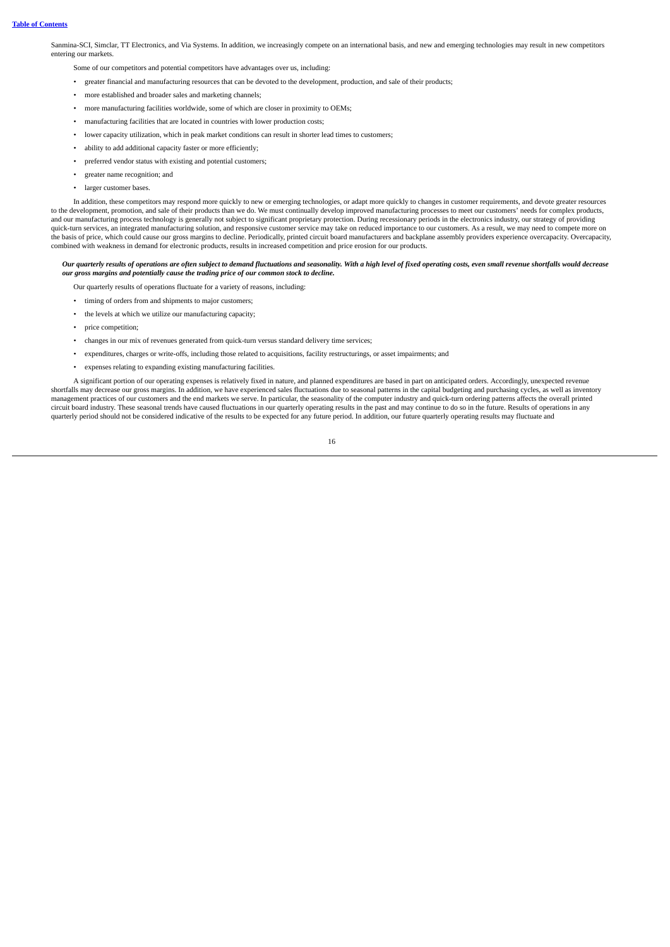Sanmina-SCI, Simclar, TT Electronics, and Via Systems. In addition, we increasingly compete on an international basis, and new and emerging technologies may result in new competitors entering our markets.

Some of our competitors and potential competitors have advantages over us, including:

- greater financial and manufacturing resources that can be devoted to the development, production, and sale of their products;
- more established and broader sales and marketing channels;
- more manufacturing facilities worldwide, some of which are closer in proximity to OEMs;
- manufacturing facilities that are located in countries with lower production costs:
- lower capacity utilization, which in peak market conditions can result in shorter lead times to customers;
- ability to add additional capacity faster or more efficiently;
- preferred vendor status with existing and potential customers;
- greater name recognition; and
- larger customer bases.

In addition, these competitors may respond more quickly to new or emerging technologies, or adapt more quickly to changes in customer requirements, and devote greater resources to the development, promotion, and sale of their products than we do. We must continually develop improved manufacturing processes to meet our customers' needs for complex products, and our manufacturing process technology is generally not subject to significant proprietary protection. During recessionary periods in the electronics industry, our strategy of providing quick-turn services, an integrated manufacturing solution, and responsive customer service may take on reduced importance to our customers. As a result, we may need to compete more on the basis of price, which could cause our gross margins to decline. Periodically, printed circuit board manufacturers and backplane assembly providers experience overcapacity. Overcapacity, combined with weakness in demand for electronic products, results in increased competition and price erosion for our products.

## Our quarterly results of operations are often subject to demand fluctuations and seasonality. With a high level of fixed operating costs, even small revenue shortfalls would decrease *our gross margins and potentially cause the trading price of our common stock to decline.*

Our quarterly results of operations fluctuate for a variety of reasons, including:

- timing of orders from and shipments to major customers;
- the levels at which we utilize our manufacturing capacity;
- price competition;
- changes in our mix of revenues generated from quick-turn versus standard delivery time services;
- expenditures, charges or write-offs, including those related to acquisitions, facility restructurings, or asset impairments; and
- expenses relating to expanding existing manufacturing facilities.

A significant portion of our operating expenses is relatively fixed in nature, and planned expenditures are based in part on anticipated orders. Accordingly, unexpected revenue shortfalls may decrease our gross margins. In addition, we have experienced sales fluctuations due to seasonal patterns in the capital budgeting and purchasing cycles, as well as inventory management practices of our customers and the end markets we serve. In particular, the seasonality of the computer industry and quick-turn ordering patterns affects the overall printed circuit board industry. These seasonal trends have caused fluctuations in our quarterly operating results in the past and may continue to do so in the future. Results of operations in any quarterly period should not be considered indicative of the results to be expected for any future period. In addition, our future quarterly operating results may fluctuate and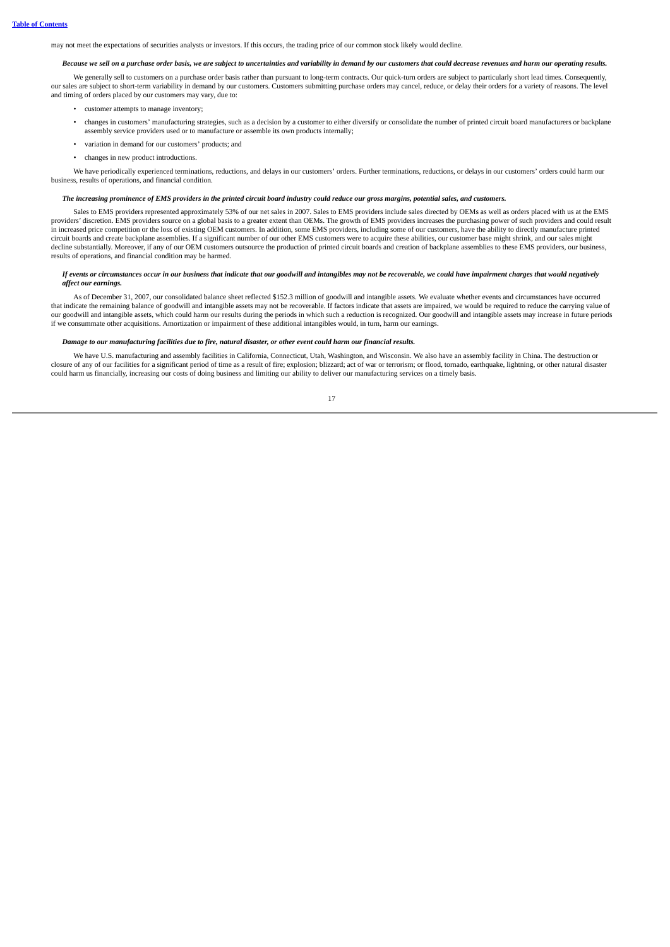may not meet the expectations of securities analysts or investors. If this occurs, the trading price of our common stock likely would decline.

## Because we sell on a purchase order basis, we are subject to uncertainties and variability in demand by our customers that could decrease revenues and harm our operating results.

We generally sell to customers on a purchase order basis rather than pursuant to long-term contracts. Our quick-turn orders are subject to particularly short lead times. Consequently, our sales are subject to short-term variability in demand by our customers. Customers submitting purchase orders may cancel, reduce, or delay their orders for a variety of reasons. The level and timing of orders placed by our customers may vary, due to:

- customer attempts to manage inventory;
- changes in customers' manufacturing strategies, such as a decision by a customer to either diversify or consolidate the number of printed circuit board manufacturers or backplane assembly service providers used or to manufacture or assemble its own products internally;
- variation in demand for our customers' products; and
- changes in new product introductions.

We have periodically experienced terminations, reductions, and delays in our customers' orders. Further terminations, reductions, or delays in our customers' orders could harm our business, results of operations, and financial condition.

## The increasing prominence of EMS providers in the printed circuit board industry could reduce our gross margins, potential sales, and customers.

Sales to EMS providers represented approximately 53% of our net sales in 2007. Sales to EMS providers include sales directed by OEMs as well as orders placed with us at the EMS providers' discretion. EMS providers source on a global basis to a greater extent than OEMs. The growth of EMS providers increases the purchasing power of such providers and could result .<br>in increased price competition or the loss of existing OEM customers. In addition, some EMS providers, including some of our customers, have the ability to directly manufacture printed circuit boards and create backplane assemblies. If a significant number of our other EMS customers were to acquire these abilities, our customer base might shrink, and our sales might decline substantially. Moreover, if any of our OEM customers outsource the production of printed circuit boards and creation of backplane assemblies to these EMS providers, our business, results of operations, and financial condition may be harmed.

## If events or circumstances occur in our business that indicate that our goodwill and intangibles may not be recoverable, we could have impairment charges that would negatively *affect our earnings.*

As of December 31, 2007, our consolidated balance sheet reflected \$152.3 million of goodwill and intangible assets. We evaluate whether events and circumstances have occurred that indicate the remaining balance of goodwill and intangible assets may not be recoverable. If factors indicate that assets are impaired, we would be required to reduce the carrying value of our goodwill and intangible assets, which could harm our results during the periods in which such a reduction is recognized. Our goodwill and intangible assets may increase in future periods if we consummate other acquisitions. Amortization or impairment of these additional intangibles would, in turn, harm our earnings.

#### Damage to our manufacturing facilities due to fire, natural disaster, or other event could harm our financial results.

We have U.S. manufacturing and assembly facilities in California, Connecticut, Utah, Washington, and Wisconsin. We also have an assembly facility in China. The destruction or closure of any of our facilities for a significant period of time as a result of fire; explosion; blizzard; act of war or terrorism; or flood, tornado, earthquake, lightning, or other natural disaster could harm us financially, increasing our costs of doing business and limiting our ability to deliver our manufacturing services on a timely basis.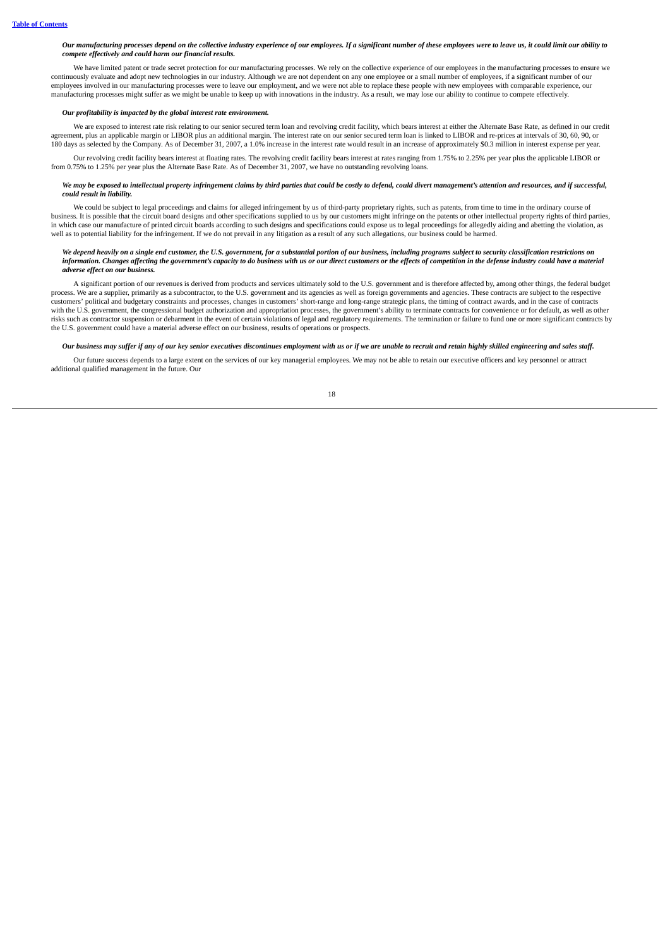## Our manufacturing processes depend on the collective industry experience of our employees. If a significant number of these employees were to leave us, it could limit our ability to *compete effectively and could harm our financial results.*

We have limited patent or trade secret protection for our manufacturing processes. We rely on the collective experience of our employees in the manufacturing processes to ensure we continuously evaluate and adopt new technologies in our industry. Although we are not dependent on any one employee or a small number of employees, if a significant number of our employees involved in our manufacturing processes were to leave our employment, and we were not able to replace these people with new employees with comparable experience, our manufacturing processes might suffer as we might be unable to keep up with innovations in the industry. As a result, we may lose our ability to continue to compete effectively.

## *Our profitability is impacted by the global interest rate environment.*

We are exposed to interest rate risk relating to our senior secured term loan and revolving credit facility, which bears interest at either the Alternate Base Rate, as defined in our credit agreement, plus an applicable margin or LIBOR plus an additional margin. The interest rate on our senior secured term loan is linked to LIBOR and re-prices at intervals of 30, 60, 90, or 180 days as selected by the Company. As of December 31, 2007, a 1.0% increase in the interest rate would result in an increase of approximately \$0.3 million in interest expense per year.

Our revolving credit facility bears interest at floating rates. The revolving credit facility bears interest at rates ranging from 1.75% to 2.25% per year plus the applicable LIBOR or from 0.75% to 1.25% per year plus the Alternate Base Rate. As of December 31, 2007, we have no outstanding revolving loans.

#### We may be exposed to intellectual property infringement claims by third parties that could be costly to defend, could divert mangaement's attention and resources, and if successful. *could result in liability.*

We could be subject to legal proceedings and claims for alleged infringement by us of third-party proprietary rights, such as patents, from time to time in the ordinary course of business. It is possible that the circuit board designs and other specifications supplied to us by our customers might infringe on the patents or other intellectual property rights of third parties, in which case our manufacture of printed circuit boards according to such designs and specifications could expose us to legal proceedings for allegedly aiding and abetting the violation, as well as to potential liability for the infringement. If we do not prevail in any litigation as a result of any such allegations, our business could be harmed.

## .<br>We depend heavily on a single end customer, the U.S. government, for a substantial portion of our business, including programs subject to security classification restrictions on information. Changes affecting the government's capacity to do business with us or our direct customers or the effects of competition in the defense industry could have a material *adverse effect on our business.*

A significant portion of our revenues is derived from products and services ultimately sold to the U.S. government and is therefore affected by, among other things, the federal budget process. We are a supplier, primarily as a subcontractor, to the U.S. government and its agencies as well as foreign governments and agencies. These contracts are subject to the respective customers' political and budgetary constraints and processes, changes in customers' short-range and long-range strategic plans, the timing of contract awards, and in the case of contracts with the U.S. government, the congressional budget authorization and appropriation processes, the government's ability to terminate contracts for convenience or for default, as well as other risks such as contractor suspension or debarment in the event of certain violations of legal and regulatory requirements. The termination or failure to fund one or more significant contracts by the U.S. government could have a material adverse effect on our business, results of operations or prospects.

## Our business may suffer if any of our key senior executives discontinues employment with us or if we are unable to recruit and retain highly skilled engineering and sales staff.

Our future success depends to a large extent on the services of our key managerial employees. We may not be able to retain our executive officers and key personnel or attract additional qualified management in the future. Our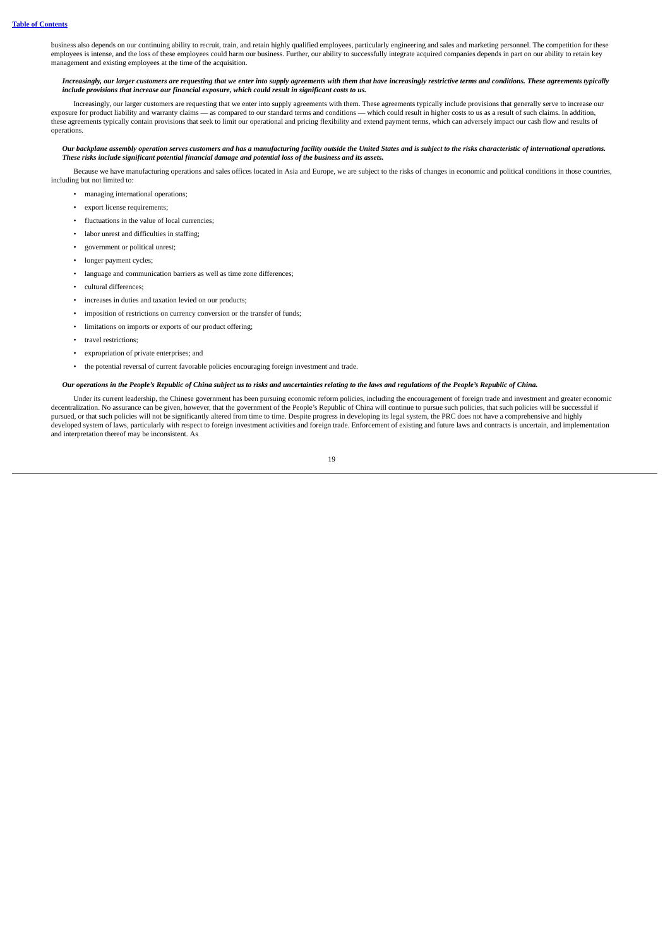business also depends on our continuing ability to recruit, train, and retain highly qualified employees, particularly engineering and sales and marketing personnel. The competition for these<br>employees is intense, and the management and existing employees at the time of the acquisition.

## Increasingly, our larger customers are requesting that we enter into supply agreements with them that have increasingly restrictive terms and conditions. These agreements typically *include provisions that increase our financial exposure, which could result in significant costs to us.*

Increasingly, our larger customers are requesting that we enter into supply agreements with them. These agreements typically include provisions that generally serve to increase our exposure for product liability and warranty claims — as compared to our standard terms and conditions — which could result in higher costs to us as a result of such claims. In addition,<br>these agreements typically contain p operations.

## Our backplane assembly operation serves customers and has a manufacturing facility outside the United States and is subject to the risks characteristic of international operations. *These risks include significant potential financial damage and potential loss of the business and its assets.*

Because we have manufacturing operations and sales offices located in Asia and Europe, we are subject to the risks of changes in economic and political conditions in those countries, including but not limited to:

• managing international operations;

- export license requirements;
- fluctuations in the value of local currencies;
- labor unrest and difficulties in staffing;
- government or political unrest;
- longer payment cycles;
- language and communication barriers as well as time zone differences;
- cultural differences;
- increases in duties and taxation levied on our products;
- imposition of restrictions on currency conversion or the transfer of funds;
- limitations on imports or exports of our product offering;
- travel restrictions:
- expropriation of private enterprises; and
- the potential reversal of current favorable policies encouraging foreign investment and trade.

## Our operations in the People's Republic of China subject us to risks and uncertainties relating to the laws and regulations of the People's Republic of China.

Under its current leadership, the Chinese government has been pursuing economic reform policies, including the encouragement of foreign trade and investment and greater economic decentralization. No assurance can be given, however, that the government of the People's Republic of China will continue to pursue such policies, that such policies will be successful if pursued, or that such policies will not be significantly altered from time to time. Despite progress in developing its legal system, the PRC does not have a comprehensive and highly developed system of laws, particularly with respect to foreign investment activities and foreign trade. Enforcement of existing and future laws and contracts is uncertain, and implementation and interpretation thereof may be inconsistent. As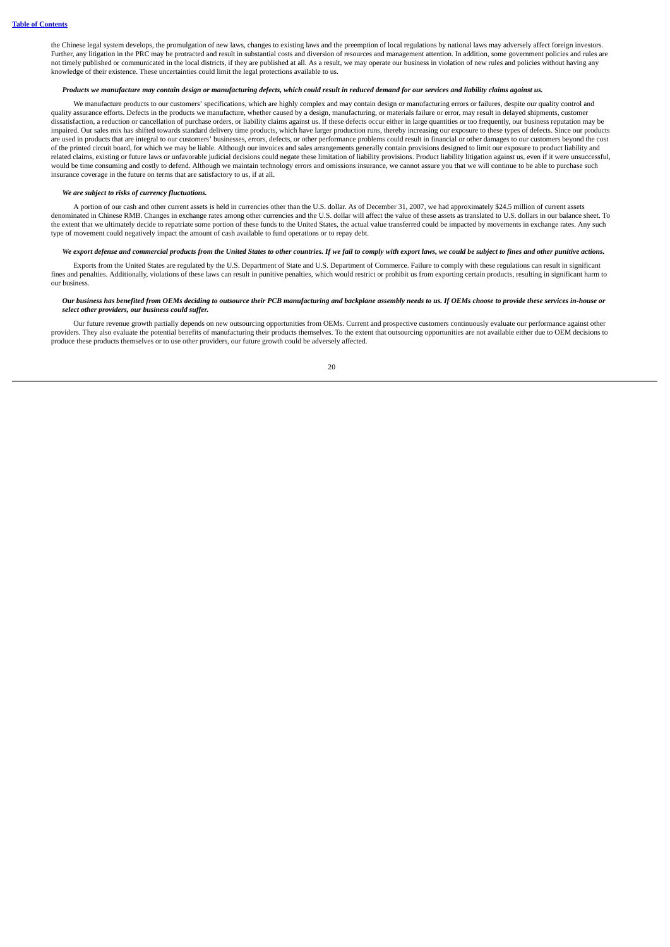the Chinese legal system develops, the promulgation of new laws, changes to existing laws and the preemption of local regulations by national laws may adversely affect foreign investors.<br>Further, any litigation in the PRC not timely published or communicated in the local districts, if they are published at all. As a result, we may operate our business in violation of new rules and policies without having any knowledge of their existence. These uncertainties could limit the legal protections available to us.

## Products we manufacture may contain design or manufacturing defects, which could result in reduced demand for our services and liability claims against us.

We manufacture products to our customers' specifications, which are highly complex and may contain design or manufacturing errors or failures, despite our quality control and quality assurance efforts. Defects in the products we manufacture, whether caused by a design, manufacturing, or materials failure or error, may result in delayed shipments, customer dissatisfaction, a reduction or cancellation of purchase orders, or liability claims against us. If these defects occur either in large quantities or too frequently, our business reputation may be<br>impaired. Our sales mix h are used in products that are integral to our customers' businesses, errors, defects, or other performance problems could result in financial or other damages to our customers beyond the cost of the printed circuit board, for which we may be liable. Although our invoices and sales arrangements generally contain provisions designed to limit our exposure to product liability and related claims, existing or future laws or unfavorable judicial decisions could negate these limitation of liability provisions. Product liability litigation against us, even if it were unsuccessful, would be time consuming and costly to defend. Although we maintain technology errors and omissions insurance, we cannot assure you that we will continue to be able to purchase such insurance coverage in the future on terms that are satisfactory to us, if at all.

## *We are subject to risks of currency fluctuations.*

A portion of our cash and other current assets is held in currencies other than the U.S. dollar. As of December 31, 2007, we had approximately \$24.5 million of current assets denominated in Chinese RMB. Changes in exchange rates among other currencies and the U.S. dollar will affect the value of these assets as translated to U.S. dollars in our balance sheet. To the extent that we ultimately decide to repatriate some portion of these funds to the United States, the actual value transferred could be impacted by movements in exchange rates. Any such type of movement could negatively impact the amount of cash available to fund operations or to repay debt.

## We export defense and commercial products from the United States to other countries. If we fail to comply with export laws, we could be subject to fines and other punitive actions.

Exports from the United States are regulated by the U.S. Department of State and U.S. Department of Commerce. Failure to comply with these regulations can result in significant fines and penalties. Additionally, violations of these laws can result in punitive penalties, which would restrict or prohibit us from exporting certain products, resulting in significant harm to our business.

## Our business has benefited from OEMs deciding to outsource their PCB manufacturing and backplane assembly needs to us. If OEMs choose to provide these services in-house or *select other providers, our business could suffer.*

Our future revenue growth partially depends on new outsourcing opportunities from OEMs. Current and prospective customers continuously evaluate our performance against other providers. They also evaluate the potential benefits of manufacturing their products themselves. To the extent that outsourcing opportunities are not available either due to OEM decisions to produce these products themselves or to use other providers, our future growth could be adversely affected.

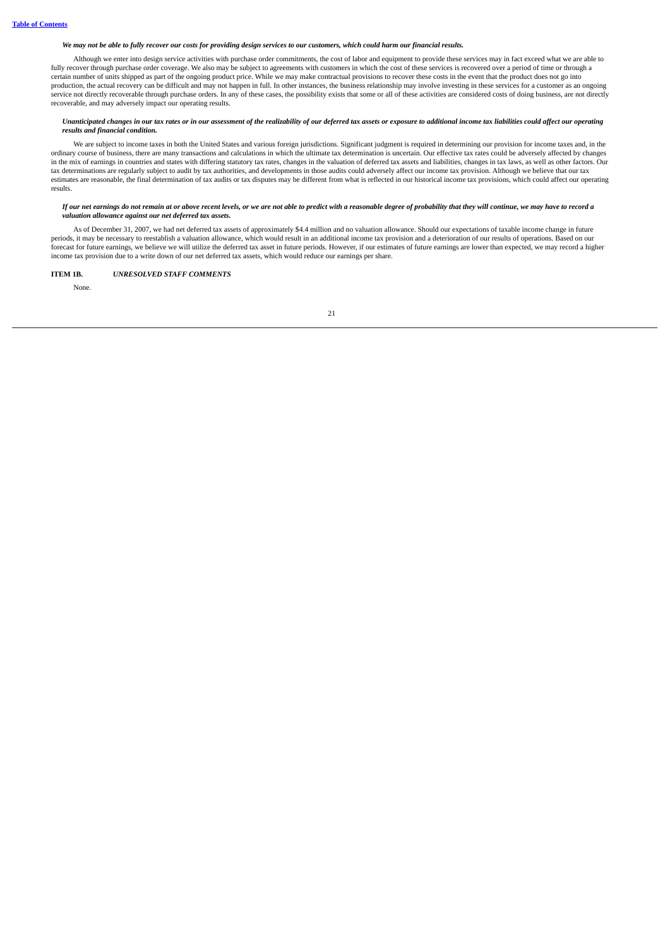## We may not be able to fully recover our costs for providing design services to our customers, which could harm our financial results.

Although we enter into design service activities with purchase order commitments, the cost of labor and equipment to provide these services may in fact exceed what we are able to fully recover through purchase order coverage. We also may be subject to agreements with customers in which the cost of these services is recovered over a period of time or through a certain number of units shipped as part of the ongoing product price. While we may make contractual provisions to recover these costs in the event that the product does not go into production, the actual recovery can be difficult and may not happen in full. In other instances, the business relationship may involve investing in these services for a customer as an ongoing service not directly recoverable through purchase orders. In any of these cases, the possibility exists that some or all of these activities are considered costs of doing business, are not directly recoverable, and may adversely impact our operating results.

## Unanticipated changes in our tax rates or in our assessment of the realizability of our deferred tax assets or exposure to additional income tax liabilities could affect our operating *results and financial condition.*

We are subject to income taxes in both the United States and various foreign jurisdictions. Significant judgment is required in determining our provision for income taxes and, in the ordinary course of business, there are many transactions and calculations in which the ultimate tax determination is uncertain. Our effective tax rates could be adversely affected by changes in the mix of earnings in countries and states with differing statutory tax rates, changes in the valuation of deferred tax assets and liabilities, changes in tax laws, as well as other factors. Our tax determinations are regularly subject to audit by tax authorities, and developments in those audits could adversely affect our income tax provision. Although we believe that our tax estimates are reasonable, the final determination of tax audits or tax disputes may be different from what is reflected in our historical income tax provisions, which could affect our operating results.

## If our net earnings do not remain at or above recent levels, or we are not able to predict with a reasonable degree of probability that they will continue, we may have to record a *valuation allowance against our net deferred tax assets.*

As of December 31, 2007, we had net deferred tax assets of approximately \$4.4 million and no valuation allowance. Should our expectations of taxable income change in future periods, it may be necessary to reestablish a valuation allowance, which would result in an additional income tax provision and a deterioration of our results of operations. Based on our forecast for future earnings, we believe we will utilize the deferred tax asset in future periods. However, if our estimates of future earnings are lower than expected, we may record a higher income tax provision due to a write down of our net deferred tax assets, which would reduce our earnings per share.

## **ITEM 1B.** *UNRESOLVED STAFF COMMENTS*

<span id="page-23-0"></span>None.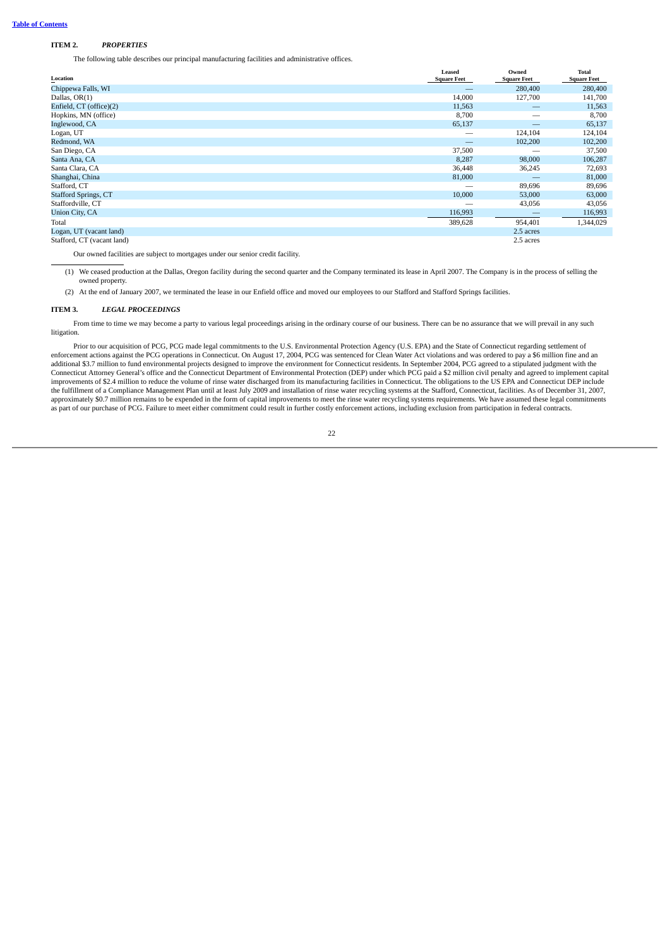# **ITEM 2.** *PROPERTIES*

<span id="page-24-0"></span>The following table describes our principal manufacturing facilities and administrative offices.

| Location                    | Leased<br><b>Square Feet</b> | Owned<br><b>Square Feet</b> | <b>Total</b><br><b>Square Feet</b> |
|-----------------------------|------------------------------|-----------------------------|------------------------------------|
| Chippewa Falls, WI          |                              | 280,400                     | 280,400                            |
| Dallas, OR(1)               | 14,000                       | 127,700                     | 141,700                            |
| Enfield, CT (office)(2)     | 11,563                       |                             | 11,563                             |
| Hopkins, MN (office)        | 8,700                        | $\overline{\phantom{a}}$    | 8,700                              |
| Inglewood, CA               | 65,137                       |                             | 65,137                             |
| Logan, UT                   |                              | 124,104                     | 124,104                            |
| Redmond, WA                 |                              | 102,200                     | 102,200                            |
| San Diego, CA               | 37,500                       |                             | 37,500                             |
| Santa Ana, CA               | 8,287                        | 98,000                      | 106,287                            |
| Santa Clara, CA             | 36,448                       | 36,245                      | 72,693                             |
| Shanghai, China             | 81,000                       |                             | 81,000                             |
| Stafford, CT                |                              | 89,696                      | 89,696                             |
| <b>Stafford Springs, CT</b> | 10,000                       | 53,000                      | 63,000                             |
| Staffordville, CT           | $-$                          | 43,056                      | 43,056                             |
| <b>Union City, CA</b>       | 116,993                      |                             | 116,993                            |
| Total                       | 389,628                      | 954,401                     | 1,344,029                          |
| Logan, UT (vacant land)     |                              | 2.5 acres                   |                                    |
| Stafford, CT (vacant land)  |                              | 2.5 acres                   |                                    |

Our owned facilities are subject to mortgages under our senior credit facility.

(1) We ceased production at the Dallas, Oregon facility during the second quarter and the Company terminated its lease in April 2007. The Company is in the process of selling the owned property.

<span id="page-24-1"></span>(2) At the end of January 2007, we terminated the lease in our Enfield office and moved our employees to our Stafford and Stafford Springs facilities.

## **ITEM 3.** *LEGAL PROCEEDINGS*

From time to time we may become a party to various legal proceedings arising in the ordinary course of our business. There can be no assurance that we will prevail in any such litigation

Prior to our acquisition of PCG, PCG made legal commitments to the U.S. Environmental Protection Agency (U.S. EPA) and the State of Connecticut regarding settlement of enforcement actions against the PCG operations in Connecticut. On August 17, 2004, PCG was sentenced for Clean Water Act violations and was ordered to pay a \$6 million fine and an additional \$3.7 million to fund environmental projects designed to improve the environment for Connecticut residents. In September 2004, PCG agreed to a stipulated judgment with the Connecticut Attorney General's office and the Connecticut Department of Environmental Protection (DEP) under which PCG paid a \$2 million civil penalty and agreed to implement capital improvements of \$2.4 million to reduce the volume of rinse water discharged from its manufacturing facilities in Connecticut. The obligations to the US EPA and Connecticut DEP include the fulfillment of a Compliance Management Plan until at least July 2009 and installation of rinse water recycling systems at the Stafford, Connecticut, facilities. As of December 31, 2007, approximately \$0.7 million remains to be expended in the form of capital improvements to meet the rinse water recycling systems requirements. We have assumed these legal commitments as part of our purchase of PCG. Failure to meet either commitment could result in further costly enforcement actions, including exclusion from participation in federal contracts.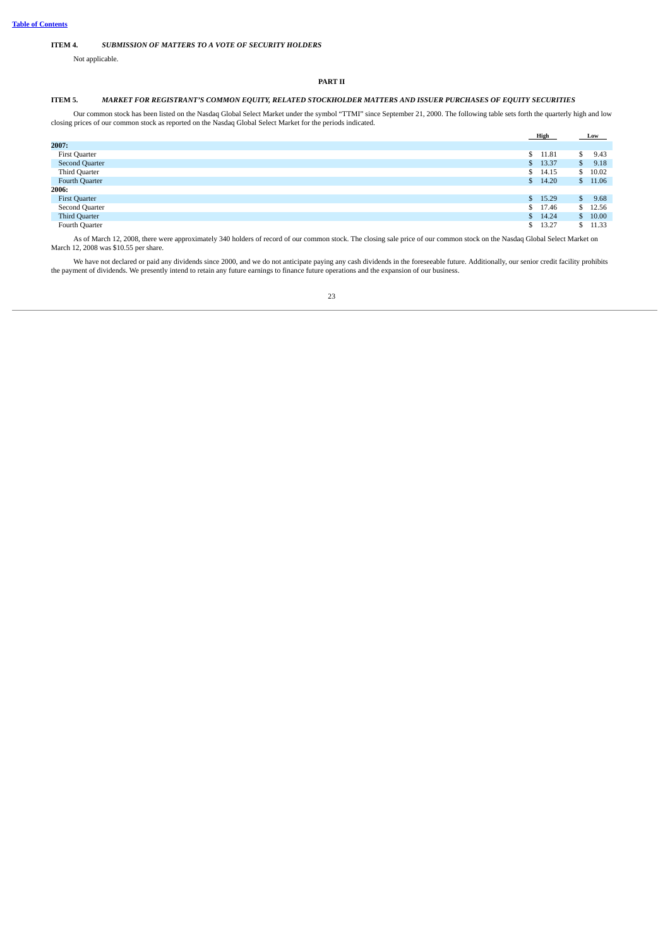## **ITEM 4.** *SUBMISSION OF MATTERS TO A VOTE OF SECURITY HOLDERS*

<span id="page-25-2"></span><span id="page-25-1"></span><span id="page-25-0"></span>Not applicable.

## **PART II**

## ITEM 5. MARKET FOR REGISTRANT'S COMMON EQUITY, RELATED STOCKHOLDER MATTERS AND ISSUER PURCHASES OF EQUITY SECURITIES

Our common stock has been listed on the Nasdaq Global Select Market under the symbol "TTMI" since September 21, 2000. The following table sets forth the quarterly high and low closing prices of our common stock as reported on the Nasdaq Global Select Market for the periods indicated.

|                       | High    | Low        |
|-----------------------|---------|------------|
| 2007:                 |         |            |
| <b>First Quarter</b>  | \$11.81 | \$<br>9.43 |
| <b>Second Quarter</b> | \$13.37 | \$<br>9.18 |
| Third Quarter         | \$14.15 | \$10.02    |
| Fourth Quarter        | \$14.20 | \$11.06    |
| 2006:                 |         |            |
| <b>First Quarter</b>  | \$15.29 | \$<br>9.68 |
| Second Quarter        | \$17.46 | \$12.56    |
| Third Quarter         | \$14.24 | \$10.00    |
| Fourth Quarter        | \$13.27 | \$11.33    |

As of March 12, 2008, there were approximately 340 holders of record of our common stock. The closing sale price of our common stock on the Nasdaq Global Select Market on March 12, 2008 was \$10.55 per share.

We have not declared or paid any dividends since 2000, and we do not anticipate paying any cash dividends in the foreseeable future. Additionally, our senior credit facility prohibits the payment of dividends. We presently intend to retain any future earnings to finance future operations and the expansion of our business.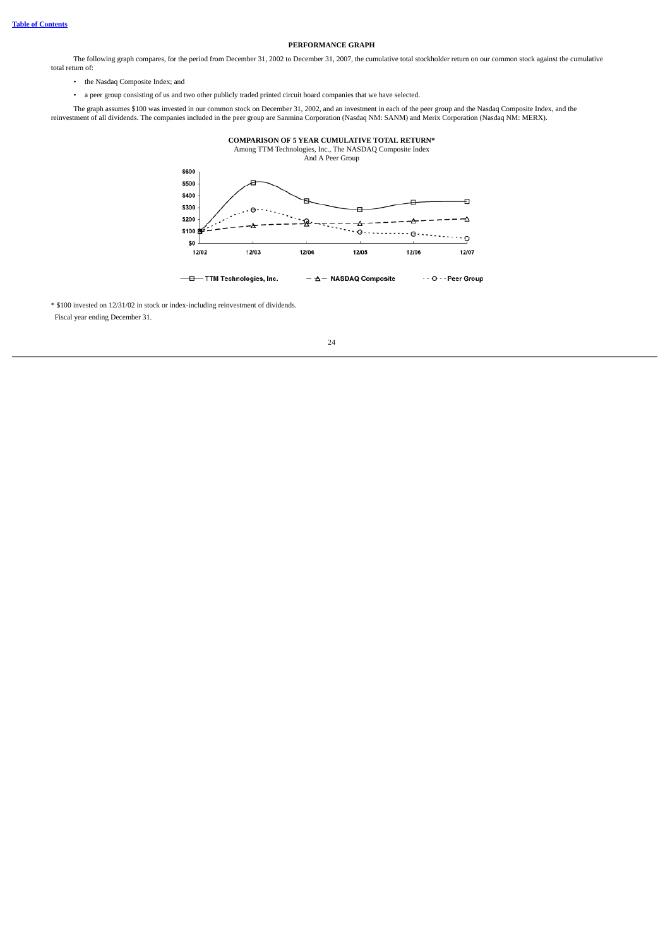## **PERFORMANCE GRAPH**

The following graph compares, for the period from December 31, 2002 to December 31, 2007, the cumulative total stockholder return on our common stock against the cumulative total return of:

- the Nasdaq Composite Index; and
- a peer group consisting of us and two other publicly traded printed circuit board companies that we have selected.

The graph assumes \$100 was invested in our common stock on December 31, 2002, and an investment in each of the peer group and the Nasdaq Composite Index, and the teinvestment of all dividends. The companies included in the



 $\,^*$  \$100 invested on 12/31/02 in stock or index-including reinvestment of dividends.

Fiscal year ending December 31.

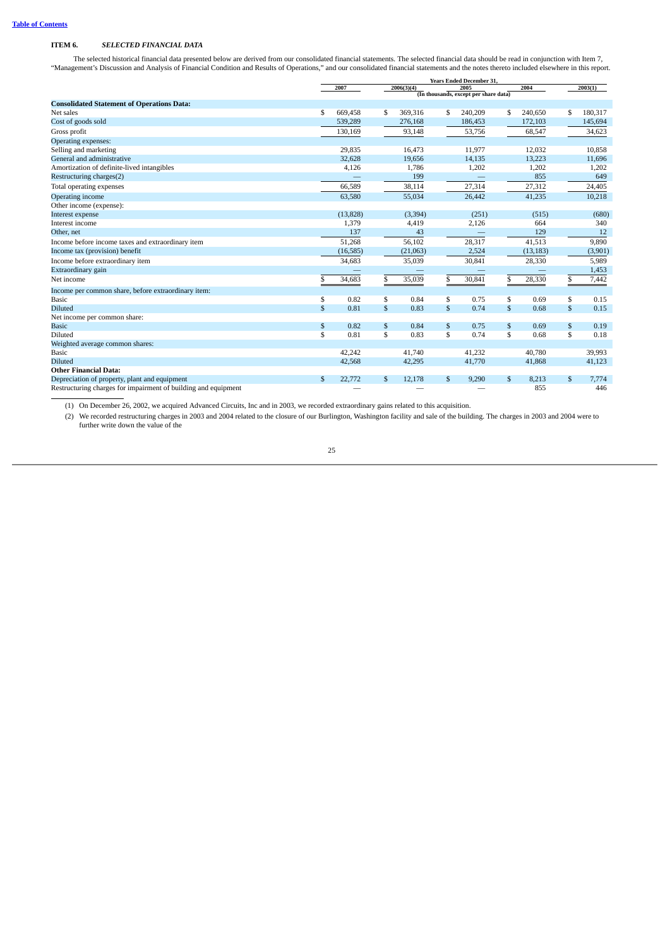## **ITEM 6.** *SELECTED FINANCIAL DATA*

<span id="page-27-0"></span>, The selected historical financial data presented below are derived from our consolidated financial statements. The selected financial data should be read in conjunction with Item 7,<br>"Management's Discussion and Analysis

|                                                                | <b>Years Ended December 31,</b> |           |                |            |    |                                               |              |           |     |         |
|----------------------------------------------------------------|---------------------------------|-----------|----------------|------------|----|-----------------------------------------------|--------------|-----------|-----|---------|
|                                                                |                                 | 2007      |                | 2006(3)(4) |    | 2005<br>(In thousands, except per share data) |              | 2004      |     | 2003(1) |
| <b>Consolidated Statement of Operations Data:</b>              |                                 |           |                |            |    |                                               |              |           |     |         |
| Net sales                                                      | \$                              | 669,458   | \$             | 369,316    | \$ | 240,209                                       | \$.          | 240,650   | \$  | 180,317 |
| Cost of goods sold                                             |                                 | 539,289   |                | 276,168    |    | 186,453                                       |              | 172,103   |     | 145,694 |
| Gross profit                                                   |                                 | 130,169   |                | 93,148     |    | 53,756                                        |              | 68,547    |     | 34,623  |
| Operating expenses:                                            |                                 |           |                |            |    |                                               |              |           |     |         |
| Selling and marketing                                          |                                 | 29,835    |                | 16,473     |    | 11,977                                        |              | 12,032    |     | 10,858  |
| General and administrative                                     |                                 | 32,628    |                | 19,656     |    | 14,135                                        |              | 13,223    |     | 11,696  |
| Amortization of definite-lived intangibles                     |                                 | 4,126     |                | 1,786      |    | 1,202                                         |              | 1,202     |     | 1,202   |
| Restructuring charges(2)                                       |                                 |           |                | 199        |    |                                               |              | 855       |     | 649     |
|                                                                |                                 |           |                |            |    | 27,314                                        |              |           |     |         |
| Total operating expenses                                       |                                 | 66,589    |                | 38,114     |    |                                               |              | 27,312    |     | 24,405  |
| Operating income                                               |                                 | 63,580    |                | 55,034     |    | 26,442                                        |              | 41,235    |     | 10,218  |
| Other income (expense):                                        |                                 |           |                |            |    |                                               |              |           |     |         |
| Interest expense                                               |                                 | (13, 828) |                | (3, 394)   |    | (251)                                         |              | (515)     |     | (680)   |
| Interest income                                                |                                 | 1,379     |                | 4,419      |    | 2,126                                         |              | 664       |     | 340     |
| Other, net                                                     |                                 | 137       |                | 43         |    |                                               |              | 129       |     | 12      |
| Income before income taxes and extraordinary item              |                                 | 51,268    |                | 56,102     |    | 28,317                                        |              | 41,513    |     | 9,890   |
| Income tax (provision) benefit                                 |                                 | (16, 585) |                | (21,063)   |    | 2,524                                         |              | (13, 183) |     | (3,901) |
| Income before extraordinary item                               |                                 | 34,683    |                | 35,039     |    | 30,841                                        |              | 28,330    |     | 5,989   |
| Extraordinary gain                                             |                                 |           |                |            |    |                                               |              |           |     | 1,453   |
| Net income                                                     | S.                              | 34,683    | \$             | 35,039     | \$ | 30,841                                        | \$.          | 28,330    | \$. | 7,442   |
| Income per common share, before extraordinary item:            |                                 |           |                |            |    |                                               |              |           |     |         |
| <b>Basic</b>                                                   | \$                              | 0.82      | \$             | 0.84       | \$ | 0.75                                          | \$           | 0.69      | \$  | 0.15    |
| <b>Diluted</b>                                                 | \$                              | 0.81      | $\mathfrak{S}$ | 0.83       | \$ | 0.74                                          | $\mathbb{S}$ | 0.68      | \$  | 0.15    |
| Net income per common share:                                   |                                 |           |                |            |    |                                               |              |           |     |         |
| <b>Basic</b>                                                   | \$                              | 0.82      | \$             | 0.84       | \$ | 0.75                                          | $\mathbb{S}$ | 0.69      | \$  | 0.19    |
| Diluted                                                        | \$                              | 0.81      | \$             | 0.83       | \$ | 0.74                                          | \$           | 0.68      | S   | 0.18    |
| Weighted average common shares:                                |                                 |           |                |            |    |                                               |              |           |     |         |
| <b>Basic</b>                                                   |                                 | 42,242    |                | 41,740     |    | 41,232                                        |              | 40,780    |     | 39,993  |
| <b>Diluted</b>                                                 |                                 | 42,568    |                | 42,295     |    | 41,770                                        |              | 41,868    |     | 41,123  |
| <b>Other Financial Data:</b>                                   |                                 |           |                |            |    |                                               |              |           |     |         |
| Depreciation of property, plant and equipment                  | \$                              | 22,772    | \$             | 12,178     | \$ | 9,290                                         | \$           | 8,213     | \$  | 7,774   |
| Restructuring charges for impairment of building and equipment |                                 |           |                |            |    |                                               |              | 855       |     | 446     |

(1) On December 26, 2002, we acquired Advanced Circuits, Inc and in 2003, we recorded extraordinary gains related to this acquisition.

(2) We recorded restructuring charges in 2003 and 2004 related to the closure of our Burlington, Washington facility and sale of the building. The charges in 2003 and 2004 were to further write down the value of the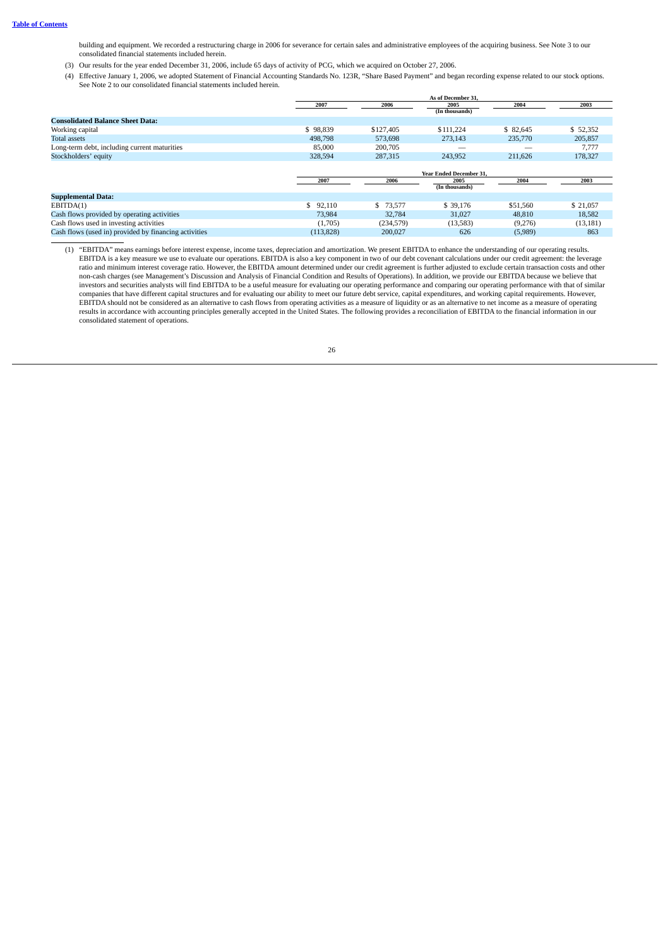building and equipment. We recorded a restructuring charge in 2006 for severance for certain sales and administrative employees of the acquiring business. See Note 3 to our consolidated financial statements included herein.

- (3) Our results for the year ended December 31, 2006, include 65 days of activity of PCG, which we acquired on October 27, 2006.
- (4) Effective January 1, 2006, we adopted Statement of Financial Accounting Standards No. 123R, "Share Based Payment" and began recording expense related to our stock options. See Note 2 to our consolidated financial statements included herein.

|                                                       | As of December 31. |              |                                |          |           |  |
|-------------------------------------------------------|--------------------|--------------|--------------------------------|----------|-----------|--|
|                                                       | 2007               | 2006         | 2005                           | 2004     | 2003      |  |
|                                                       |                    |              | (In thousands)                 |          |           |  |
| <b>Consolidated Balance Sheet Data:</b>               |                    |              |                                |          |           |  |
| Working capital                                       | \$98,839           | \$127,405    | \$111,224                      | \$82.645 | \$52,352  |  |
| <b>Total assets</b>                                   | 498,798            | 573,698      | 273.143                        | 235,770  | 205,857   |  |
| Long-term debt, including current maturities          | 85,000             | 200,705      |                                |          | 7,777     |  |
| Stockholders' equity                                  | 328,594            | 287,315      | 243.952                        | 211,626  | 178,327   |  |
|                                                       |                    |              |                                |          |           |  |
|                                                       |                    |              | <b>Year Ended December 31.</b> |          |           |  |
|                                                       | 2007               | 2006         | 2005                           | 2004     | 2003      |  |
|                                                       |                    |              | (In thousands)                 |          |           |  |
| <b>Supplemental Data:</b>                             |                    |              |                                |          |           |  |
| EBITDA(1)                                             | \$92,110           | \$<br>73,577 | \$39,176                       | \$51,560 | \$21,057  |  |
| Cash flows provided by operating activities           | 73.984             | 32,784       | 31,027                         | 48,810   | 18,582    |  |
| Cash flows used in investing activities               | (1,705)            | (234, 579)   | (13,583)                       | (9,276)  | (13, 181) |  |
| Cash flows (used in) provided by financing activities | (113, 828)         | 200,027      | 626                            | (5,989)  | 863       |  |

(1) "EBITDA" means earnings before interest expense, income taxes, depreciation and amortization. We present EBITDA to enhance the understanding of our operating results. EBITDA is a key measure we use to evaluate our operations. EBITDA is also a key component in two of our debt covenant calculations under our credit agreement: the leverage ratio and minimum interest coverage ratio. However, the EBITDA amount determined under our credit agreement is further adjusted to exclude certain transaction costs and other non-cash charges (see Management's Discussion and Analysis of Financial Condition and Results of Operations). In addition, we provide our EBITDA because we believe that investors and securities analysts will find EBITDA to be a useful measure for evaluating our operating performance and comparing our operating performance with that of similar<br>companies that have different capital structur EBITDA should not be considered as an alternative to cash flows from operating activities as a measure of liquidity or as an alternative to net income as a measure of operating results in accordance with accounting principles generally accepted in the United States. The following provides a reconciliation of EBITDA to the financial information in our consolidated statement of operations.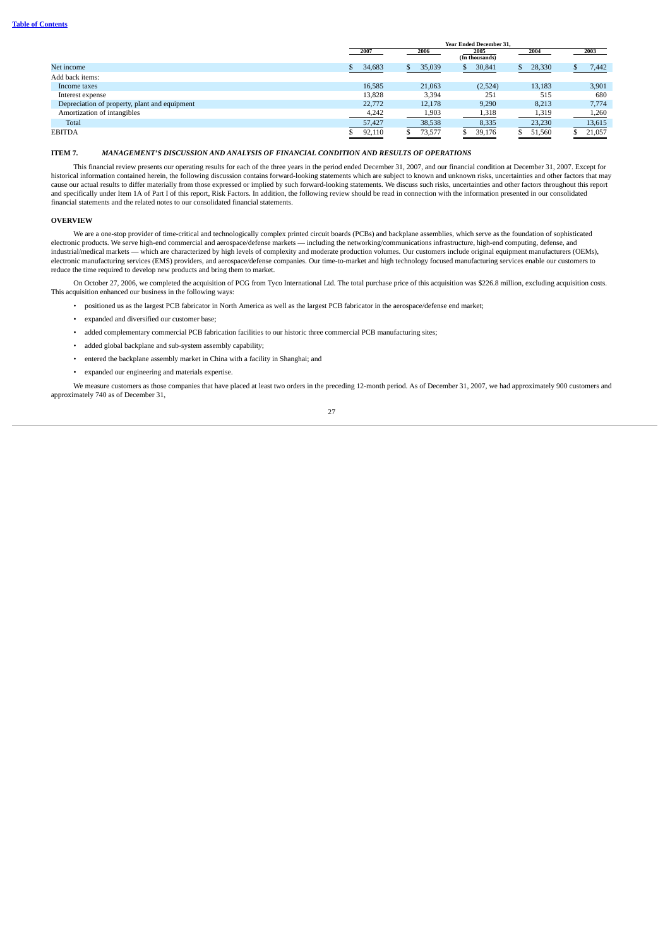|                                               |        | <b>Year Ended December 31.</b> |                        |              |        |  |  |
|-----------------------------------------------|--------|--------------------------------|------------------------|--------------|--------|--|--|
|                                               | 2007   | 2006                           | 2005<br>(In thousands) | 2004         | 2003   |  |  |
| Net income                                    | 34,683 | 35,039                         | 30,841<br>ъ.           | 28,330<br>S. | 7,442  |  |  |
| Add back items:                               |        |                                |                        |              |        |  |  |
| Income taxes                                  | 16,585 | 21,063                         | (2,524)                | 13,183       | 3,901  |  |  |
| Interest expense                              | 13,828 | 3,394                          | 251                    | 515          | 680    |  |  |
| Depreciation of property, plant and equipment | 22,772 | 12,178                         | 9,290                  | 8,213        | 7,774  |  |  |
| Amortization of intangibles                   | 4,242  | 1,903                          | 1,318                  | 1,319        | 1,260  |  |  |
| Total                                         | 57,427 | 38,538                         | 8,335                  | 23,230       | 13,615 |  |  |
| <b>EBITDA</b>                                 | 92,110 | 73,577                         | 39,176                 | 51,560       | 21,057 |  |  |

## <span id="page-29-0"></span>**ITEM 7.** *MANAGEMENT'S DISCUSSION AND ANALYSIS OF FINANCIAL CONDITION AND RESULTS OF OPERATIONS*

This financial review presents our operating results for each of the three years in the period ended December 31, 2007, and our financial condition at December 31, 2007. Except for historical information contained herein, the following discussion contains forward-looking statements which are subject to known and unknown risks, uncertainties and other factors that may cause our actual results to differ materially from those expressed or implied by such forward-looking statements. We discuss such risks, uncertainties and other factors throughout this report<br>and specifically under Item 1A financial statements and the related notes to our consolidated financial statements.

### **OVERVIEW**

We are a one-stop provider of time-critical and technologically complex printed circuit boards (PCBs) and backplane assemblies, which serve as the foundation of sophisticated electronic products. We serve high-end commercial and aerospace/defense markets — including the networking/communications infrastructure, high-end computing, defense, and industrial/medical markets — which are characterized by high levels of complexity and moderate production volumes. Our customers include original equipment manufacturers (OEMs), electronic manufacturing services (EMS) providers, and aerospace/defense companies. Our time-to-market and high technology focused manufacturing services enable our customers to reduce the time required to develop new products and bring them to market.

On October 27, 2006, we completed the acquisition of PCG from Tyco International Ltd. The total purchase price of this acquisition was \$226.8 million, excluding acquisition costs. This acquisition enhanced our business in the following ways:

- positioned us as the largest PCB fabricator in North America as well as the largest PCB fabricator in the aerospace/defense end market;
- expanded and diversified our customer base;
- added complementary commercial PCB fabrication facilities to our historic three commercial PCB manufacturing sites;
- added global backplane and sub-system assembly capability;
- entered the backplane assembly market in China with a facility in Shanghai; and
- expanded our engineering and materials expertise.

We measure customers as those companies that have placed at least two orders in the preceding 12-month period. As of December 31, 2007, we had approximately 900 customers and approximately 740 as of December 31,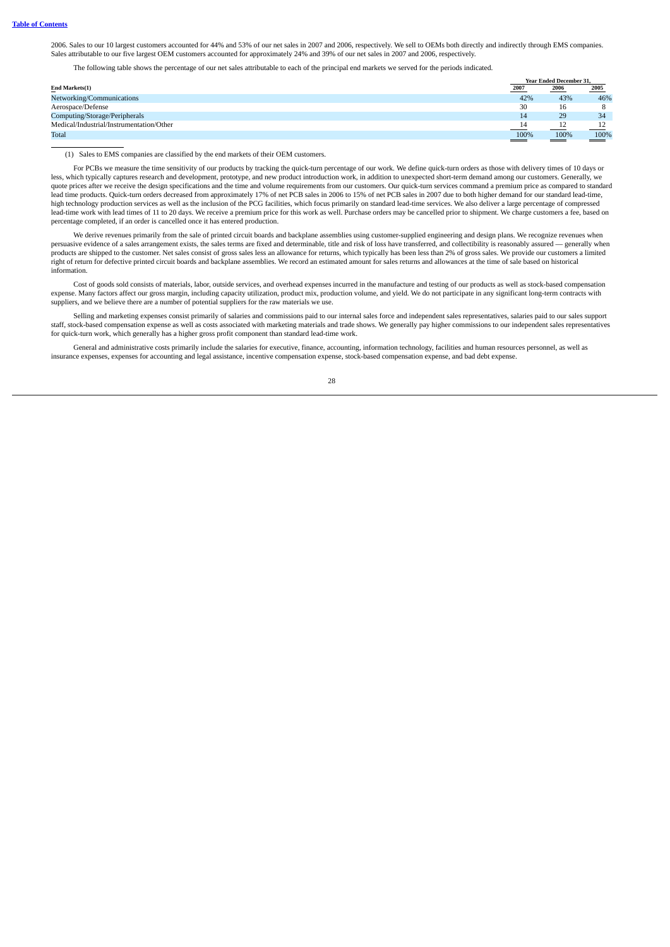2006. Sales to our 10 largest customers accounted for 44% and 53% of our net sales in 2007 and 2006, respectively. We sell to OEMs both directly and indirectly through EMS companies.<br>Sales attributable to our five largest

The following table shows the percentage of our net sales attributable to each of the principal end markets we served for the periods indicated.

|                                          |      | <b>Year Ended December 31.</b> |      |  |
|------------------------------------------|------|--------------------------------|------|--|
| <b>End Markets(1)</b>                    | 2007 | 2006                           | 2005 |  |
| Networking/Communications                | 42%  | 43%                            | 46%  |  |
| Aerospace/Defense                        | 30   | 16                             |      |  |
| Computing/Storage/Peripherals            | 14   | 29                             | 34   |  |
| Medical/Industrial/Instrumentation/Other | 14   |                                |      |  |
| Total                                    | 100% | 100%                           | 100% |  |

(1) Sales to EMS companies are classified by the end markets of their OEM customers.

For PCBs we measure the time sensitivity of our products by tracking the quick-turn percentage of our work. We define quick-turn orders as those with delivery times of 10 days or less, which typically captures research and development, prototype, and new product introduction work, in addition to unexpected short-term demand among our customers. Generally, we quote prices after we receive the design specifications and the time and volume requirements from our customers. Our quick-turn services command a premium price as compared to standard lead time products. Quick-turn orders decreased from approximately 17% of net PCB sales in 2006 to 15% of net PCB sales in 2007 due to both higher demand for our standard lead-time, high technology production services as well as the inclusion of the PCG facilities, which focus primarily on standard lead-time services. We also deliver a large percentage of compressed lead-time work with lead times of 11 to 20 days. We receive a premium price for this work as well. Purchase orders may be cancelled prior to shipment. We charge customers a fee, based on percentage completed, if an order is cancelled once it has entered production.

We derive revenues primarily from the sale of printed circuit boards and backplane assemblies using customer-supplied engineering and design plans. We recognize revenues when persuasive evidence of a sales arrangement exists, the sales terms are fixed and determinable, title and risk of loss have transferred, and collectibility is reasonably assured — generally when products are shipped to the customer. Net sales consist of gross sales less an allowance for returns, which typically has been less than 2% of gross sales. We provide our customers a limited right of return for defective printed circuit boards and backplane assemblies. We record an estimated amount for sales returns and allowances at the time of sale based on historical information.

Cost of goods sold consists of materials, labor, outside services, and overhead expenses incurred in the manufacture and testing of our products as well as stock-based compensation expense. Many factors affect our gross margin, including capacity utilization, product mix, production volume, and yield. We do not participate in any significant long-term contracts with suppliers, and we believe there are a number of potential suppliers for the raw materials we use.

Selling and marketing expenses consist primarily of salaries and commissions paid to our internal sales force and independent sales representatives, salaries paid to our sales support staff, stock-based compensation expense as well as costs associated with marketing materials and trade shows. We generally pay higher commissions to our independent sales representatives for quick-turn work, which generally has a higher gross profit component than standard lead-time work.

General and administrative costs primarily include the salaries for executive, finance, accounting, information technology, facilities and human resources personnel, as well as insurance expenses, expenses for accounting and legal assistance, incentive compensation expense, stock-based compensation expense, and bad debt expense.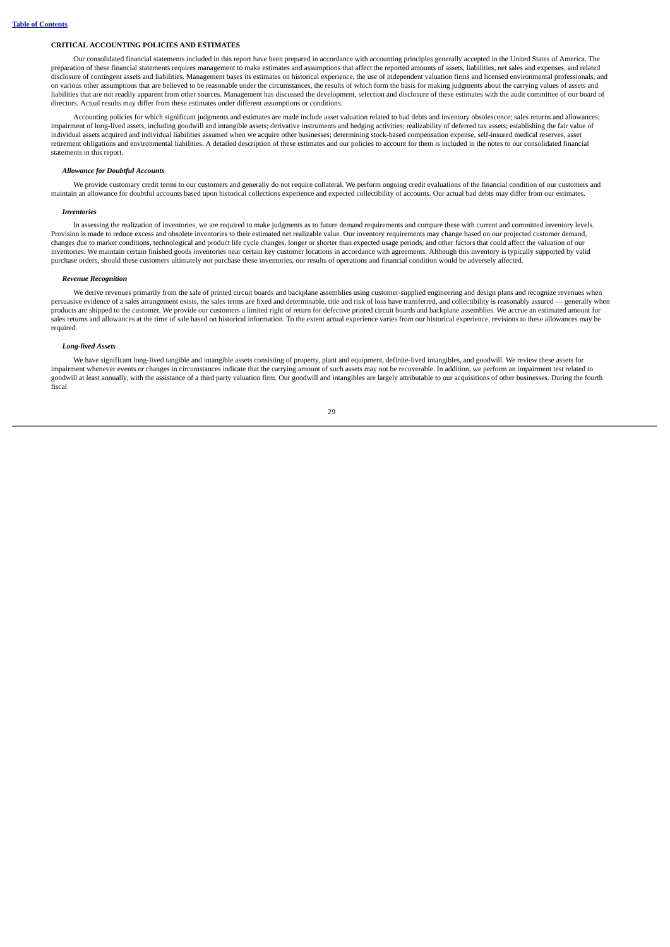## **CRITICAL ACCOUNTING POLICIES AND ESTIMATES**

Our consolidated financial statements included in this report have been prepared in accordance with accounting principles generally accepted in the United States of America. The preparation of these financial statements requires management to make estimates and assumptions that affect the reported amounts of assets, liabilities, net sales and expenses, and related disclosure of contingent assets and liabilities. Management bases its estimates on historical experience, the use of independent valuation firms and licensed environmental professionals, and on various other assumptions that are believed to be reasonable under the circumstances, the results of which form the basis for making judgments about the carrying values of assets and liabilities that are not readily apparent from other sources. Management has discussed the development, selection and disclosure of these estimates with the audit committee of our board of directors. Actual results may differ from these estimates under different assumptions or conditions.

Accounting policies for which significant judgments and estimates are made include asset valuation related to bad debts and inventory obsolescence; sales returns and allowances; impairment of long-lived assets, including goodwill and intangible assets; derivative instruments and hedging activities; realizability of deferred tax assets; establishing the fair value of individual assets acquired and individual liabilities assumed when we acquire other businesses; determining stock-based compensation expense, self-insured medical reserves, asset retirement obligations and environmental liabilities. A detailed description of these estimates and our policies to account for them is included in the notes to our consolidated financial statements in this report.

## *Allowance for Doubtful Accounts*

We provide customary credit terms to our customers and generally do not require collateral. We perform ongoing credit evaluations of the financial condition of our customers and<br>maintain an allowance for doubtful accounts

#### *Inventories*

In assessing the realization of inventories, we are required to make judgments as to future demand requirements and compare these with current and committed inventory levels. Provision is made to reduce excess and obsolete inventories to their estimated net realizable value. Our inventory requirements may change based on our projected customer demand, changes due to market conditions, technological and product life cycle changes, longer or shorter than expected usage periods, and other factors that could affect the valuation of our inventories. We maintain certain finished goods inventories near certain key customer locations in accordance with agreements. Although this inventory is typically supported by valid purchase orders, should these customers ultimately not purchase these inventories, our results of operations and financial condition would be adversely affected.

#### *Revenue Recognition*

We derive revenues primarily from the sale of printed circuit boards and backplane assemblies using customer-supplied engineering and design plans and recognize revenues when persuasive evidence of a sales arrangement exists, the sales terms are fixed and determinable, title and risk of loss have transferred, and collectibility is reasonably assured — generally when products are shipped to the customer. We provide our customers a limited right of return for defective printed circuit boards and backplane assemblies. We accrue an estimated amount for sales returns and allowances at the time of sale based on historical information. To the extent actual experience varies from our historical experience, revisions to these allowances may be required.

## *Long-lived Assets*

We have significant long-lived tangible and intangible assets consisting of property, plant and equipment, definite-lived intangibles, and goodwill. We review these assets for impairment whenever events or changes in circumstances indicate that the carrying amount of such assets may not be recoverable. In addition, we perform an impairment test related to goodwill at least annually, with the assistance of a third party valuation firm. Our goodwill and intangibles are largely attributable to our acquisitions of other businesses. During the fourth fiscal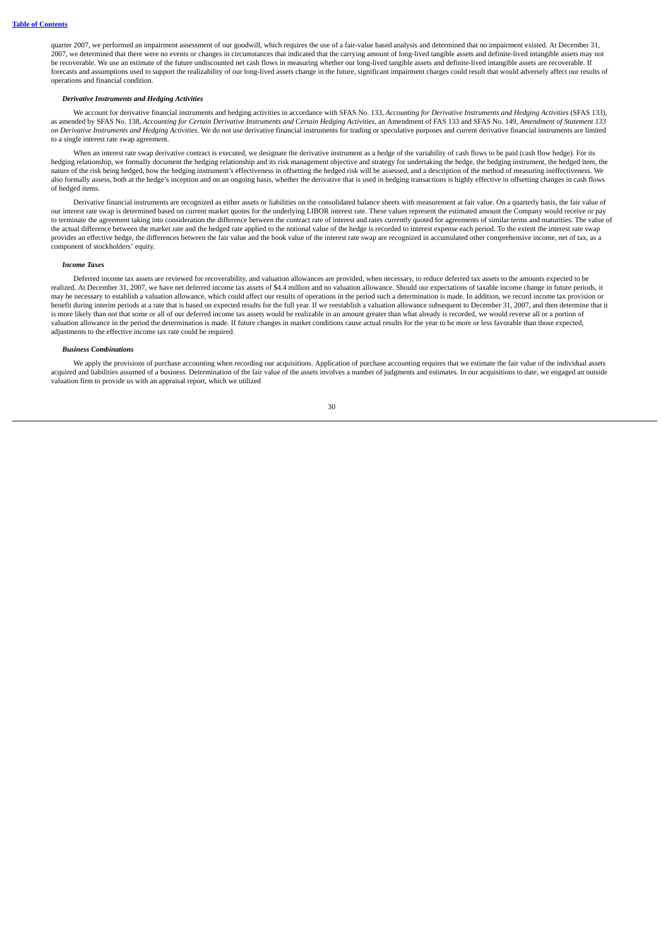quarter 2007, we performed an impairment assessment of our goodwill, which requires the use of a fair-value based analysis and determined that no impairment existed. At December 31, 2007, we determined that there were no events or changes in circumstances that indicated that the carrying amount of long-lived tangible assets and definite-lived intangible assets may not be recoverable. We use an estimate of the future undiscounted net cash flows in measuring whether our long-lived tangible assets and definite-lived intangible assets are recoverable. If forecasts and assumptions used to support the realizability of our long-lived assets change in the future, significant impairment charges could result that would adversely affect our results of operations and financial condition.

## *Derivative Instruments and Hedging Activities*

We account for derivative financial instruments and hedging activities in accordance with SFAS No. 133, Accounting for Derivative Instruments and Hedging Activities (SFAS 133), as amended by SFAS No. 138, *Accounting for Certain Derivative Instruments and Certain Hedging Activities*, an Amendment of FAS 133 and SFAS No. 149, *Amendment of Statement 133*<br>*on Derivative Instruments and Hedging Acti* to a single interest rate swap agreement.

When an interest rate swap derivative contract is executed, we designate the derivative instrument as a hedge of the variability of cash flows to be paid (cash flow hedge). For its hedging relationship, we formally document the hedging relationship and its risk management objective and strategy for undertaking the hedge, the hedging instrument, the hedged item, the nature of the risk being hedged, how the hedging instrument's effectiveness in offsetting the hedged risk will be assessed, and a description of the method of measuring ineffectiveness. We also formally assess, both at the hedge's inception and on an ongoing basis, whether the derivative that is used in hedging transactions is highly effective in offsetting changes in cash flows of hedged items.

Derivative financial instruments are recognized as either assets or liabilities on the consolidated balance sheets with measurement at fair value. On a quarterly basis, the fair value of our interest rate swap is determined based on current market quotes for the underlying LIBOR interest rate. These values represent the estimated amount the Company would receive or pay to terminate the agreement taking into consideration the difference between the contract rate of interest and rates currently quoted for agreements of similar terms and maturities. The value of the actual difference between the market rate and the hedged rate applied to the notional value of the hedge is recorded to interest expense each period. To the extent the interest rate swap provides an effective hedge, the differences between the fair value and the book value of the interest rate swap are recognized in accumulated other comprehensive income, net of tax, as a component of stockholders' equity.

## *Income Taxes*

Deferred income tax assets are reviewed for recoverability, and valuation allowances are provided, when necessary, to reduce deferred tax assets to the amounts expected to be realized. At December 31, 2007, we have net deferred income tax assets of \$4.4 million and no valuation allowance. Should our expectations of taxable income change in future periods, it may be necessary to establish a valuation allowance, which could affect our results of operations in the period such a determination is made. In addition, we record income tax provision or benefit during interim periods at a rate that is based on expected results for the full year. If we reestablish a valuation allowance subsequent to December 31, 2007, and then determine that it is more likely than not that some or all of our deferred income tax assets would be realizable in an amount greater than what already is recorded, we would reverse all or a portion of valuation allowance in the period the determination is made. If future changes in market conditions cause actual results for the year to be more or less favorable than those expected, adjustments to the effective income tax rate could be required.

## *Business Combinations*

We apply the provisions of purchase accounting when recording our acquisitions. Application of purchase accounting requires that we estimate the fair value of the individual assets acquired and liabilities assumed of a business. Determination of the fair value of the assets involves a number of judgments and estimates. In our acquisitions to date, we engaged an outside valuation firm to provide us with an appraisal report, which we utilized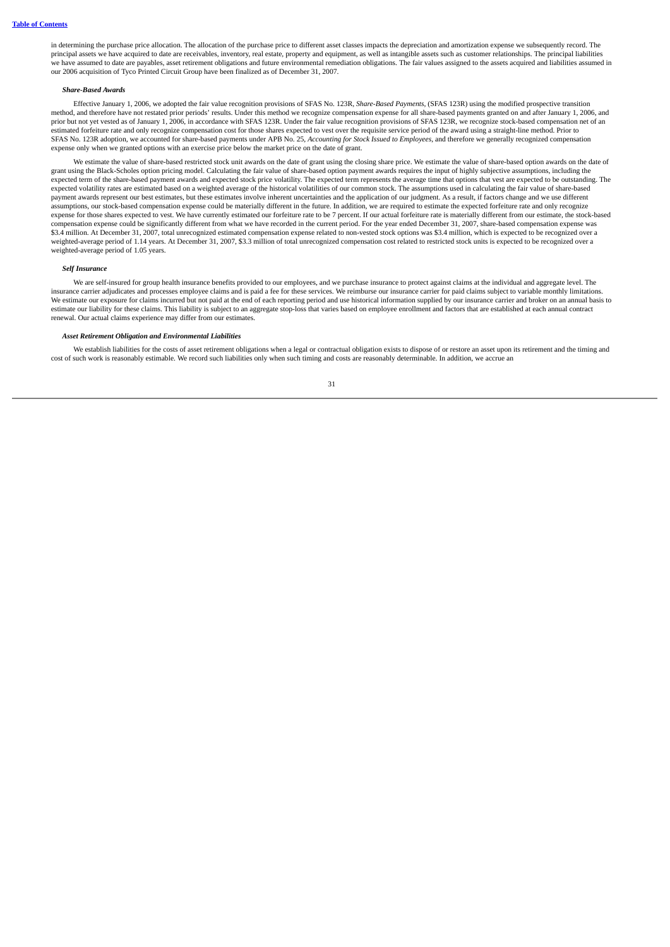in determining the purchase price allocation. The allocation of the purchase price to different asset classes impacts the depreciation and amortization expense we subsequently record. The principal assets we have acquired to date are receivables, inventory, real estate, property and equipment, as well as intangible assets such as customer relationships. The principal liabilities we have assumed to date are payables, asset retirement obligations and future environmental remediation obligations. The fair values assigned to the assets acquired and liabilities assumed in our 2006 acquisition of Tyco Printed Circuit Group have been finalized as of December 31, 2007.

## *Share-Based Awards*

Effective January 1, 2006, we adopted the fair value recognition provisions of SFAS No. 123R, *Share-Based Payments*, (SFAS 123R) using the modified prospective transition method, and therefore have not restated prior periods' results. Under this method we recognize compensation expense for all share-based payments granted on and after January 1, 2006, and prior but not yet vested as of January 1, 2006, in accordance with SFAS 123R. Under the fair value recognition provisions of SFAS 123R, we recognize stock-based compensation net of an<br>estimated forfeiture rate and only rec SFAS No. 123R adoption, we accounted for share-based payments under APB No. 25, *Accounting for Stock Issued to Employees*, and therefore we generally recognized compensation expense only when we granted options with an exercise price below the market price on the date of grant.

We estimate the value of share-based restricted stock unit awards on the date of grant using the closing share price. We estimate the value of share-based option awards on the date of grant using the Black-Scholes option pricing model. Calculating the fair value of share-based option payment awards requires the input of highly subjective assumptions, including the expected term of the share-based payment awards and expected stock price volatility. The expected term represents the average time that options that vest are expected to be outstanding. The expected volatility rates are estimated based on a weighted average of the historical volatilities of our common stock. The assumptions used in calculating the fair value of share-based payment awards represent our best estimates, but these estimates involve inherent uncertainties and the application of our judgment. As a result, if factors change and we use different assumptions, our stock-based compensation expense could be materially different in the future. In addition, we are required to estimate the expected forfeiture rate and only recognize expense for those shares expected to vest. We have currently estimated our forfeiture rate to be 7 percent. If our actual forfeiture rate is materially different from our estimate, the stock-based compensation expense could be significantly different from what we have recorded in the current period. For the year ended December 31, 2007, share-based compensation expense was \$3.4 million. At December 31, 2007, total unrecognized estimated compensation expense related to non-vested stock options was \$3.4 million, which is expected to be recognized over a weighted-average period of 1.14 years. At December 31, 2007, \$3.3 million of total unrecognized compensation cost related to restricted stock units is expected to be recognized over a weighted-average period of 1.05 years.

## *Self Insurance*

We are self-insured for group health insurance benefits provided to our employees, and we purchase insurance to protect against claims at the individual and aggregate level. The insurance carrier adjudicates and processes We estimate our exposure for claims incurred but not paid at the end of each reporting period and use historical information supplied by our insurance carrier and broker on an annual basis to estimate our liability for these claims. This liability is subject to an aggregate stop-loss that varies based on employee enrollment and factors that are established at each annual contract renewal. Our actual claims experience may differ from our estimates.

### *Asset Retirement Obligation and Environmental Liabilities*

We establish liabilities for the costs of asset retirement obligations when a legal or contractual obligation exists to dispose of or restore an asset upon its retirement and the timing and cost of such work is reasonably estimable. We record such liabilities only when such timing and costs are reasonably determinable. In addition, we accrue an

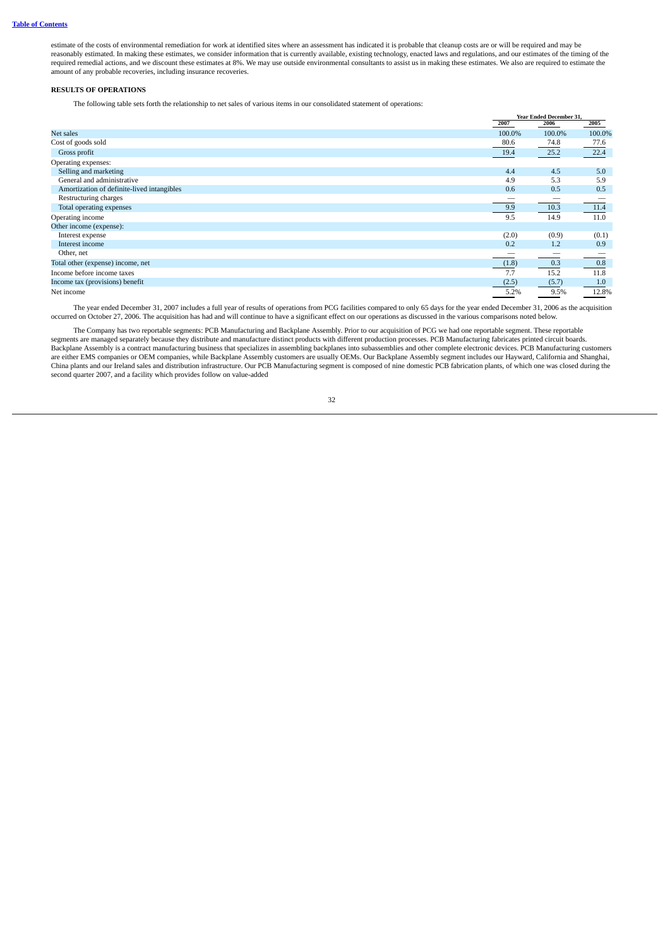estimate of the costs of environmental remediation for work at identified sites where an assessment has indicated it is probable that cleanup costs are or will be required and may be<br>reasonably estimated. In making these e required remedial actions, and we discount these estimates at 8%. We may use outside environmental consultants to assist us in making these estimates. We also are required to estimate the amount of any probable recoveries, including insurance recoveries.

## **RESULTS OF OPERATIONS**

The following table sets forth the relationship to net sales of various items in our consolidated statement of operations:

|                                            |        | Year Ended December 31, |        |  |
|--------------------------------------------|--------|-------------------------|--------|--|
|                                            | 2007   | 2006                    | 2005   |  |
| Net sales                                  | 100.0% | 100.0%                  | 100.0% |  |
| Cost of goods sold                         | 80.6   | 74.8                    | 77.6   |  |
| Gross profit                               | 19.4   | 25.2                    | 22.4   |  |
| Operating expenses:                        |        |                         |        |  |
| Selling and marketing                      | 4.4    | 4.5                     | 5.0    |  |
| General and administrative                 | 4.9    | 5.3                     | 5.9    |  |
| Amortization of definite-lived intangibles | 0.6    | 0.5                     | 0.5    |  |
| Restructuring charges                      |        |                         |        |  |
| Total operating expenses                   | 9.9    | 10.3                    | 11.4   |  |
| Operating income                           | 9.5    | 14.9                    | 11.0   |  |
| Other income (expense):                    |        |                         |        |  |
| Interest expense                           | (2.0)  | (0.9)                   | (0.1)  |  |
| Interest income                            | 0.2    | 1.2                     | 0.9    |  |
| Other, net                                 |        |                         |        |  |
| Total other (expense) income, net          | (1.8)  | 0.3                     | 0.8    |  |
| Income before income taxes                 | 7.7    | 15.2                    | 11.8   |  |
| Income tax (provisions) benefit            | (2.5)  | (5.7)                   | 1.0    |  |
| Net income                                 | 5.2%   | 9.5%                    | 12.8%  |  |

The year ended December 31, 2007 includes a full year of results of operations from PCG facilities compared to only 65 days for the year ended December 31, 2006 as the acquisition occurred on October 27, 2006. The acquisition has had and will continue to have a significant effect on our operations as discussed in the various comparisons noted below.

The Company has two reportable segments: PCB Manufacturing and Backplane Assembly. Prior to our acquisition of PCG we had one reportable segment. These reportable segments are managed separately because they distribute and manufacture distinct products with different production processes. PCB Manufacturing fabricates printed circuit boards. Backplane Assembly is a contract manufacturing business that specializes in assembling backplanes into subassemblies and other complete electronic devices. PCB Manufacturing customers are either EMS companies or OEM companies, while Backplane Assembly customers are usually OEMs. Our Backplane Assembly segment includes our Hayward, California and Shanghai, China plants and our Ireland sales and distribution infrastructure. Our PCB Manufacturing segment is composed of nine domestic PCB fabrication plants, of which one was closed during the second quarter 2007, and a facility which provides follow on value-added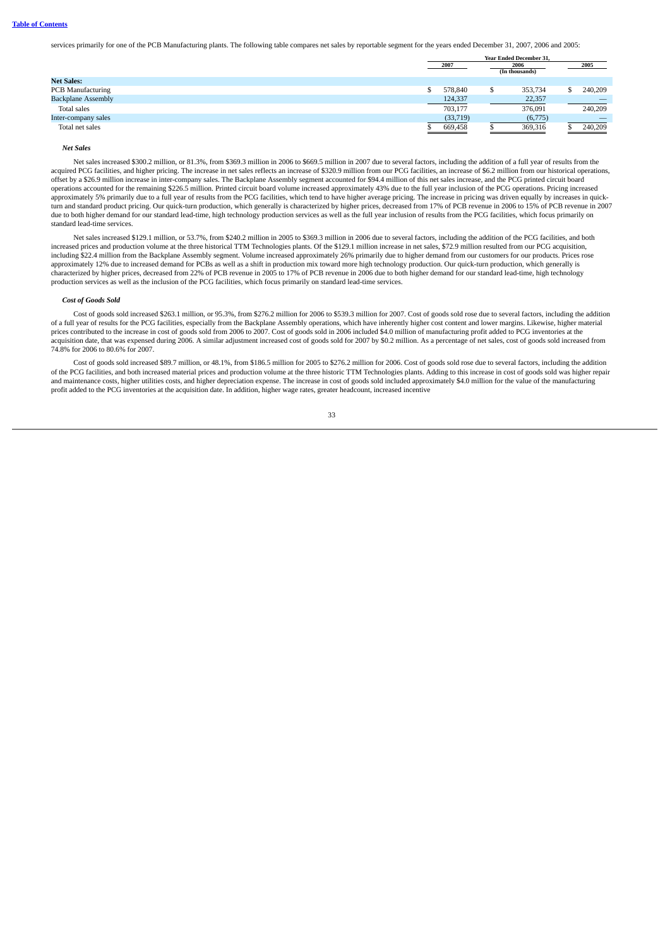services primarily for one of the PCB Manufacturing plants. The following table compares net sales by reportable segment for the years ended December 31, 2007, 2006 and 2005:

|                           |  | <b>Year Ended December 31.</b> |  |         |      |         |  |
|---------------------------|--|--------------------------------|--|---------|------|---------|--|
|                           |  | 2007<br>2006<br>(In thousands) |  |         | 2005 |         |  |
|                           |  |                                |  |         |      |         |  |
| <b>Net Sales:</b>         |  |                                |  |         |      |         |  |
| <b>PCB Manufacturing</b>  |  | 578,840                        |  | 353,734 |      | 240,209 |  |
| <b>Backplane Assembly</b> |  | 124,337                        |  | 22,357  |      |         |  |
| Total sales               |  | 703,177                        |  | 376,091 |      | 240,209 |  |
| Inter-company sales       |  | (33,719)                       |  | (6,775) |      |         |  |
| Total net sales           |  | 669,458                        |  | 369,316 |      | 240,209 |  |

## *Net Sales*

Net sales increased \$300.2 million, or 81.3%, from \$369.3 million in 2006 to \$669.5 million in 2007 due to several factors, including the addition of a full year of results from the acquired PCG facilities, and higher pricing. The increase in net sales reflects an increase of \$320.9 million from our PCG facilities, an increase of \$6.2 million from our historical operations, offset by a \$26.9 million increase in inter-company sales. The Backplane Assembly segment accounted for \$94.4 million of this net sales increase, and the PCG printed circuit board operations accounted for the remaining \$226.5 million. Printed circuit board volume increased approximately 43% due to the full year inclusion of the PCG operations. Pricing increased approximately 5% primarily due to a full year of results from the PCG facilities, which tend to have higher average pricing. The increase in pricing was driven equally by increases in quickturn and standard product pricing. Our quick-turn production, which generally is characterized by higher prices, decreased from 17% of PCB revenue in 2006 to 15% of PCB revenue in 2007 to 15% of PCB revenue in 2007 to 15% due to both higher demand for our standard lead-time, high technology production services as well as the full year inclusion of results from the PCG facilities, which focus primarily on standard lead-time services.

Net sales increased \$129.1 million, or 53.7%, from \$240.2 million in 2005 to \$369.3 million in 2006 due to several factors, including the addition of the PCG facilities, and both increased prices and production volume at the three historical TTM Technologies plants. Of the \$129.1 million increase in net sales, \$72.9 million resulted from our PCG acquisition, including \$22.4 million from the Backplane Assembly segment. Volume increased approximately 26% primarily due to higher demand from our customers for our products. Prices rose approximately 12% due to increased demand for PCBs as well as a shift in production mix toward more high technology production. Our quick-turn production, which generally is characterized by higher prices, decreased from 22% of PCB revenue in 2005 to 17% of PCB revenue in 2006 due to both higher demand for our standard lead-time, high technology production services as well as the inclusion of the PCG facilities, which focus primarily on standard lead-time services.

#### *Cost of Goods Sold*

Cost of goods sold increased \$263.1 million, or 95.3%, from \$276.2 million for 2006 to \$539.3 million for 2007. Cost of goods sold rose due to several factors, including the addition of a full year of results for the PCG facilities, especially from the Backplane Assembly operations, which have inherently higher cost content and lower margins. Likewise, higher material prices contributed to the increase in cost of goods sold from 2006 to 2007. Cost of goods sold in 2006 included \$4.0 million of manufacturing profit added to PCG inventories at the acquisition date, that was expensed during 2006. A similar adjustment increased cost of goods sold for 2007 by \$0.2 million. As a percentage of net sales, cost of goods sold increased from 74.8% for 2006 to 80.6% for 2007.

Cost of goods sold increased \$89.7 million, or 48.1%, from \$186.5 million for 2005 to \$276.2 million for 2006. Cost of goods sold rose due to several factors, including the addition of the PCG facilities, and both increased material prices and production volume at the three historic TTM Technologies plants. Adding to this increase in cost of goods sold was higher repair and maintenance costs, higher utilities costs, and higher depreciation expense. The increase in cost of goods sold included approximately \$4.0 million for the value of the manufacturing profit added to the PCG inventories at the acquisition date. In addition, higher wage rates, greater headcount, increased incentive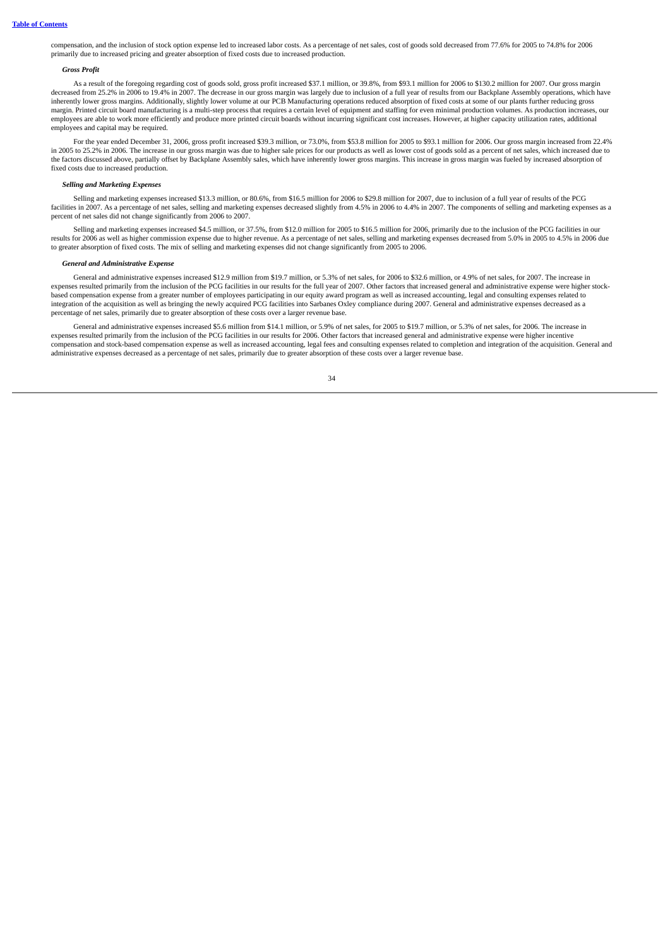compensation, and the inclusion of stock option expense led to increased labor costs. As a percentage of net sales, cost of goods sold decreased from 77.6% for 2005 to 74.8% for 2006 primarily due to increased pricing and greater absorption of fixed costs due to increased production.

#### *Gross Profit*

As a result of the foregoing regarding cost of goods sold, gross profit increased \$37.1 million, or 39.8%, from \$93.1 million for 2006 to \$130.2 million for 2007. Our gross margin decreased from 25.2% in 2006 to 19.4% in 2007. The decrease in our gross margin was largely due to inclusion of a full year of results from our Backplane Assembly operations, which have inherently lower gross margins. Additionally, slightly lower volume at our PCB Manufacturing operations reduced absorption of fixed costs at some of our plants further reducing gross margin. Printed circuit board manufacturing is a multi-step process that requires a certain level of equipment and staffing for even minimal production volumes. As production increases, our employees are able to work more efficiently and produce more printed circuit boards without incurring significant cost increases. However, at higher capacity utilization rates, additional employees and capital may be required.

For the year ended December 31, 2006, gross profit increased \$39.3 million, or 73.0%, from \$53.8 million for 2005 to \$93.1 million for 2006. Our gross margin increased from 22.4% in 2005 to 25.2% in 2006. The increase in our gross margin was due to higher sale prices for our products as well as lower cost of goods sold as a percent of net sales, which increased due to the factors discussed above, partially offset by Backplane Assembly sales, which have inherently lower gross margins. This increase in gross margin was fueled by increased absorption of fixed costs due to increased production.

#### *Selling and Marketing Expenses*

Selling and marketing expenses increased \$13.3 million, or 80.6%, from \$16.5 million for 2006 to \$29.8 million for 2007, due to inclusion of a full year of results of the PCG facilities in 2007. As a percentage of net sales, selling and marketing expenses decreased slightly from 4.5% in 2006 to 4.4% in 2007. The components of selling and marketing expenses as a percent of net sales did not change significantly from 2006 to 2007.

Selling and marketing expenses increased \$4.5 million, or 37.5%, from \$12.0 million for 2005 to \$16.5 million for 2006, primarily due to the inclusion of the PCG facilities in our results for 2006 as well as higher commission expense due to higher revenue. As a percentage of net sales, selling and marketing expenses decreased from 5.0% in 2005 to 4.5% in 2006 due<br>to greater absorption of fixed costs

#### *General and Administrative Expense*

General and administrative expenses increased \$12.9 million from \$19.7 million, or 5.3% of net sales, for 2006 to \$32.6 million, or 4.9% of net sales, for 2007. The increase in expenses resulted primarily from the inclusion of the PCG facilities in our results for the full year of 2007. Other factors that increased general and administrative expense were higher stockbased compensation expense from a greater number of employees participating in our equity award program as well as increased accounting, legal and consulting expenses related to<br>integration of the acquisition as well as br percentage of net sales, primarily due to greater absorption of these costs over a larger revenue base.

General and administrative expenses increased \$5.6 million from \$14.1 million, or 5.9% of net sales, for 2005 to \$19.7 million, or 5.3% of net sales, for 2006. The increase in expenses resulted primarily from the inclusion of the PCG facilities in our results for 2006. Other factors that increased general and administrative expense were higher incentive compensation and stock-based compensation expense as well as increased accounting, legal fees and consulting expenses related to completion and integration of the acquisition. General and administrative expenses decreased as a percentage of net sales, primarily due to greater absorption of these costs over a larger revenue base.

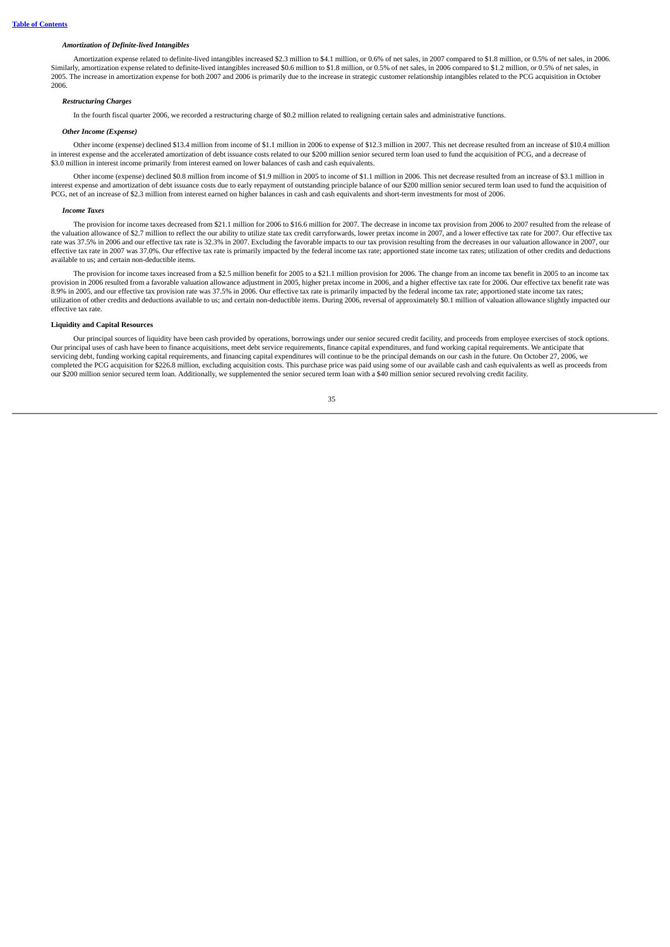#### *Amortization of Definite-lived Intangibles*

Amortization expense related to definite-lived intangibles increased \$2.3 million to \$4.1 million, or 0.6% of net sales, in 2007 compared to \$1.8 million, or 0.5% of net sales, in 2006. Similarly, amortization expense related to definite-lived intangibles increased \$0.6 million to \$1.8 million, or 0.5% of net sales, in 2006 compared to \$1.2 million, or 0.5% of net sales, in 2005. The increase in amortization expense for both 2007 and 2006 is primarily due to the increase in strategic customer relationship intangibles related to the PCG acquisition in October 2006.

#### *Restructuring Charges*

In the fourth fiscal quarter 2006, we recorded a restructuring charge of \$0.2 million related to realigning certain sales and administrative functions.

### *Other Income (Expense)*

Other income (expense) declined \$13.4 million from income of \$1.1 million in 2006 to expense of \$12.3 million in 2007. This net decrease resulted from an increase of \$10.4 million in interest expense and the accelerated amortization of debt issuance costs related to our \$200 million senior secured term loan used to fund the acquisition of PCG, and a decrease of \$3.0 million in interest income primarily from interest earned on lower balances of cash and cash equivalents.

Other income (expense) declined \$0.8 million from income of \$1.9 million in 2005 to income of \$1.1 million in 2006. This net decrease resulted from an increase of \$3.1 million in interest expense and amortization of debt issuance costs due to early repayment of outstanding principle balance of our \$200 million senior secured term loan used to fund the acquisition of PCG, net of an increase of \$2.3 million from interest earned on higher balances in cash and cash equivalents and short-term investments for most of 2006.

#### *Income Taxes*

The provision for income taxes decreased from \$21.1 million for 2006 to \$16.6 million for 2007. The decrease in income tax provision from 2006 to 2007 resulted from the release of the valuation allowance of \$2.7 million to reflect the our ability to utilize state tax credit carryforwards, lower pretax income in 2007, and a lower effective tax rate for 2007. Our effective tax rate was 37.5% in 2006 and our effective tax rate is 32.3% in 2007. Excluding the favorable impacts to our tax provision resulting from the decreases in our valuation allowance in 2007, our effective tax rate in 2007 was 37.0%. Our effective tax rate is primarily impacted by the federal income tax rate; apportioned state income tax rates; utilization of other credits and deductions available to us; and certain non-deductible items.

The provision for income taxes increased from a \$2.5 million benefit for 2005 to a \$21.1 million provision for 2006. The change from an income tax benefit in 2005 to an income tax provision in 2006 resulted from a favorable valuation allowance adjustment in 2005, higher pretax income in 2006, and a higher effective tax rate for 2006. Our effective tax benefit rate was 8.9% in 2005, and our effective tax provision rate was 37.5% in 2006. Our effective tax rate is primarily impacted by the federal income tax rate; apportioned state income tax rates; utilization of other credits and deductions available to us; and certain non-deductible items. During 2006, reversal of approximately \$0.1 million of valuation allowance slightly impacted our effective tax rate.

#### **Liquidity and Capital Resources**

Our principal sources of liquidity have been cash provided by operations, borrowings under our senior secured credit facility, and proceeds from employee exercises of stock options. Our principal uses of cash have been to finance acquisitions, meet debt service requirements, finance capital expenditures, and fund working capital requirements. We anticipate that servicing debt, funding working capital requirements, and financing capital expenditures will continue to be the principal demands on our cash in the future. On October 27, 2006, we completed the PCG acquisition for \$226.8 million, excluding acquisition costs. This purchase price was paid using some of our available cash and cash equivalents as well as proceeds from our \$200 million senior secured term loan. Additionally, we supplemented the senior secured term loan with a \$40 million senior secured revolving credit facility.

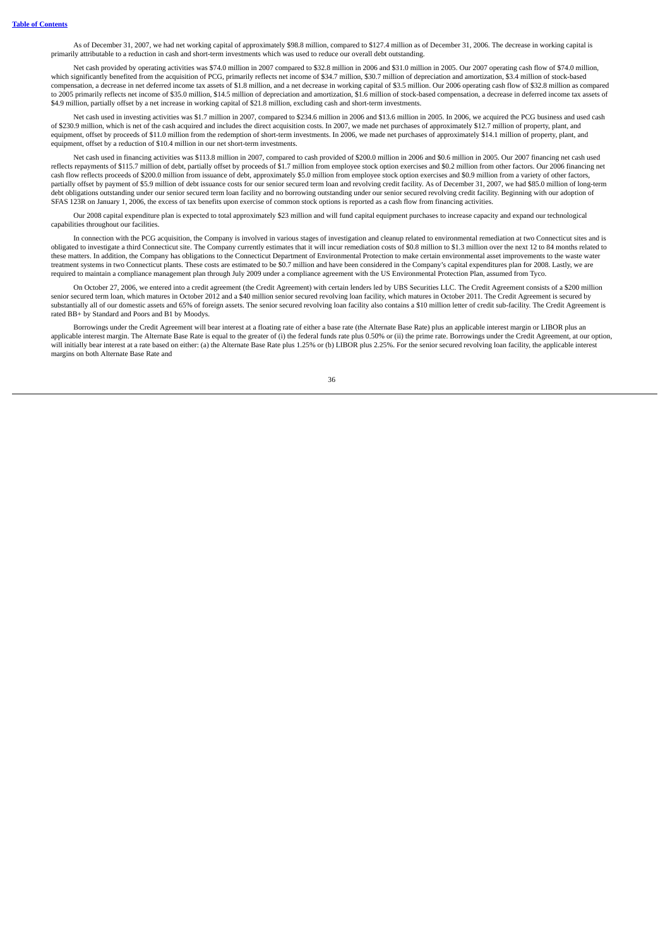As of December 31, 2007, we had net working capital of approximately \$98.8 million, compared to \$127.4 million as of December 31, 2006. The decrease in working capital is primarily attributable to a reduction in cash and short-term investments which was used to reduce our overall debt outstanding.

Net cash provided by operating activities was \$74.0 million in 2007 compared to \$32.8 million in 2006 and \$31.0 million in 2005. Our 2007 operating cash flow of \$74.0 million, which significantly benefited from the acquisition of PCG, primarily reflects net income of \$34.7 million, \$30.7 million of depreciation and amortization, \$3.4 million of stock-based compensation, a decrease in net deferred income tax assets of \$1.8 million, and a net decrease in working capital of \$3.5 million. Our 2006 operating cash flow of \$32.8 million as compared to 2005 primarily reflects net income of \$35.0 million, \$14.5 million of depreciation and amortization, \$1.6 million of stock-based compensation, a decrease in deferred income tax assets of \$4.9 million, partially offset by a net increase in working capital of \$21.8 million, excluding cash and short-term investments.

Net cash used in investing activities was \$1.7 million in 2007, compared to \$234.6 million in 2006 and \$13.6 million in 2005. In 2006, we acquired the PCG business and used cash of \$230.9 million, which is net of the cash acquired and includes the direct acquisition costs. In 2007, we made net purchases of approximately \$12.7 million of property, plant, and equipment, offset by proceeds of \$11.0 million from the redemption of short-term investments. In 2006, we made net purchases of approximately \$14.1 million of property, plant, and equipment, offset by a reduction of \$10.4 million in our net short-term investments.

Net cash used in financing activities was \$113.8 million in 2007, compared to cash provided of \$200.0 million in 2006 and \$0.6 million in 2005. Our 2007 financing net cash used reflects repayments of \$115.7 million of debt, partially offset by proceeds of \$1.7 million from employee stock option exercises and \$0.2 million from other factors. Our 2006 financing net cash flow reflects proceeds of \$200.0 million from issuance of debt, approximately \$5.0 million from employee stock option exercises and \$0.9 million from a variety of other factors, partially offset by payment of \$5.9 million of debt issuance costs for our senior secured term loan and revolving credit facility. As of December 31, 2007, we had \$85.0 million of long-term debt obligations outstanding under our senior secured term loan facility and no borrowing outstanding under our senior secured revolving credit facility. Beginning with our adoption of SFAS 123R on January 1, 2006, the excess of tax benefits upon exercise of common stock options is reported as a cash flow from financing activities.

Our 2008 capital expenditure plan is expected to total approximately \$23 million and will fund capital equipment purchases to increase capacity and expand our technological capabilities throughout our facilities.

In connection with the PCG acquisition, the Company is involved in various stages of investigation and cleanup related to environmental remediation at two Connecticut sites and is obligated to investigate a third Connecticut site. The Company currently estimates that it will incur remediation costs of \$0.8 million to \$1.3 million over the next 12 to 84 months related to these matters. In addition, the Company has obligations to the Connecticut Department of Environmental Protection to make certain environmental asset improvements to the waste water treatment systems in two Connecticut plants. These costs are estimated to be \$0.7 million and have been considered in the Company's capital expenditures plan for 2008. Lastly, we are treatment systems in two Connecticut pl required to maintain a compliance management plan through July 2009 under a compliance agreement with the US Environmental Protection Plan, assumed from Tyco.

On October 27, 2006, we entered into a credit agreement (the Credit Agreement) with certain lenders led by UBS Securities LLC. The Credit Agreement consists of a \$200 million senior secured term loan, which matures in October 2012 and a \$40 million senior secured revolving loan facility, which matures in October 2011. The Credit Agreement is secured by substantially all of our domestic assets and 65% of foreign assets. The senior secured revolving loan facility also contains a \$10 million letter of credit sub-facility. The Credit Agreement is rated BB+ by Standard and Poors and B1 by Moodys.

Borrowings under the Credit Agreement will bear interest at a floating rate of either a base rate (the Alternate Base Rate) plus an applicable interest margin or LIBOR plus an applicable interest margin. The Alternate Base Rate is equal to the greater of (i) the federal funds rate plus 0.50% or (ii) the prime rate. Borrowings under the Credit Agreement, at our option,<br>will initially bear interes margins on both Alternate Base Rate and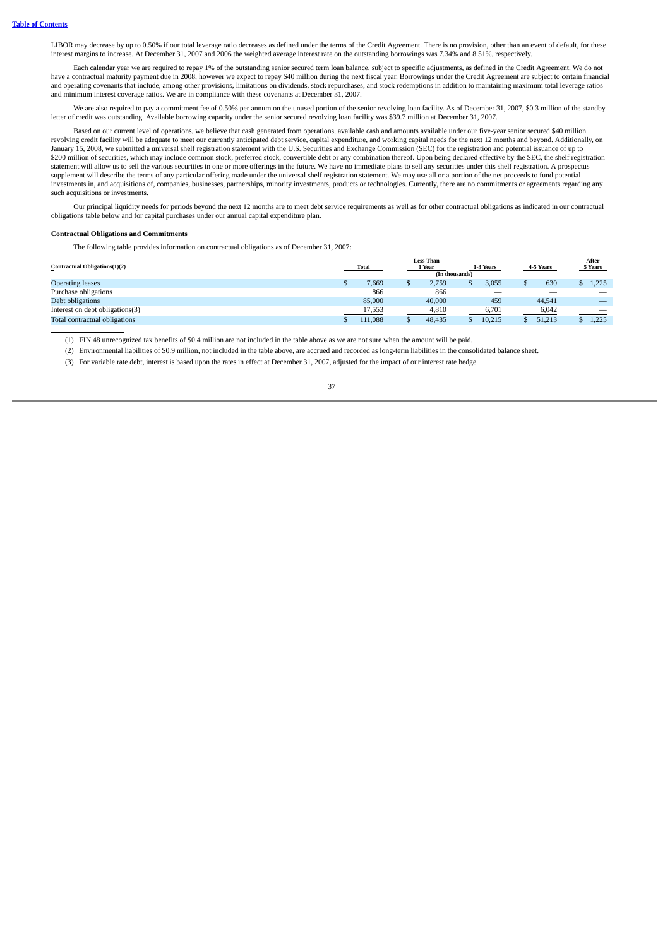LIBOR may decrease by up to 0.50% if our total leverage ratio decreases as defined under the terms of the Credit Agreement. There is no provision, other than an event of default, for these<br>interest margins to increase. At

Each calendar year we are required to repay 1% of the outstanding senior secured term loan balance, subject to specific adjustments, as defined in the Credit Agreement. We do not have a contractual maturity payment due in 2008, however we expect to repay \$40 million during the next fiscal year. Borrowings under the Credit Agreement are subject to certain financial and operating covenants that include, among other provisions, limitations on dividends, stock repurchases, and stock redemptions in addition to maintaining maximum total leverage ratios and minimum interest coverage ratios. We are in compliance with these covenants at December 31, 2007.

We are also required to pay a commitment fee of 0.50% per annum on the unused portion of the senior revolving loan facility. As of December 31, 2007, \$0.3 million of the standby letter of credit was outstanding. Available borrowing capacity under the senior secured revolving loan facility was \$39.7 million at December 31, 2007.

Based on our current level of operations, we believe that cash generated from operations, available cash and amounts available under our five-year senior secured \$40 million revolving credit facility will be adequate to meet our currently anticipated debt service, capital expenditure, and working capital needs for the next 12 months and beyond. Additionally, on January 15, 2008, we submitted a universal shelf registration statement with the U.S. Securities and Exchange Commission (SEC) for the registration and potential issuance of up to \$200 million of securities, which may include common stock, preferred stock, convertible debt or any combination thereof. Upon being declared effective by the SEC, the shelf registration statement will allow us to sell the various securities in one or more offerings in the future. We have no immediate plans to sell any securities under this shelf registration. A prospectus supplement will describe the terms of any particular offering made under the universal shelf registration statement. We may use all or a portion of the net proceeds to fund potential investments in, and acquisitions of, companies, businesses, partnerships, minority investments, products or technologies. Currently, there are no commitments or agreements regarding any such acquisitions or investments.

Our principal liquidity needs for periods beyond the next 12 months are to meet debt service requirements as well as for other contractual obligations as indicated in our contractual obligations table below and for capital purchases under our annual capital expenditure plan.

#### **Contractual Obligations and Commitments**

The following table provides information on contractual obligations as of December 31, 2007:

| Contractual Obligations(1)(2)   | Total   | <b>Less Than</b><br>1 Year | (In thousands) | 1-3 Years                | 4-5 Years | After<br>5 Years |
|---------------------------------|---------|----------------------------|----------------|--------------------------|-----------|------------------|
| <b>Operating leases</b>         | 7.669   | 2.759                      |                | 3.055                    | 630       | 1.225            |
| Purchase obligations            | 866     | 866                        |                | $\overline{\phantom{a}}$ |           | __               |
| Debt obligations                | 85,000  | 40,000                     |                | 459                      | 44,541    |                  |
| Interest on debt obligations(3) | 17,553  | 4,810                      |                | 6,701                    | 6,042     |                  |
| Total contractual obligations   | 111.088 | 48,435                     |                | 10,215                   | 51,213    | 1,225            |

(1) FIN 48 unrecognized tax benefits of \$0.4 million are not included in the table above as we are not sure when the amount will be paid.

(2) Environmental liabilities of \$0.9 million, not included in the table above, are accrued and recorded as long-term liabilities in the consolidated balance sheet.

(3) For variable rate debt, interest is based upon the rates in effect at December 31, 2007, adjusted for the impact of our interest rate hedge.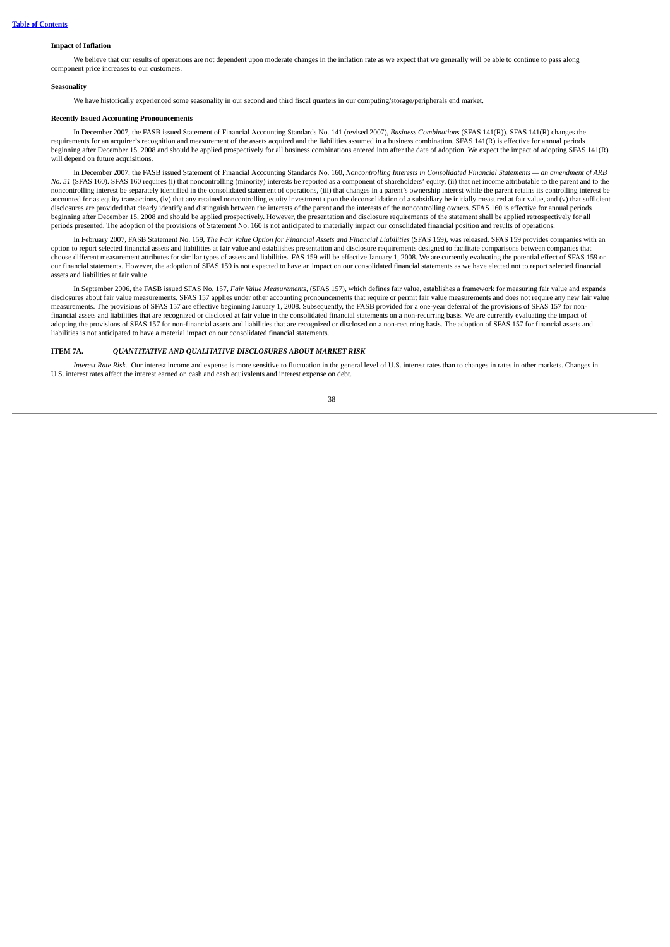### **Impact of Inflation**

We believe that our results of operations are not dependent upon moderate changes in the inflation rate as we expect that we generally will be able to continue to pass along component price increases to our customers.

#### **Seasonality**

We have historically experienced some seasonality in our second and third fiscal quarters in our computing/storage/peripherals end market.

#### **Recently Issued Accounting Pronouncements**

In December 2007, the FASB issued Statement of Financial Accounting Standards No. 141 (revised 2007), *Business Combinations* (SFAS 141(R)). SFAS 141(R) changes the requirements for an acquirer's recognition and measurement of the assets acquired and the liabilities assumed in a business combination. SFAS 141(R) is effective for annual periods beginning after December 15, 2008 and should be applied prospectively for all business combinations entered into after the date of adoption. We expect the impact of adopting SFAS 141(R) will depend on future acquisitions.

In December 2007, the FASB issued Statement of Financial Accounting Standards No. 160, Noncontrolling Interests in Consolidated Financial Statements - an amendment of ARB No. 51 (SFAS 160). SFAS 160 requires (i) that noncontrolling (minority) interests be reported as a component of shareholders' equity, (ii) that net income attributable to the parent and to the noncontrolling interest be separately identified in the consolidated statement of operations, (iii) that changes in a parent's ownership interest while the parent retains its controlling interest be accounted for as equity transactions, (iv) that any retained noncontrolling equity investment upon the deconsolidation of a subsidiary be initially measured at fair value, and (v) that sufficient disclosures are provided that clearly identify and distinguish between the interests of the parent and the interests of the noncontrolling owners. SFAS 160 is effective for annual periods beginning after December 15, 2008 and should be applied prospectively. However, the presentation and disclosure requirements of the statement shall be applied retrospectively for all periods presented. The adoption of the provisions of Statement No. 160 is not anticipated to materially impact our consolidated financial position and results of operations.

In February 2007, FASB Statement No. 159, The Fair Value Option for Financial Assets and Financial Liabilities (SFAS 159), was released. SFAS 159 provides companies with an option to report selected financial assets and liabilities at fair value and establishes presentation and disclosure requirements designed to facilitate comparisons between companies that<br>choose different measurement attri our financial statements. However, the adoption of SFAS 159 is not expected to have an impact on our consolidated financial statements as we have elected not to report selected financial assets and liabilities at fair value.

In September 2006, the FASB issued SFAS No. 157, *Fair Value Measurements*, (SFAS 157), which defines fair value, establishes a framework for measuring fair value and expands disclosures about fair value measurements. SFAS 157 applies under other accounting pronouncements that require or permit fair value measurements and does not require any new fair value measurements. The provisions of SFAS 157 are effective beginning January 1, 2008. Subsequently, the FASB provided for a one-year deferral of the provisions of SFAS 157 for nonfinancial assets and liabilities that are recognized or disclosed at fair value in the consolidated financial statements on a non-recurring basis. We are currently evaluating the impact of adopting the provisions of SFAS 157 for non-financial assets and liabilities that are recognized or disclosed on a non-recurring basis. The adoption of SFAS 157 for financial assets and liabilities is not anticipated to have a material impact on our consolidated financial statements.

### **ITEM 7A.** *QUANTITATIVE AND QUALITATIVE DISCLOSURES ABOUT MARKET RISK*

*Interest Rate Risk.* Our interest income and expense is more sensitive to fluctuation in the general level of U.S. interest rates than to changes in rates in other markets. Changes in U.S. interest rates affect the interest earned on cash and cash equivalents and interest expense on debt.

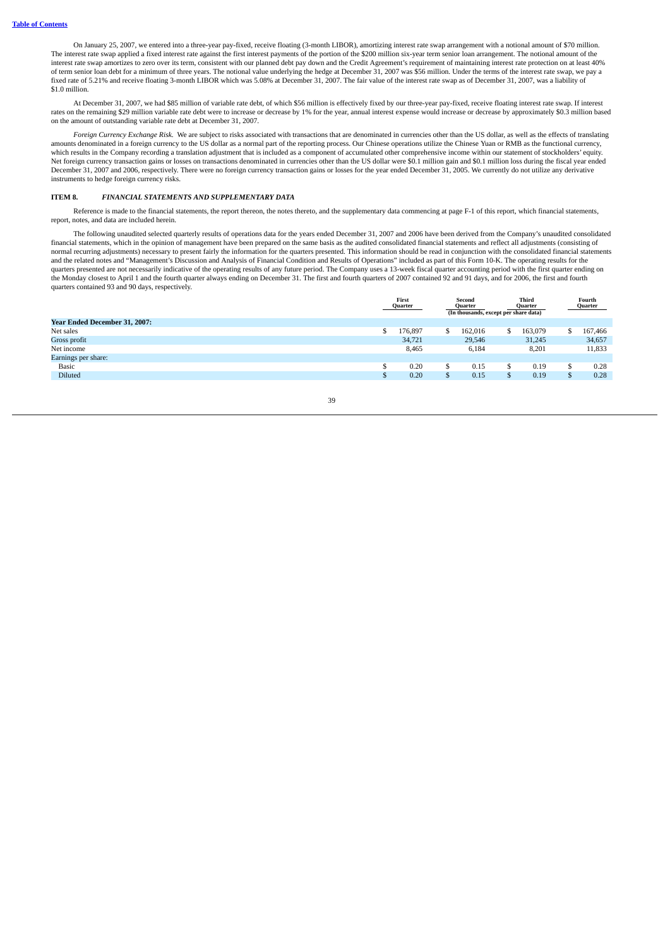On January 25, 2007, we entered into a three-year pay-fixed, receive floating (3-month LIBOR), amortizing interest rate swap arrangement with a notional amount of \$70 million. The interest rate swap applied a fixed interest rate against the first interest payments of the portion of the \$200 million six-year term senior loan arrangement. The notional amount of the interest rate swap amortizes to zero over its term, consistent with our planned debt pay down and the Credit Agreement's requirement of maintaining interest rate protection on at least 40% of term senior loan debt for a minimum of three years. The notional value underlying the hedge at December 31, 2007 was \$56 million. Under the terms of the interest rate swap, we pay a fixed rate of 5.21% and receive floating 3-month LIBOR which was 5.08% at December 31, 2007. The fair value of the interest rate swap as of December 31, 2007, was a liability of \$1.0 million.

At December 31, 2007, we had \$85 million of variable rate debt, of which \$56 million is effectively fixed by our three-year pay-fixed, receive floating interest rate swap. If interest rates on the remaining \$29 million variable rate debt were to increase or decrease by 1% for the year, annual interest expense would increase or decrease by approximately \$0.3 million based on the amount of outstanding variable rate debt at December 31, 2007.

*Foreign Currency Exchange Risk.* We are subject to risks associated with transactions that are denominated in currencies other than the US dollar, as well as the effects of translating amounts denominated in a foreign currency to the US dollar as a normal part of the reporting process. Our Chinese operations utilize the Chinese Yuan or RMB as the functional currency, which results in the Company recording a translation adjustment that is included as a component of accumulated other comprehensive income within our statement of stockholders' equity. Net foreign currency transaction gains or losses on transactions denominated in currencies other than the US dollar were \$0.1 million gain and \$0.1 million loss during the fiscal year ended December 31, 2007 and 2006, respectively. There were no foreign currency transaction gains or losses for the year ended December 31, 2005. We currently do not utilize any derivative instruments to hedge foreign currency risks.

#### **ITEM 8.** *FINANCIAL STATEMENTS AND SUPPLEMENTARY DATA*

Reference is made to the financial statements, the report thereon, the notes thereto, and the supplementary data commencing at page F-1 of this report, which financial statements, report, notes, and data are included herein.

The following unaudited selected quarterly results of operations data for the years ended December 31, 2007 and 2006 have been derived from the Company's unaudited consolidated financial statements, which in the opinion of management have been prepared on the same basis as the audited consolidated financial statements and reflect all adjustments (consisting of normal recurring adjustments) necessary to present fairly the information for the quarters presented. This information should be read in conjunction with the consolidated financial statements and the related notes and "Management's Discussion and Analysis of Financial Condition and Results of Operations" included as part of this Form 10-K. The operating results for the quarters presented are not necessarily indicative of the operating results of any future period. The Company uses a 13-week fiscal quarter accounting period with the first quarter ending on the Monday closest to April 1 and the fourth quarter always ending on December 31. The first and fourth quarters of 2007 contained 92 and 91 days, and for 2006, the first and fourth quarters contained 93 and 90 days, respectively.

|                               |    | First<br>Second<br>Quarter<br>Ouarter<br>(In thousands, except per share data) |  |         | Third<br>Quarter |         | Fourth<br>Quarter |         |
|-------------------------------|----|--------------------------------------------------------------------------------|--|---------|------------------|---------|-------------------|---------|
| Year Ended December 31, 2007: |    |                                                                                |  |         |                  |         |                   |         |
| Net sales                     | \$ | 176,897                                                                        |  | 162.016 | S                | 163,079 | S.                | 167,466 |
| Gross profit                  |    | 34.721                                                                         |  | 29,546  |                  | 31,245  |                   | 34,657  |
| Net income                    |    | 8,465                                                                          |  | 6,184   |                  | 8,201   |                   | 11,833  |
| Earnings per share:           |    |                                                                                |  |         |                  |         |                   |         |
| <b>Basic</b>                  | S  | 0.20                                                                           |  | 0.15    |                  | 0.19    |                   | 0.28    |
| <b>Diluted</b>                | ъ  | 0.20                                                                           |  | 0.15    |                  | 0.19    |                   | 0.28    |
|                               |    |                                                                                |  |         |                  |         |                   |         |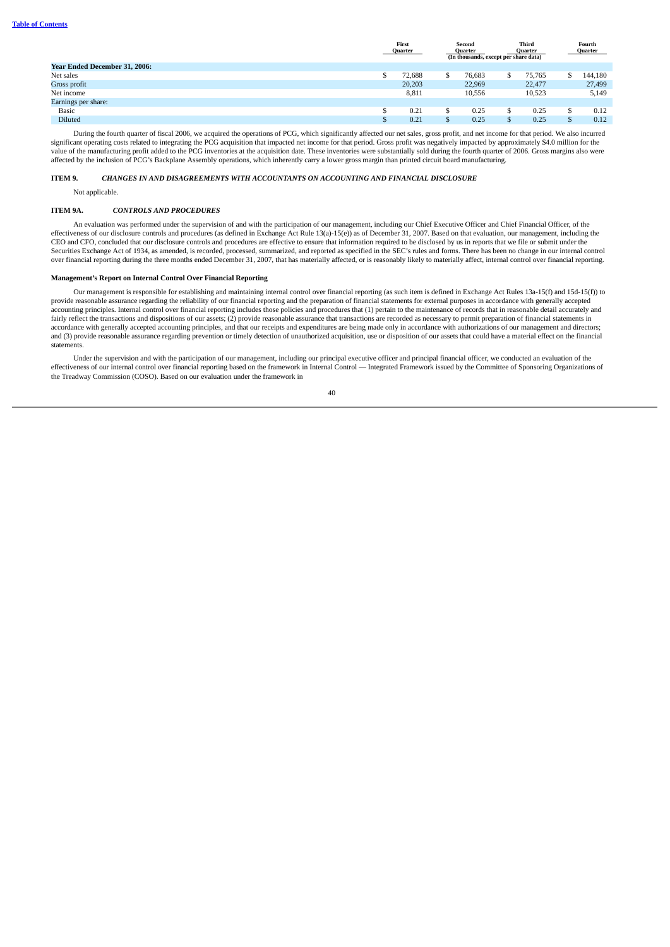|                               | First<br>Second<br>Quarter<br>Quarter<br>(In thousands, except per share data) |     |        | Third<br>Quarter |   | Fourth<br>Quarter |
|-------------------------------|--------------------------------------------------------------------------------|-----|--------|------------------|---|-------------------|
| Year Ended December 31, 2006: |                                                                                |     |        |                  |   |                   |
| Net sales                     | 72.688                                                                         | \$. | 76.683 | 75.765           | S | 144,180           |
| Gross profit                  | 20,203                                                                         |     | 22,969 | 22,477           |   | 27,499            |
| Net income                    | 8,811                                                                          |     | 10,556 | 10,523           |   | 5,149             |
| Earnings per share:           |                                                                                |     |        |                  |   |                   |
| Basic                         | 0.21                                                                           |     | 0.25   | 0.25             |   | 0.12              |
| <b>Diluted</b>                | 0.21                                                                           |     | 0.25   | 0.25             |   | 0.12              |
|                               |                                                                                |     |        |                  |   |                   |

During the fourth quarter of fiscal 2006, we acquired the operations of PCG, which significantly affected our net sales, gross profit, and net income for that period. We also incurred significant operating costs related to integrating the PCG acquisition that impacted net income for that period. Gross profit was negatively impacted by approximately \$4.0 million for the value of the manufacturing profit added to the PCG inventories at the acquisition date. These inventories were substantially sold during the fourth quarter of 2006. Gross margins also were affected by the inclusion of PCG's Backplane Assembly operations, which inherently carry a lower gross margin than printed circuit board manufacturing.

### **ITEM 9.** *CHANGES IN AND DISAGREEMENTS WITH ACCOUNTANTS ON ACCOUNTING AND FINANCIAL DISCLOSURE*

Not applicable.

#### **ITEM 9A.** *CONTROLS AND PROCEDURES*

An evaluation was performed under the supervision of and with the participation of our management, including our Chief Executive Officer and Chief Financial Officer, of the effectiveness of our disclosure controls and procedures (as defined in Exchange Act Rule 13(a)-15(e)) as of December 31, 2007. Based on that evaluation, our management, including the CEO and CFO, concluded that our disclosure controls and procedures are effective to ensure that information required to be disclosed by us in reports that we file or submit under the Securities Exchange Act of 1934, as amended, is recorded, processed, summarized, and reported as specified in the SEC's rules and forms. There has been no change in our internal control over financial reporting during the three months ended December 31, 2007, that has materially affected, or is reasonably likely to materially affect, internal control over financial reporting.

### **Management's Report on Internal Control Over Financial Reporting**

Our management is responsible for establishing and maintaining internal control over financial reporting (as such item is defined in Exchange Act Rules 13a-15(f) and 15d-15(f)) to provide reasonable assurance regarding the reliability of our financial reporting and the preparation of financial statements for external purposes in accordance with generally accepted accounting principles. Internal control over financial reporting includes those policies and procedures that (1) pertain to the maintenance of records that in reasonable detail accurately and fairly reflect the transactions and dispositions of our assets; (2) provide reasonable assurance that transactions are recorded as necessary to permit preparation of financial statements in accordance with generally accepted accounting principles, and that our receipts and expenditures are being made only in accordance with authorizations of our management and directors; and (3) provide reasonable assurance regarding prevention or timely detection of unauthorized acquisition, use or disposition of our assets that could have a material effect on the financial statements.

Under the supervision and with the participation of our management, including our principal executive officer and principal financial officer, we conducted an evaluation of the effectiveness of our internal control over financial reporting based on the framework in Internal Control — Integrated Framework issued by the Committee of Sponsoring Organizations of<br>the Treadway Commission (COSO). Based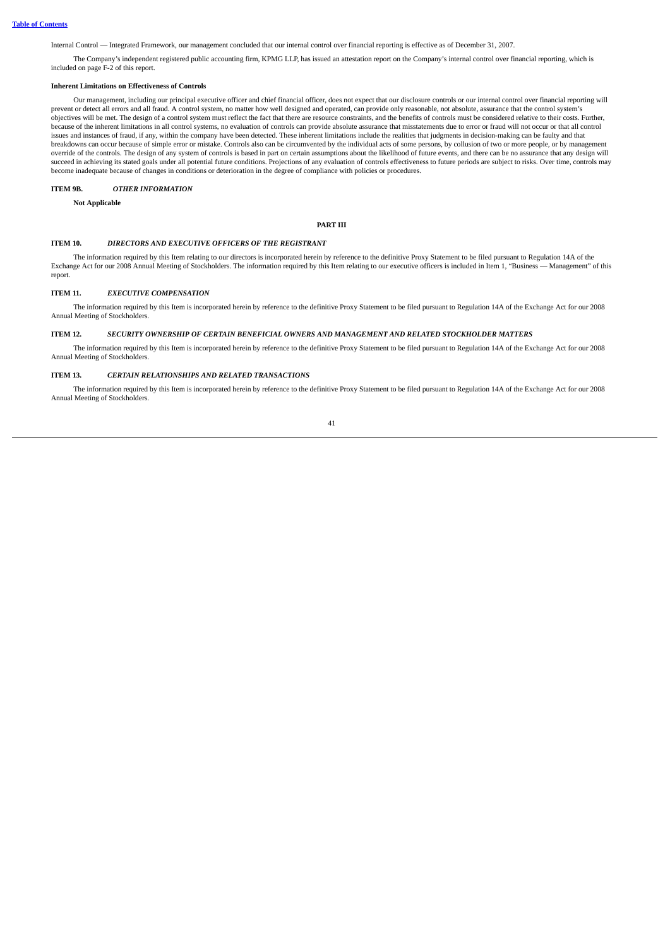Internal Control — Integrated Framework, our management concluded that our internal control over financial reporting is effective as of December 31, 2007.

The Company's independent registered public accounting firm, KPMG LLP, has issued an attestation report on the Company's internal control over financial reporting, which is included on page F-2 of this report.

### **Inherent Limitations on Effectiveness of Controls**

Our management, including our principal executive officer and chief financial officer, does not expect that our disclosure controls or our internal control over financial reporting will prevent or detect all errors and all fraud. A control system, no matter how well designed and operated, can provide only reasonable, not absolute, assurance that the control system's<br>objectives will be met. The design of a because of the inherent limitations in all control systems, no evaluation of controls can provide absolute assurance that misstatements due to error or fraud will not occur or that all control issues and instances of fraud, if any, within the company have been detected. These inherent limitations include the realities that judgments in decision-making can be faulty and that breakdowns can occur because of simple error or mistake. Controls also can be circumvented by the individual acts of some persons, by collusion of two or more people, or by management override of the controls. The design of any system of controls is based in part on certain assumptions about the likelihood of future events, and there can be no assurance that any design will succeed in achieving its stated goals under all potential future conditions. Projections of any evaluation of controls effectiveness to future periods are subject to risks. Over time, controls may become inadequate because of changes in conditions or deterioration in the degree of compliance with policies or procedures.

### **ITEM 9B.** *OTHER INFORMATION*

**Not Applicable**

### **PART III**

### **ITEM 10.** *DIRECTORS AND EXECUTIVE OFFICERS OF THE REGISTRANT*

The information required by this Item relating to our directors is incorporated herein by reference to the definitive Proxy Statement to be filed pursuant to Regulation 14A of the Exchange Act for our 2008 Annual Meeting of Stockholders. The information required by this Item relating to our executive officers is included in Item 1, "Business — Management" of this report.

#### **ITEM 11.** *EXECUTIVE COMPENSATION*

The information required by this Item is incorporated herein by reference to the definitive Proxy Statement to be filed pursuant to Regulation 14A of the Exchange Act for our 2008 Annual Meeting of Stockholders.

#### **ITEM 12.** *SECURITY OWNERSHIP OF CERTAIN BENEFICIAL OWNERS AND MANAGEMENT AND RELATED STOCKHOLDER MATTERS*

The information required by this Item is incorporated herein by reference to the definitive Proxy Statement to be filed pursuant to Regulation 14A of the Exchange Act for our 2008 Annual Meeting of Stockholders.

### **ITEM 13.** *CERTAIN RELATIONSHIPS AND RELATED TRANSACTIONS*

The information required by this Item is incorporated herein by reference to the definitive Proxy Statement to be filed pursuant to Regulation 14A of the Exchange Act for our 2008 Annual Meeting of Stockholders.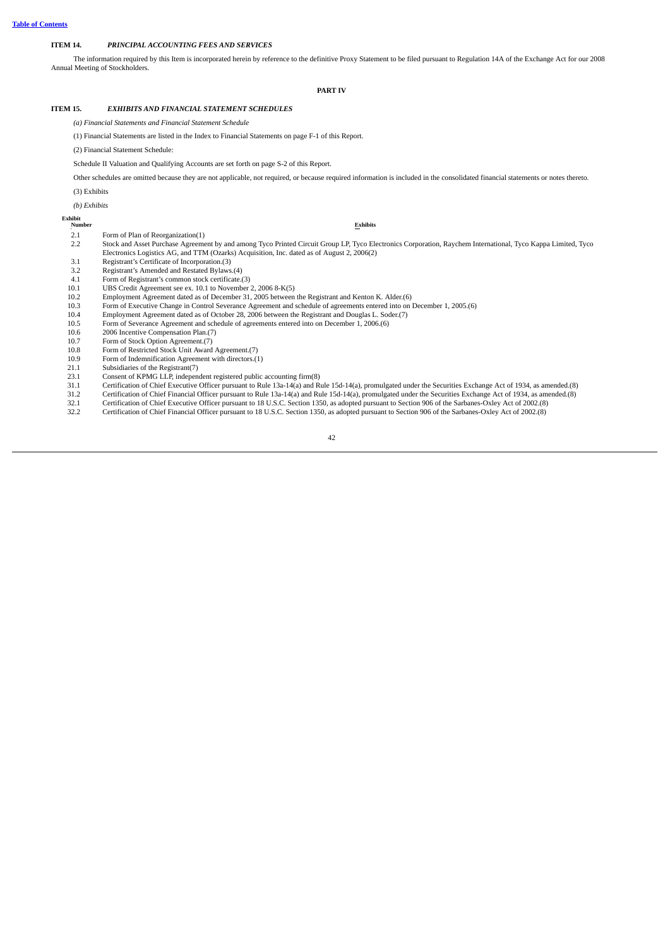### **ITEM 14.** *PRINCIPAL ACCOUNTING FEES AND SERVICES*

The information required by this Item is incorporated herein by reference to the definitive Proxy Statement to be filed pursuant to Regulation 14A of the Exchange Act for our 2008 Annual Meeting of Stockholders.

#### **PART IV**

#### **ITEM 15.** *EXHIBITS AND FINANCIAL STATEMENT SCHEDULES*

*(a) Financial Statements and Financial Statement Schedule*

(1) Financial Statements are listed in the Index to Financial Statements on page F-1 of this Report.

(2) Financial Statement Schedule:

Schedule II Valuation and Qualifying Accounts are set forth on page S-2 of this Report.

Other schedules are omitted because they are not applicable, not required, or because required information is included in the consolidated financial statements or notes thereto. (3) Exhibits

*(b) Exhibits*

#### **Exhibit Number Exhibits**

### 2.1 Form of Plan of Reorganization(1)

Stock and Asset Purchase Agreement by and among Tyco Printed Circuit Group LP, Tyco Electronics Corporation, Raychem International, Tyco Kappa Limited, Tyco<br>Electronics Logistics AG, and TTM (Ozarks) Acquisition, Inc. date

- 3.1 Registrant's Certificate of Incorporation.(3)<br>3.2 Registrant's Amended and Restated Bylaws
- Registrant's Amended and Restated Bylaws.(4)
- 4.1 Form of Registrant's common stock certificate.(3)<br>10.1 UBS Credit Agreement see ex. 10.1 to November
- 10.1 UBS Credit Agreement see ex. 10.1 to November 2, 2006 8-K(5)<br>10.2 Employment Agreement dated as of December 31, 2005 between
- 10.2 Employment Agreement dated as of December 31, 2005 between the Registrant and Kenton K. Alder.(6)<br>10.3 Form of Executive Change in Control Severance Agreement and schedule of agreements entered into on
- 10.3 Form of Executive Change in Control Severance Agreement and schedule of agreements entered into on December 1, 2005.(6)<br>10.4 Employment Agreement dated as of October 28. 2006 between the Registrant and Douglas L. Sode
- 10.4 Employment Agreement dated as of October 28, 2006 between the Registrant and Douglas L. Soder.(7)<br>10.5 Form of Severance Agreement and schedule of agreements entered into on December 1, 2006 (6)
- 10.5 Form of Severance Agreement and schedule of agreements entered into on December 1, 2006.(6) 10.6 2006 Incentive Compensation Plan.(7)
- 
- 10.7 Form of Stock Option Agreement.(7)<br>10.8 Form of Restricted Stock Unit Award
- 10.8 Form of Restricted Stock Unit Award Agreement.(7)<br>10.9 Form of Indemnification Agreement with directors.(1) Form of Indemnification Agreement with directors.(1)
- 21.1 Subsidiaries of the Registrant(7)<br>23.1 Consent of KPMG LLP, independ
- 23.1 Consent of KPMG LLP, independent registered public accounting firm(8)<br>31.1 Certification of Chief Executive Officer pursuant to Rule 13a-14(a) and Ru
- 31.1 Certification of Chief Executive Officer pursuant to Rule 13a-14(a) and Rule 15d-14(a), promulgated under the Securities Exchange Act of 1934, as amended.(8)<br>31.2 Certification of Chief Financial Officer pursuant to R
- 31.2 Certification of Chief Financial Officer pursuant to Rule 13a-14(a) and Rule 15d-14(a), promulgated under the Securities Exchange Act of 1934, as amended.(8)<br>32.1 Certification of Chief Executive Officer pursuant to
- 32.1 Certification of Chief Executive Officer pursuant to 18 U.S.C. Section 1350, as adopted pursuant to Section 906 of the Sarbanes-Oxley Act of 2002.(8)<br>32.2 Certification of Chief Financial Officer pursuant to 18 U.S.C.
- 32.2 Certification of Chief Financial Officer pursuant to 18 U.S.C. Section 1350, as adopted pursuant to Section 906 of the Sarbanes-Oxley Act of 2002.(8)

 $\overline{A}$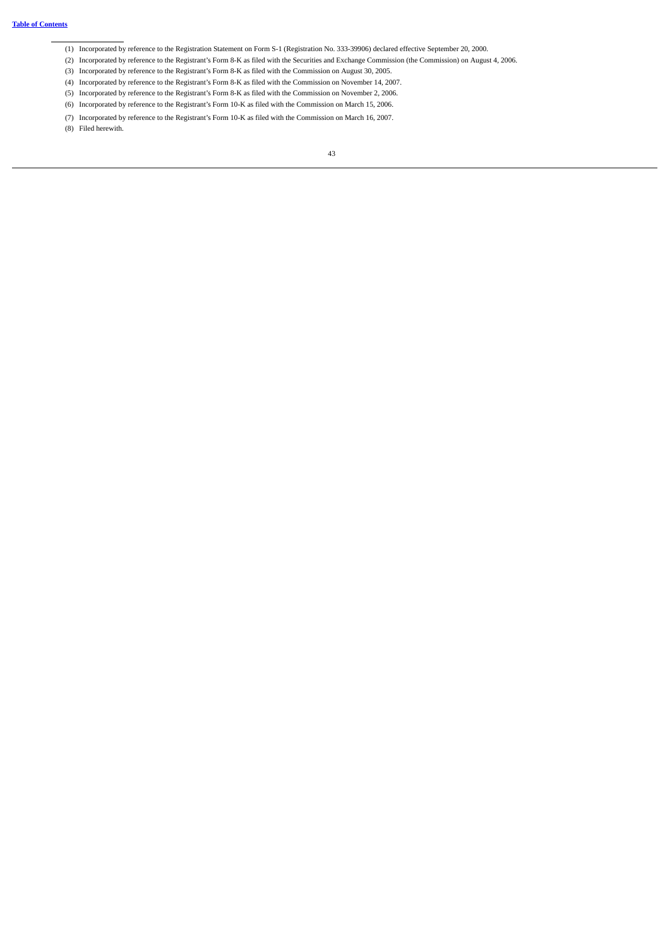**Table of [Contents](#page-2-0)**

- (2) Incorporated by reference to the Registrant's Form 8-K as filed with the Securities and Exchange Commission (the Commission) on August 4, 2006.
- (3) Incorporated by reference to the Registrant's Form 8-K as filed with the Commission on August 30, 2005.
- (4) Incorporated by reference to the Registrant's Form 8-K as filed with the Commission on November 14, 2007.
- (5) Incorporated by reference to the Registrant's Form 8-K as filed with the Commission on November 2, 2006.
- (6) Incorporated by reference to the Registrant's Form 10-K as filed with the Commission on March 15, 2006.
- (7) Incorporated by reference to the Registrant's Form 10-K as filed with the Commission on March 16, 2007.

(8) Filed herewith.

<sup>(1)</sup> Incorporated by reference to the Registration Statement on Form S-1 (Registration No. 333-39906) declared effective September 20, 2000.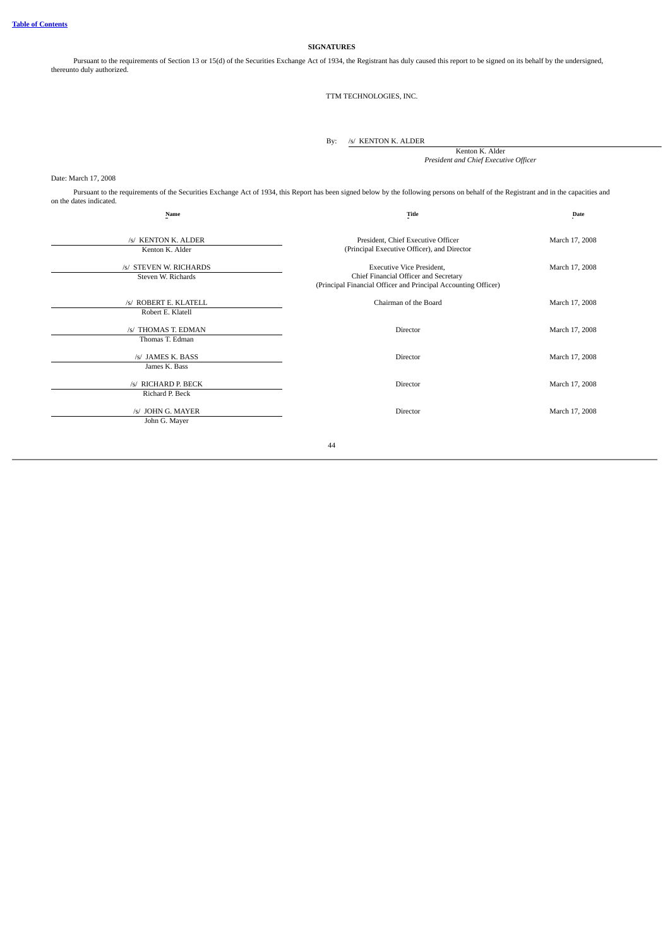# **SIGNATURES**

Pursuant to the requirements of Section 13 or 15(d) of the Securities Exchange Act of 1934, the Registrant has duly caused this report to be signed on its behalf by the undersigned, thereunto duly authorized.

TTM TECHNOLOGIES, INC.

By: /s/ KENTON K. ALDER

Kenton K. Alder *President and Chief Executive Officer*

Date: March 17, 2008

Pursuant to the requirements of the Securities Exchange Act of 1934, this Report has been signed below by the following persons on behalf of the Registrant and in the capacities and on the dates indicated.

| Name                                         | Title                                                                                                                                       | Date           |
|----------------------------------------------|---------------------------------------------------------------------------------------------------------------------------------------------|----------------|
| /s/ KENTON K. ALDER<br>Kenton K. Alder       | President, Chief Executive Officer<br>(Principal Executive Officer), and Director                                                           | March 17, 2008 |
| /s/ STEVEN W. RICHARDS<br>Steven W. Richards | <b>Executive Vice President,</b><br>Chief Financial Officer and Secretary<br>(Principal Financial Officer and Principal Accounting Officer) | March 17, 2008 |
| /s/ ROBERT E. KLATELL<br>Robert E. Klatell   | Chairman of the Board                                                                                                                       | March 17, 2008 |
| /s/ THOMAS T. EDMAN<br>Thomas T. Edman       | Director                                                                                                                                    | March 17, 2008 |
| /s/ JAMES K. BASS<br>James K. Bass           | Director                                                                                                                                    | March 17, 2008 |
| RICHARD P. BECK<br>/s/<br>Richard P. Beck    | Director                                                                                                                                    | March 17, 2008 |
| /s/ JOHN G. MAYER<br>John G. Mayer           | Director                                                                                                                                    | March 17, 2008 |
|                                              | 44                                                                                                                                          |                |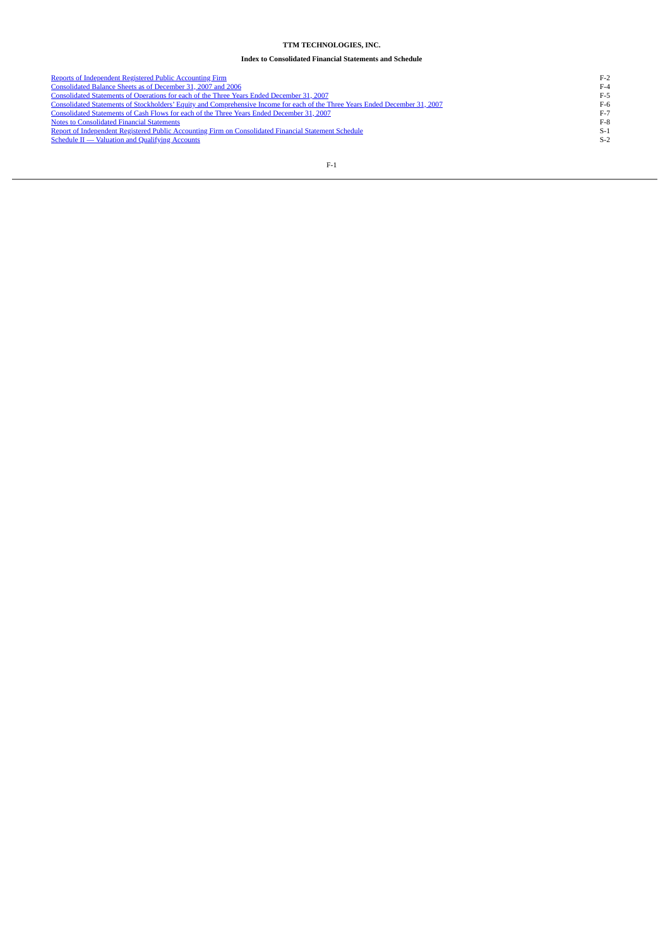# **Index to Consolidated Financial Statements and Schedule**

| <b>Reports of Independent Registered Public Accounting Firm</b>                                                              | $F-2$ |
|------------------------------------------------------------------------------------------------------------------------------|-------|
| Consolidated Balance Sheets as of December 31, 2007 and 2006                                                                 | $F-4$ |
| Consolidated Statements of Operations for each of the Three Years Ended December 31, 2007                                    | F-5   |
| Consolidated Statements of Stockholders' Equity and Comprehensive Income for each of the Three Years Ended December 31, 2007 | $F-6$ |
| Consolidated Statements of Cash Flows for each of the Three Years Ended December 31, 2007                                    | E-7   |
| <b>Notes to Consolidated Financial Statements</b>                                                                            | $F-8$ |
| Report of Independent Registered Public Accounting Firm on Consolidated Financial Statement Schedule                         | $S-1$ |
| <b>Schedule II - Valuation and Qualifying Accounts</b>                                                                       | $S-2$ |
|                                                                                                                              |       |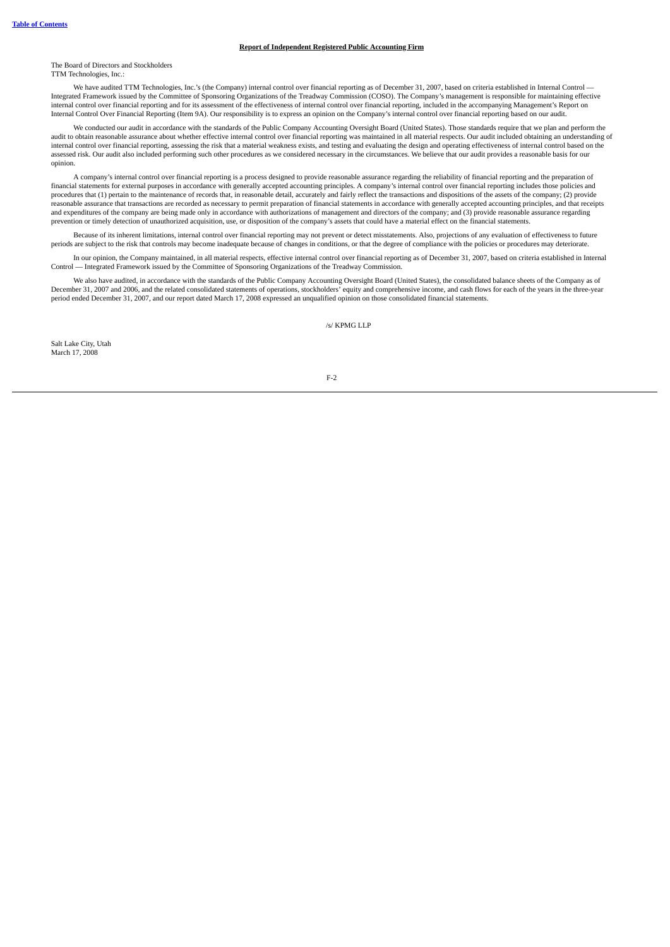### **Report of Independent Registered Public Accounting Firm**

<span id="page-48-0"></span>The Board of Directors and Stockholders TTM Technologies, Inc.:

We have audited TTM Technologies, Inc.'s (the Company) internal control over financial reporting as of December 31, 2007, based on criteria established in Internal Control — Integrated Framework issued by the Committee of Sponsoring Organizations of the Treadway Commission (COSO). The Company's management is responsible for maintaining effective internal control over financial reporting and for its assessment of the effectiveness of internal control over financial reporting, included in the accompanying Management's Report on internal control over financial report Internal Control Over Financial Reporting (Item 9A). Our responsibility is to express an opinion on the Company's internal control over financial reporting based on our audit.

We conducted our audit in accordance with the standards of the Public Company Accounting Oversight Board (United States). Those standards require that we plan and perform the audit to obtain reasonable assurance about whether effective internal control over financial reporting was maintained in all material respects. Our audit included obtaining an understanding of internal control over financial reporting, assessing the risk that a material weakness exists, and testing and evaluating the design and operating effectiveness of internal control based on the assessed risk. Our audit also included performing such other procedures as we considered necessary in the circumstances. We believe that our audit provides a reasonable basis for our opinion.

A company's internal control over financial reporting is a process designed to provide reasonable assurance regarding the reliability of financial reporting and the preparation of financial statements for external purposes in accordance with generally accepted accounting principles. A company's internal control over financial reporting includes those policies and procedures that (1) pertain to the maintenance of records that, in reasonable detail, accurately and fairly reflect the transactions and dispositions of the assets of the company; (2) provide reasonable assurance that transactions are recorded as necessary to permit preparation of financial statements in accordance with generally accepted accounting principles, and that receipts and expenditures of the company are being made only in accordance with authorizations of management and directors of the company; and (3) provide reasonable assurance regarding prevention or timely detection of unauthorized acquisition, use, or disposition of the company's assets that could have a material effect on the financial statements.

Because of its inherent limitations, internal control over financial reporting may not prevent or detect misstatements. Also, projections of any evaluation of effectiveness to future periods are subject to the risk that controls may become inadequate because of changes in conditions, or that the degree of compliance with the policies or procedures may deteriorate.

In our opinion, the Company maintained, in all material respects, effective internal control over financial reporting as of December 31, 2007, based on criteria established in Internal Control — Integrated Framework issued Control — Integrated Framework issued by the Committee of Sponsoring Organizations of the Treadway Commission.

We also have audited, in accordance with the standards of the Public Company Accounting Oversight Board (United States), the consolidated balance sheets of the Company as of December 31, 2007 and 2006, and the related consolidated statements of operations, stockholders' equity and comprehensive income, and cash flows for each of the years in the three-year period ended December 31, 2007, and our report dated March 17, 2008 expressed an unqualified opinion on those consolidated financial statements.

/s/ KPMG LLP

Salt Lake City, Utah March 17, 2008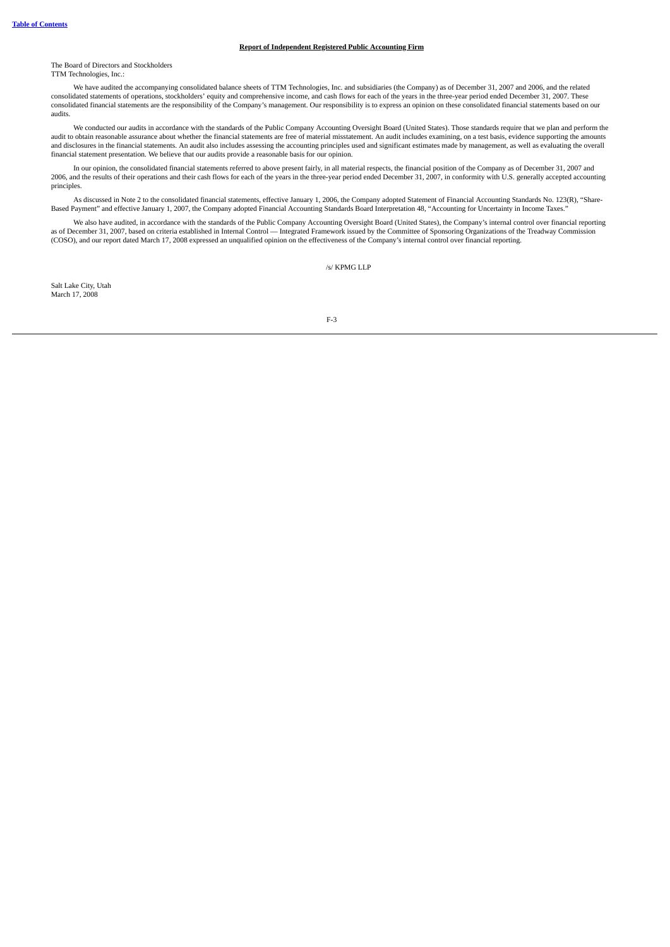### **Report of Independent Registered Public Accounting Firm**

<span id="page-49-0"></span>The Board of Directors and Stockholders TTM Technologies, Inc.:

We have audited the accompanying consolidated balance sheets of TTM Technologies, Inc. and subsidiaries (the Company) as of December 31, 2007 and 2006, and the related consolidated statements of operations, stockholders' equity and comprehensive income, and cash flows for each of the years in the three-year period ended December 31, 2007. These consolidated financial statements are the responsibility of the Company's management. Our responsibility is to express an opinion on these consolidated financial statements based on our responsibility is to express an opin audits.

We conducted our audits in accordance with the standards of the Public Company Accounting Oversight Board (United States). Those standards require that we plan and perform the standards require that we plan and perform the and disclosures in the financial statements. An audit also includes assessing the accounting principles used and significant estimates made by management, as well as evaluating the overall and includes assessing the accoun financial statement presentation. We believe that our audits provide a reasonable basis for our opinion.

In our opinion, the consolidated financial statements referred to above present fairly, in all material respects, the financial position of the Company as of December 31, 2007 and the rosolidated financial statements refer principles.

As discussed in Note 2 to the consolidated financial statements, effective January 1, 2006, the Company adopted Statement of Financial Accounting Standards No. 123(R), "Share-Based Payment" and effective January 1, 2007, the Company adopted Financial Accounting Standards Board Interpretation 48, "Accounting for Uncertainty in Income Taxes."

We also have audited, in accordance with the standards of the Public Company Accounting Oversight Board (United States), the Company's internal control over financial reporting<br>as of December 31, 2007, based on criteria es (COSO), and our report dated March 17, 2008 expressed an unqualified opinion on the effectiveness of the Company's internal control over financial reporting.

/s/ KPMG LLP

Salt Lake City, Utah March 17, 2008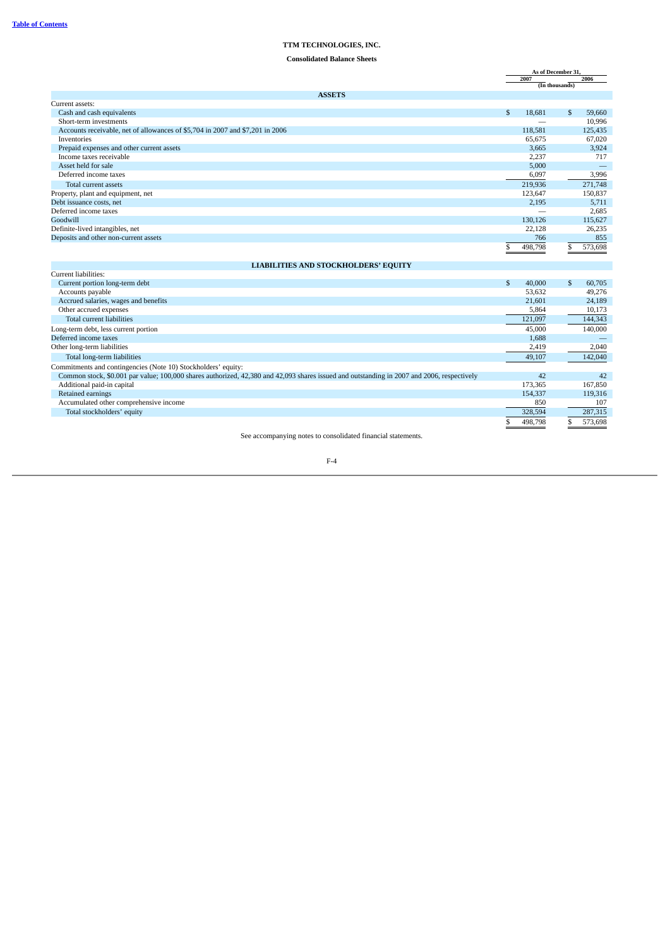# **Consolidated Balance Sheets**

|                                                                                                                                            | As of December 31. |                    |                      |                    |
|--------------------------------------------------------------------------------------------------------------------------------------------|--------------------|--------------------|----------------------|--------------------|
|                                                                                                                                            |                    | 2007               | $($ In thousands $)$ | 2006               |
| <b>ASSETS</b>                                                                                                                              |                    |                    |                      |                    |
| Current assets:                                                                                                                            |                    |                    |                      |                    |
| Cash and cash equivalents                                                                                                                  | $\mathfrak{S}$     | 18.681             | $\mathbb{S}$         | 59,660             |
| Short-term investments                                                                                                                     |                    |                    |                      | 10,996             |
| Accounts receivable, net of allowances of \$5,704 in 2007 and \$7,201 in 2006                                                              |                    | 118,581            |                      | 125,435            |
| Inventories                                                                                                                                |                    | 65,675             |                      | 67,020             |
| Prepaid expenses and other current assets                                                                                                  |                    | 3,665              |                      | 3,924              |
| Income taxes receivable                                                                                                                    |                    | 2,237              |                      | 717                |
| Asset held for sale                                                                                                                        |                    | 5,000              |                      | $\qquad \qquad -$  |
| Deferred income taxes                                                                                                                      |                    | 6,097              |                      | 3,996              |
| Total current assets                                                                                                                       |                    | 219,936            |                      | 271,748            |
| Property, plant and equipment, net                                                                                                         |                    | 123,647            |                      | 150,837            |
| Debt issuance costs, net                                                                                                                   |                    | 2,195              |                      | 5,711              |
| Deferred income taxes                                                                                                                      |                    |                    |                      | 2,685              |
| Goodwill                                                                                                                                   |                    | 130,126            |                      | 115,627            |
| Definite-lived intangibles, net                                                                                                            |                    | 22,128             |                      | 26,235             |
| Deposits and other non-current assets                                                                                                      |                    | 766                |                      | 855                |
|                                                                                                                                            | \$                 | 498,798            | \$                   | 573,698            |
|                                                                                                                                            |                    |                    |                      |                    |
| <b>LIABILITIES AND STOCKHOLDERS' EQUITY</b><br>Current liabilities:                                                                        |                    |                    |                      |                    |
|                                                                                                                                            | $\mathfrak{S}$     | 40,000             | $\mathbb{S}$         | 60.705             |
| Current portion long-term debt                                                                                                             |                    | 53,632             |                      | 49,276             |
| Accounts payable<br>Accrued salaries, wages and benefits                                                                                   |                    | 21,601             |                      | 24,189             |
| Other accrued expenses                                                                                                                     |                    | 5,864              |                      | 10,173             |
| <b>Total current liabilities</b>                                                                                                           |                    | 121,097            |                      | 144,343            |
|                                                                                                                                            |                    |                    |                      |                    |
| Long-term debt, less current portion<br>Deferred income taxes                                                                              |                    | 45,000<br>1,688    |                      | 140,000            |
| Other long-term liabilities                                                                                                                |                    | 2,419              |                      | 2,040              |
|                                                                                                                                            |                    |                    |                      |                    |
| Total long-term liabilities                                                                                                                |                    | 49,107             |                      | 142,040            |
| Commitments and contingencies (Note 10) Stockholders' equity:                                                                              |                    |                    |                      |                    |
| Common stock, \$0.001 par value; 100,000 shares authorized, 42,380 and 42,093 shares issued and outstanding in 2007 and 2006, respectively |                    | 42                 |                      | 42                 |
| Additional paid-in capital                                                                                                                 |                    | 173,365<br>154,337 |                      | 167,850<br>119,316 |
| Retained earnings                                                                                                                          |                    | 850                |                      | 107                |
| Accumulated other comprehensive income                                                                                                     |                    |                    |                      |                    |
| Total stockholders' equity                                                                                                                 |                    | 328,594            |                      | 287,315            |
|                                                                                                                                            | \$                 | 498,798            | \$                   | 573,698            |

See accompanying notes to consolidated financial statements.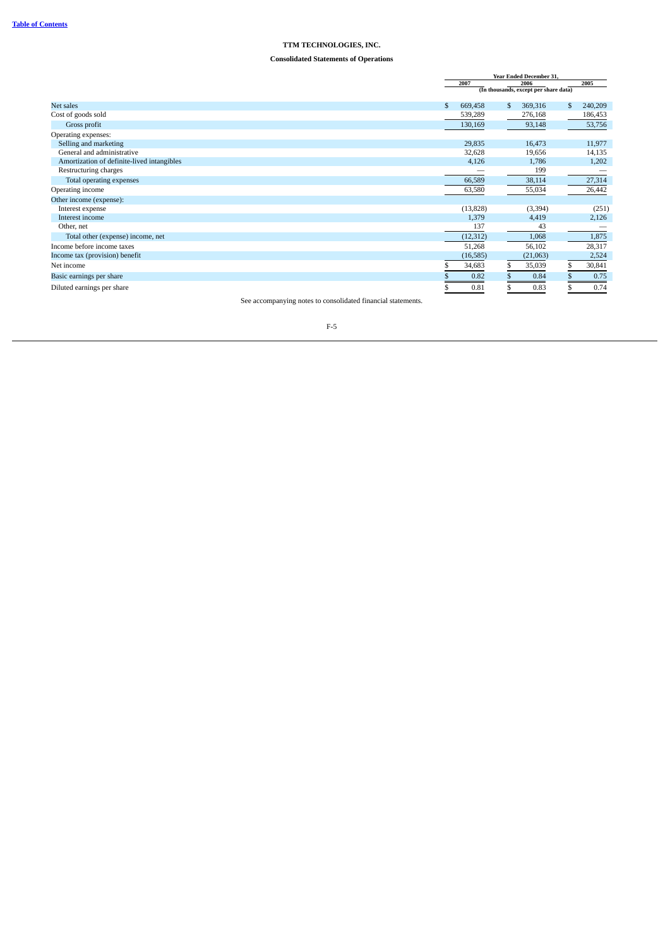# **Consolidated Statements of Operations**

<span id="page-51-0"></span>

|                                            | Year Ended December 31,               |    |          |     |         |
|--------------------------------------------|---------------------------------------|----|----------|-----|---------|
|                                            | 2007                                  |    | 2006     |     | 2005    |
|                                            | (In thousands, except per share data) |    |          |     |         |
| Net sales                                  | \$<br>669,458                         | \$ | 369,316  | \$. | 240,209 |
| Cost of goods sold                         | 539,289                               |    | 276,168  |     | 186,453 |
| Gross profit                               | 130,169                               |    | 93,148   |     | 53,756  |
| Operating expenses:                        |                                       |    |          |     |         |
| Selling and marketing                      | 29,835                                |    | 16,473   |     | 11,977  |
| General and administrative                 | 32,628                                |    | 19,656   |     | 14,135  |
| Amortization of definite-lived intangibles | 4,126                                 |    | 1,786    |     | 1,202   |
| Restructuring charges                      |                                       |    | 199      |     |         |
| <b>Total operating expenses</b>            | 66,589                                |    | 38,114   |     | 27,314  |
| Operating income                           | 63,580                                |    | 55,034   |     | 26,442  |
| Other income (expense):                    |                                       |    |          |     |         |
| Interest expense                           | (13, 828)                             |    | (3,394)  |     | (251)   |
| Interest income                            | 1,379                                 |    | 4,419    |     | 2,126   |
| Other, net                                 | 137                                   |    | 43       |     |         |
| Total other (expense) income, net          | (12, 312)                             |    | 1,068    |     | 1,875   |
| Income before income taxes                 | 51,268                                |    | 56,102   |     | 28,317  |
| Income tax (provision) benefit             | (16, 585)                             |    | (21,063) |     | 2,524   |
| Net income                                 | 34,683                                | \$ | 35,039   | S.  | 30,841  |
| Basic earnings per share                   | 0.82                                  |    | 0.84     |     | 0.75    |
| Diluted earnings per share                 | 0.81                                  |    | 0.83     |     | 0.74    |

See accompanying notes to consolidated financial statements.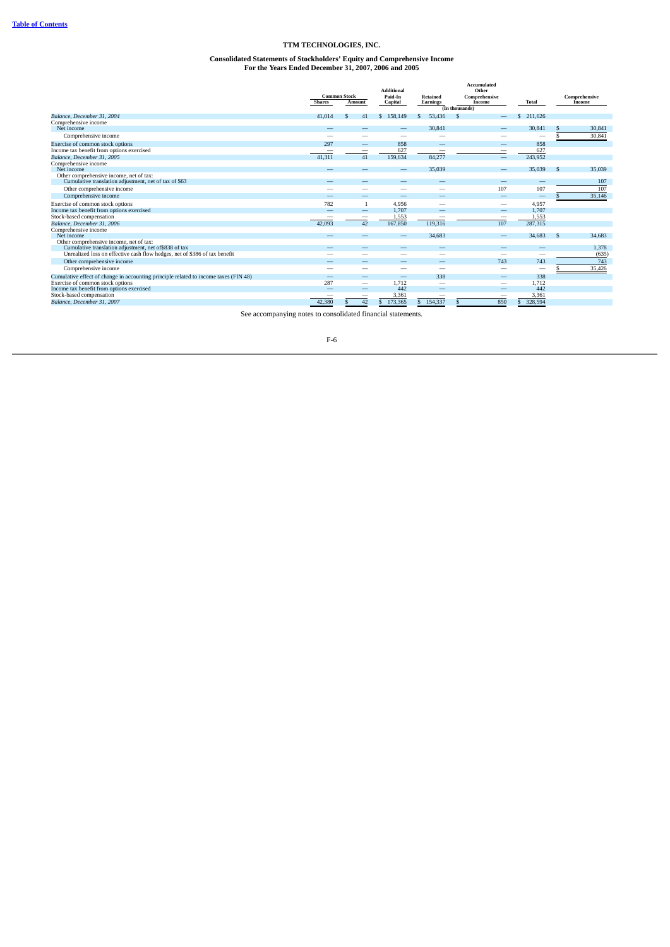# Consolidated Statements of Stockholders' Equity and Comprehensive Income<br>For the Years Ended December 31, 2007, 2006 and 2005

<span id="page-52-0"></span>

|                                                                                      | <b>Shares</b>            | <b>Common Stock</b><br>Amount | <b>Additional</b><br>Paid-In<br>Capital | Retained<br><b>Earnings</b> | <b>Accumulated</b><br>Other<br>Comprehensive<br>Income<br>(In thousands) | <b>Total</b>  |               | Comprehensive<br>Income |
|--------------------------------------------------------------------------------------|--------------------------|-------------------------------|-----------------------------------------|-----------------------------|--------------------------------------------------------------------------|---------------|---------------|-------------------------|
| Balance, December 31, 2004                                                           | 41.014                   | 41                            | 158,149<br>s.                           | 53.436<br>$\mathcal{S}$     | $\mathcal{S}$<br>$\qquad \qquad -$                                       | 211,626<br>S. |               |                         |
| Comprehensive income                                                                 |                          |                               |                                         |                             |                                                                          |               |               |                         |
| Net income                                                                           |                          |                               |                                         | 30,841                      | $\overline{\phantom{0}}$                                                 | 30.841        |               | 30,841                  |
| Comprehensive income                                                                 |                          |                               |                                         | -                           |                                                                          | -             |               | 30,841                  |
| Exercise of common stock options                                                     | 297                      | —                             | 858                                     | $\qquad \qquad -$           | $\overline{\phantom{a}}$                                                 | 858           |               |                         |
| Income tax benefit from options exercised                                            | -                        | –                             | 627                                     | --                          | -                                                                        | 627           |               |                         |
| Balance, December 31, 2005                                                           | 41,311                   | 41                            | 159,634                                 | 84,277                      |                                                                          | 243,952       |               |                         |
| Comprehensive income                                                                 |                          |                               |                                         |                             |                                                                          |               |               |                         |
| Net income                                                                           | $\overline{\phantom{a}}$ |                               |                                         | 35,039                      | $\overline{\phantom{a}}$                                                 | 35,039        | $\mathcal{S}$ | 35,039                  |
| Other comprehensive income, net of tax:                                              |                          |                               |                                         |                             |                                                                          |               |               |                         |
| Cumulative translation adjustment, net of tax of \$63                                |                          |                               |                                         |                             | $\overline{\phantom{a}}$                                                 |               |               | 107                     |
| Other comprehensive income                                                           | --                       |                               |                                         |                             | 107                                                                      | 107           |               | 107                     |
| Comprehensive income                                                                 |                          |                               |                                         |                             | $\qquad \qquad -$                                                        |               |               | 35,146                  |
| Exercise of common stock options                                                     | 782                      |                               | 4,956                                   | -                           |                                                                          | 4,957         |               |                         |
| Income tax benefit from options exercised                                            |                          | -                             | 1,707                                   |                             | $\overline{\phantom{0}}$                                                 | 1,707         |               |                         |
| Stock-based compensation                                                             |                          | $\overline{\phantom{0}}$      | 1,553                                   |                             | $\overline{\phantom{a}}$                                                 | 1,553         |               |                         |
| Balance, December 31, 2006                                                           | 42,093                   | 42                            | 167,850                                 | 119,316                     | 107                                                                      | 287,315       |               |                         |
| Comprehensive income                                                                 |                          |                               |                                         |                             |                                                                          |               |               |                         |
| Net income                                                                           | $\overline{\phantom{a}}$ |                               |                                         | 34,683                      | $\qquad \qquad -$                                                        | 34,683        | <sup>\$</sup> | 34,683                  |
| Other comprehensive income, net of tax:                                              |                          |                               |                                         |                             |                                                                          |               |               |                         |
| Cumulative translation adjustment, net of \$838 of tax                               |                          |                               |                                         |                             |                                                                          |               |               | 1,378                   |
| Unrealized loss on effective cash flow hedges, net of \$386 of tax benefit           |                          |                               |                                         |                             |                                                                          |               |               | (635)                   |
| Other comprehensive income                                                           |                          |                               |                                         |                             | 743                                                                      | 743           |               | 743                     |
| Comprehensive income                                                                 |                          |                               |                                         |                             | $\overline{\phantom{a}}$                                                 |               |               | 35,426                  |
| Cumulative effect of change in accounting principle related to income taxes (FIN 48) | $\overline{\phantom{a}}$ | –                             | $\qquad \qquad -$                       | 338                         | $\qquad \qquad -$                                                        | 338           |               |                         |
| Exercise of common stock options                                                     | 287                      | -                             | 1,712                                   | $\overline{\phantom{0}}$    | $\overline{\phantom{a}}$                                                 | 1,712         |               |                         |
| Income tax benefit from options exercised                                            | $\overline{\phantom{a}}$ | _                             | 442                                     | $\overline{\phantom{a}}$    | $\sim$                                                                   | 442           |               |                         |
| Stock-based compensation                                                             |                          | -                             | 3,361                                   |                             | $\overline{\phantom{a}}$                                                 | 3,361         |               |                         |
| Balance, December 31, 2007                                                           | 42,380                   | 42                            | 173,365<br>S.                           | \$154,337                   | 850                                                                      | 328,594       |               |                         |

See accompanying notes to consolidated financial statements.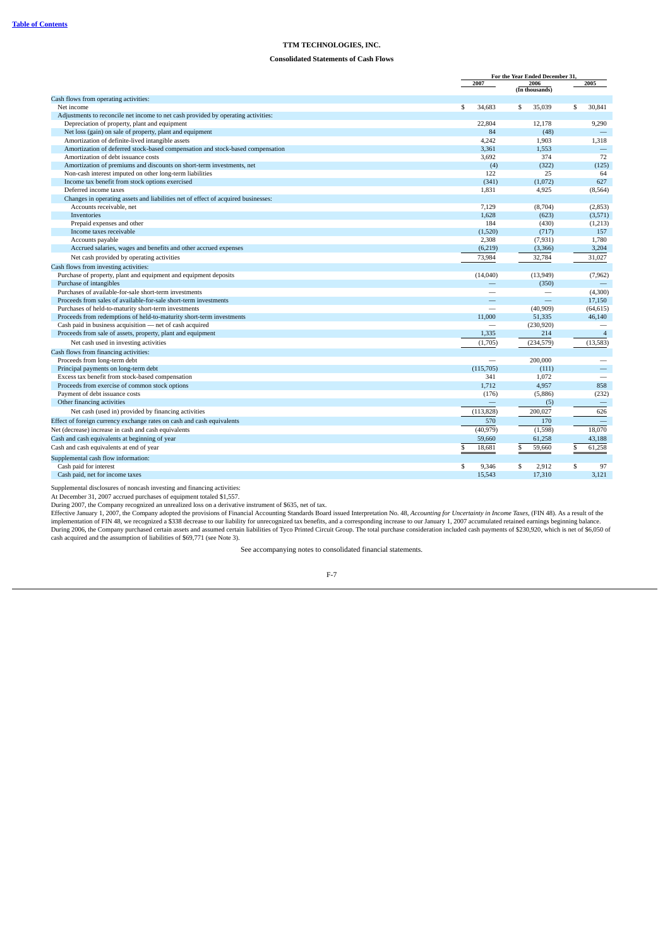### **Consolidated Statements of Cash Flows**

<span id="page-53-0"></span>

|                                                                                                                                    |                          | For the Year Ended December 31. |                          |  |
|------------------------------------------------------------------------------------------------------------------------------------|--------------------------|---------------------------------|--------------------------|--|
|                                                                                                                                    | 2007                     | 2006                            |                          |  |
|                                                                                                                                    |                          | (In thousands)                  |                          |  |
| Cash flows from operating activities:                                                                                              | \$.                      |                                 | \$                       |  |
| Net income                                                                                                                         | 34.683                   | \$<br>35,039                    | 30.841                   |  |
| Adjustments to reconcile net income to net cash provided by operating activities:<br>Depreciation of property, plant and equipment | 22,804                   | 12.178                          | 9,290                    |  |
| Net loss (gain) on sale of property, plant and equipment                                                                           | 84                       | (48)                            |                          |  |
| Amortization of definite-lived intangible assets                                                                                   | 4,242                    | 1,903                           | 1,318                    |  |
| Amortization of deferred stock-based compensation and stock-based compensation                                                     | 3.361                    | 1.553                           | $\overline{\phantom{0}}$ |  |
| Amortization of debt issuance costs                                                                                                | 3,692                    | 374                             | 72                       |  |
| Amortization of premiums and discounts on short-term investments, net                                                              | (4)                      | (322)                           | (125)                    |  |
| Non-cash interest imputed on other long-term liabilities                                                                           | 122                      | 25                              | 64                       |  |
| Income tax benefit from stock options exercised                                                                                    | (341)                    | (1,072)                         | 627                      |  |
| Deferred income taxes                                                                                                              | 1,831                    | 4,925                           | (8, 564)                 |  |
| Changes in operating assets and liabilities net of effect of acquired businesses:                                                  |                          |                                 |                          |  |
| Accounts receivable, net                                                                                                           | 7.129                    | (8,704)                         | (2,853)                  |  |
| Inventories                                                                                                                        | 1,628                    | (623)                           | (3,571)                  |  |
| Prepaid expenses and other                                                                                                         | 184                      | (430)                           | (1,213)                  |  |
| Income taxes receivable                                                                                                            | (1,520)                  | (717)                           | 157                      |  |
| Accounts payable                                                                                                                   | 2,308                    | (7, 931)                        | 1.780                    |  |
| Accrued salaries, wages and benefits and other accrued expenses                                                                    | (6,219)                  | (3,366)                         | 3,204                    |  |
| Net cash provided by operating activities                                                                                          | 73,984                   | 32,784                          | 31,027                   |  |
| Cash flows from investing activities:                                                                                              |                          |                                 |                          |  |
| Purchase of property, plant and equipment and equipment deposits                                                                   | (14,040)                 | (13,949)                        | (7,962)                  |  |
| Purchase of intangibles                                                                                                            |                          | (350)                           |                          |  |
| Purchases of available-for-sale short-term investments                                                                             |                          | $\overline{\phantom{0}}$        | (4,300)                  |  |
| Proceeds from sales of available-for-sale short-term investments                                                                   |                          |                                 | 17,150                   |  |
| Purchases of held-to-maturity short-term investments                                                                               |                          | (40, 909)                       | (64, 615)                |  |
| Proceeds from redemptions of held-to-maturity short-term investments                                                               | 11,000                   | 51,335                          | 46,140                   |  |
| Cash paid in business acquisition - net of cash acquired                                                                           |                          | (230,920)                       |                          |  |
| Proceeds from sale of assets, property, plant and equipment                                                                        | 1,335                    | 214                             | $\overline{4}$           |  |
| Net cash used in investing activities                                                                                              | (1,705)                  | (234, 579)                      | (13, 583)                |  |
| Cash flows from financing activities:                                                                                              |                          |                                 |                          |  |
| Proceeds from long-term debt                                                                                                       |                          | 200,000                         |                          |  |
| Principal payments on long-term debt                                                                                               | (115, 705)               | (111)                           |                          |  |
| Excess tax benefit from stock-based compensation                                                                                   | 341                      | 1,072                           |                          |  |
| Proceeds from exercise of common stock options                                                                                     | 1.712                    | 4,957                           | 858                      |  |
| Payment of debt issuance costs                                                                                                     | (176)                    | (5,886)                         | (232)                    |  |
| Other financing activities                                                                                                         | $\overline{\phantom{0}}$ | (5)                             |                          |  |
|                                                                                                                                    |                          | 200,027                         | 626                      |  |
| Net cash (used in) provided by financing activities                                                                                | (113, 828)               |                                 |                          |  |
| Effect of foreign currency exchange rates on cash and cash equivalents                                                             | 570                      | 170                             | ٠                        |  |
| Net (decrease) increase in cash and cash equivalents                                                                               | (40, 979)                | (1,598)                         | 18.070                   |  |
| Cash and cash equivalents at beginning of year                                                                                     | 59,660                   | 61,258                          | 43,188                   |  |
| Cash and cash equivalents at end of year                                                                                           | 18,681                   | \$<br>59,660                    | \$<br>61,258             |  |
| Supplemental cash flow information:                                                                                                |                          |                                 |                          |  |
| Cash paid for interest                                                                                                             | \$<br>9,346              | \$<br>2,912                     | \$<br>97                 |  |
| Cash paid, net for income taxes                                                                                                    | 15,543                   | 17,310                          | 3,121                    |  |

Supplemental disclosures of noncash investing and financing activities:<br>At December 31, 2007 accrued purchases of equipment totaled \$1,557.<br>During 2007, the Company recognized an unrealized loss on a derivative instrument

Effective January 1, 2007, the Company adopted the provisions of Financial Accounting Standards Board issued Interpretation No. 48, Accounting for Uncertainty in Income Taxes, (FIN 48). As a result of the implementation of

See accompanying notes to consolidated financial statements.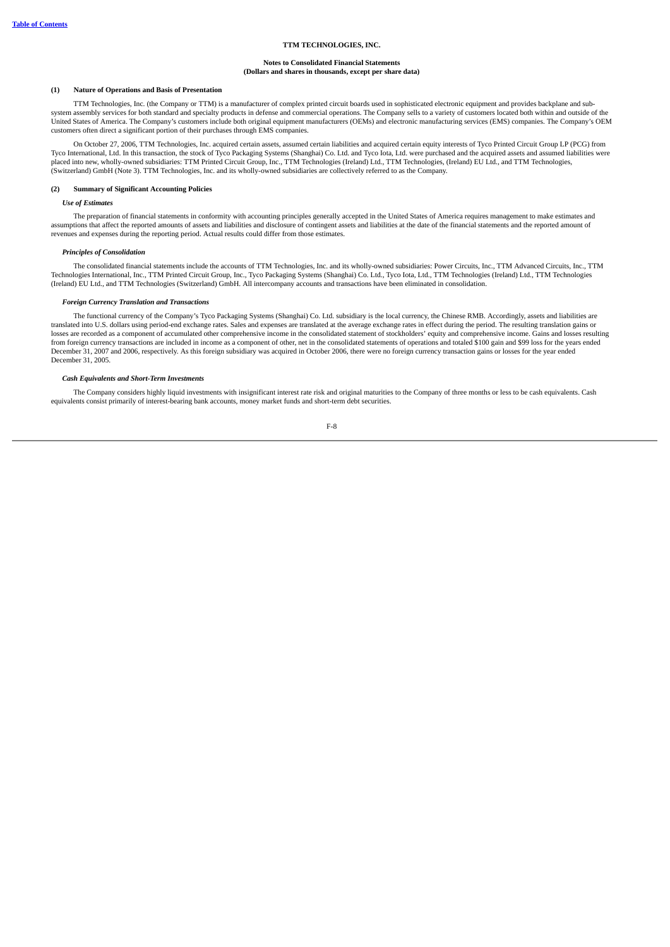#### <span id="page-54-0"></span>**Notes to Consolidated Financial Statements (Dollars and shares in thousands, except per share data)**

### **(1) Nature of Operations and Basis of Presentation**

TTM Technologies, Inc. (the Company or TTM) is a manufacturer of complex printed circuit boards used in sophisticated electronic equipment and provides backplane and subsystem assembly services for both standard and specialty products in defense and commercial operations. The Company sells to a variety of customers located both within and outside of the<br>United States of America. The Compa customers often direct a significant portion of their purchases through EMS companies.

On October 27, 2006, TTM Technologies, Inc. acquired certain assets, assumed certain liabilities and acquired certain equity interests of Tyco Printed Circuit Group LP (PCG) from Tyco International, Ltd. In this transaction, the stock of Tyco Packaging Systems (Shanghai) Co. Ltd. and Tyco Iota, Ltd. were purchased and the acquired assets and assumed liabilities were<br>placed into new, wholly-owned su (Switzerland) GmbH (Note 3). TTM Technologies, Inc. and its wholly-owned subsidiaries are collectively referred to as the Company.

# **(2) Summary of Significant Accounting Policies**

### *Use of Estimates*

The preparation of financial statements in conformity with accounting principles generally accepted in the United States of America requires management to make estimates and assumptions that affect the reported amounts of assets and liabilities and disclosure of contingent assets and liabilities at the date of the financial statements and the reported amount of revenues and expenses during the reporting period. Actual results could differ from those estimates.

#### *Principles of Consolidation*

The consolidated financial statements include the accounts of TTM Technologies, Inc. and its wholly-owned subsidiaries: Power Circuits, Inc., TTM Advanced Circuits, Inc., TTM Technologies International, Inc., TTM Printed Circuit Group, Inc., Tyco Packaging Systems (Shanghai) Co. Ltd., Tyco Iota, Ltd., TTM Technologies (Ireland) Ltd., TTM Technologies (Ireland) EU Ltd., and TTM Technologies (Switzerland) GmbH. All intercompany accounts and transactions have been eliminated in consolidation.

#### *Foreign Currency Translation and Transactions*

The functional currency of the Company's Tyco Packaging Systems (Shanghai) Co. Ltd. subsidiary is the local currency, the Chinese RMB. Accordingly, assets and liabilities are translated into U.S. dollars using period-end exchange rates. Sales and expenses are translated at the average exchange rates in effect during the period. The resulting translation gains or losses are recorded as a component of accumulated other comprehensive income in the consolidated statement of stockholders' equity and comprehensive income. Gains and losses resulting from foreign currency transactions are included in income as a component of other, net in the consolidated statements of operations and totaled \$100 gain and \$99 loss for the years ended December 31, 2007 and 2006, respectively. As this foreign subsidiary was acquired in October 2006, there were no foreign currency transaction gains or losses for the year ended December 31, 2005.

#### *Cash Equivalents and Short-Term Investments*

The Company considers highly liquid investments with insignificant interest rate risk and original maturities to the Company of three months or less to be cash equivalents. Cash equivalents consist primarily of interest-bearing bank accounts, money market funds and short-term debt securities.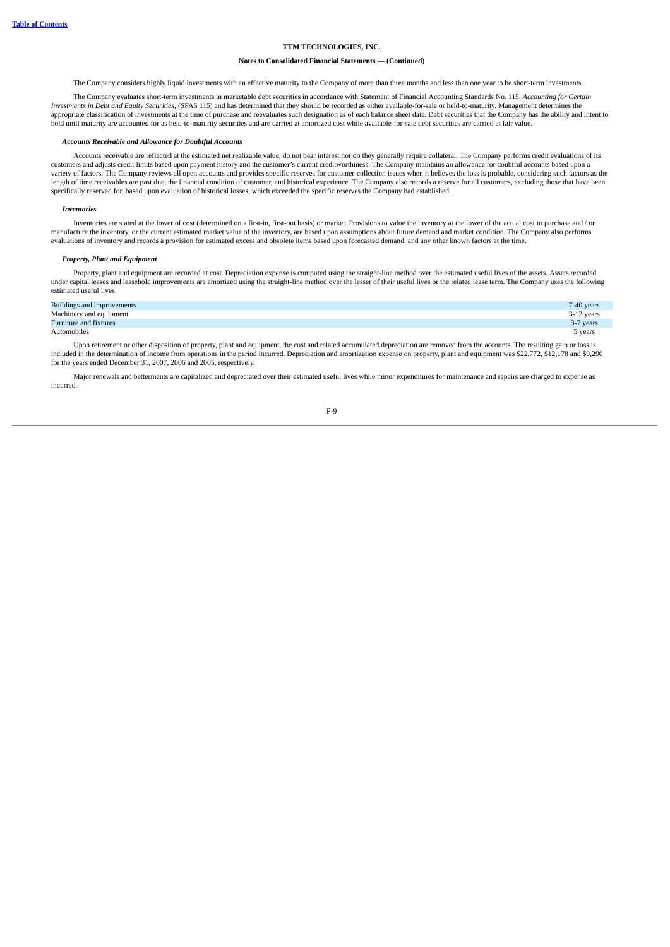### **Notes to Consolidated Financial Statements — (Continued)**

The Company considers highly liquid investments with an effective maturity to the Company of more than three months and less than one year to be short-term investments.

The Company evaluates short-term investments in marketable debt securities in accordance with Statement of Financial Accounting Standards No. 115, *Accounting for Certain Investments in Debt and Equity Securities*, (SFAS 115) and has determined that they should be recorded as either available-for-sale or held-to-maturity. Management determines the appropriate classification of investments at the time of purchase and reevaluates such designation as of each balance sheet date. Debt securities that the Company has the ability and intent to hold until maturity are accounted for as held-to-maturity securities and are carried at amortized cost while available-for-sale debt securities are carried at fair value.

### *Accounts Receivable and Allowance for Doubtful Accounts*

Accounts receivable are reflected at the estimated net realizable value, do not bear interest nor do they generally require collateral. The Company performs credit evaluations of its customers and adjusts credit limits based upon payment history and the customer's current creditworthiness. The Company maintains an allowance for doubtful accounts based upon a variety of factors. The Company reviews all open accounts and provides specific reserves for customer-collection issues when it believes the loss is probable, considering such factors as the length of time receivables are past due, the financial condition of customer, and historical experience. The Company also records a reserve for all customers, excluding those that have been specifically reserved for, based upon evaluation of historical losses, which exceeded the specific reserves the Company had established.

#### *Inventories*

Inventories are stated at the lower of cost (determined on a first-in, first-out basis) or market. Provisions to value the inventory at the lower of the actual cost to purchase and / or manufacture the inventory, or the current estimated market value of the inventory, are based upon assumptions about future demand and market condition. The Company also performs evaluations of inventory and records a provision for estimated excess and obsolete items based upon forecasted demand, and any other known factors at the time.

#### *Property, Plant and Equipment*

Property, plant and equipment are recorded at cost. Depreciation expense is computed using the straight-line method over the estimated useful lives of the assets. Assets recorded وunder capital leases and leasehold improve estimated useful lives:

| Buildings and improvements    | 7-40 years |
|-------------------------------|------------|
| Machinery and equipment       | 3-12 years |
| <b>Furniture and fixtures</b> | 3-7 years  |
| Automobiles                   | 5 years    |

Upon retirement or other disposition of property, plant and equipment, the cost and related accumulated depreciation are removed from the accounts. The resulting gain or loss is included in the determination of income from operations in the period incurred. Depreciation and amortization expense on property, plant and equipment was \$22,772, \$12,178 and \$9,290 for the years ended December 31, 2007, 2006 and 2005, respectively.

Major renewals and betterments are capitalized and depreciated over their estimated useful lives while minor expenditures for maintenance and repairs are charged to expense as incurred.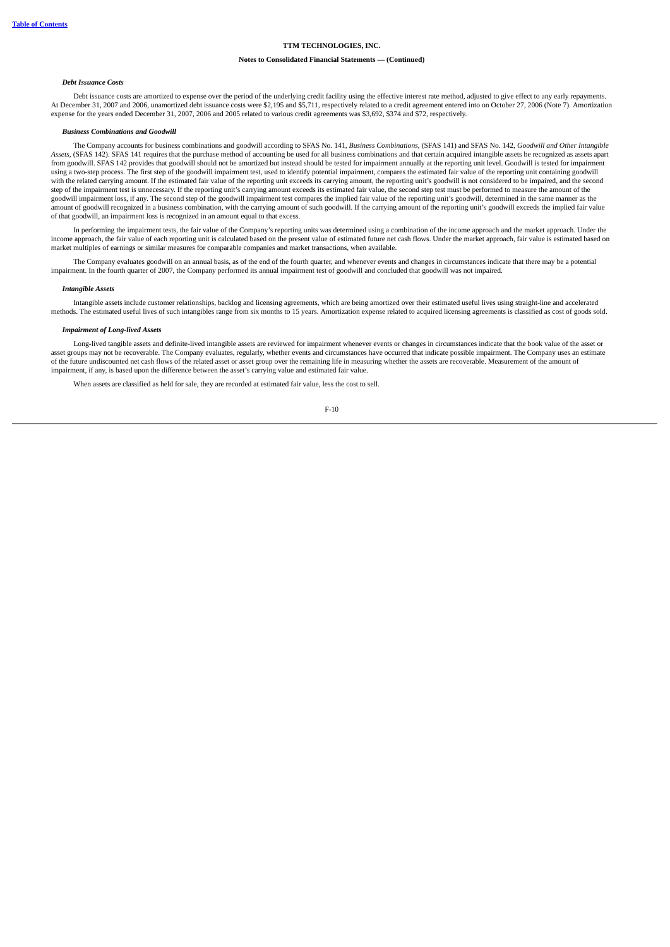#### **Notes to Consolidated Financial Statements — (Continued)**

#### *Debt Issuance Costs*

Debt issuance costs are amortized to expense over the period of the underlying credit facility using the effective interest rate method, adjusted to give effect to any early repayments.<br>At December 31, 2007 and 2006, unamo expense for the years ended December 31, 2007, 2006 and 2005 related to various credit agreements was \$3,692, \$374 and \$72, respectively.

#### *Business Combinations and Goodwill*

The Company accounts for business combinations and goodwill according to SFAS No. 141, *Business Combinations*, (SFAS 141) and SFAS No. 142, *Goodwill and Other Intangible Assets,* (SFAS 142). SFAS 141 requires that the purchase method of accounting be used for all business combinations and that certain acquired intangible assets be recognized as assets apart from goodwill. SFAS 142 provides that goodwill should not be amortized but instead should be tested for impairment annually at the reporting unit level. Goodwill is tested for impairment using a two-step process. The first step of the goodwill impairment test, used to identify potential impairment, compares the estimated fair value of the reporting unit containing goodwill with the related carrying amount. If the estimated fair value of the reporting unit exceeds its carrying amount, the reporting unit's goodwill is not considered to be impaired, and the second step of the impairment test is unnecessary. If the reporting unit's carrying amount exceeds its estimated fair value, the second step test must be performed to measure the amount of the goodwill impairment loss, if any. The second step of the goodwill impairment test compares the implied fair value of the reporting unit's goodwill, determined in the same manner as the amount of goodwill recognized in a business combination, with the carrying amount of such goodwill. If the carrying amount of the reporting unit's goodwill exceeds the implied fair value of that goodwill, an impairment loss is recognized in an amount equal to that excess.

In performing the impairment tests, the fair value of the Company's reporting units was determined using a combination of the income approach and the market approach. Under the income approach, the fair value of each reporting unit is calculated based on the present value of estimated future net cash flows. Under the market approach, fair value is estimated based on market multiples of earnings or similar measures for comparable companies and market transactions, when available.

The Company evaluates goodwill on an annual basis, as of the end of the fourth quarter, and whenever events and changes in circumstances indicate that there may be a potential impairment. In the fourth quarter of 2007, the Company performed its annual impairment test of goodwill and concluded that goodwill was not impaired.

### *Intangible Assets*

Intangible assets include customer relationships, backlog and licensing agreements, which are being amortized over their estimated useful lives using straight-line and accelerated methods. The estimated useful lives of such intangibles range from six months to 15 years. Amortization expense related to acquired licensing agreements is classified as cost of goods sold.

#### *Impairment of Long-lived Assets*

Long-lived tangible assets and definite-lived intangible assets are reviewed for impairment whenever events or changes in circumstances indicate that the book value of the asset or asset groups may not be recoverable. The Company evaluates, regularly, whether events and circumstances have occurred that indicate possible impairment. The Company uses an estimate of the future undiscounted net cash flows of the related asset or asset group over the remaining life in measuring whether the assets are recoverable. Measurement of the amount of impairment, if any, is based upon the difference between the asset's carrying value and estimated fair value.

When assets are classified as held for sale, they are recorded at estimated fair value, less the cost to sell.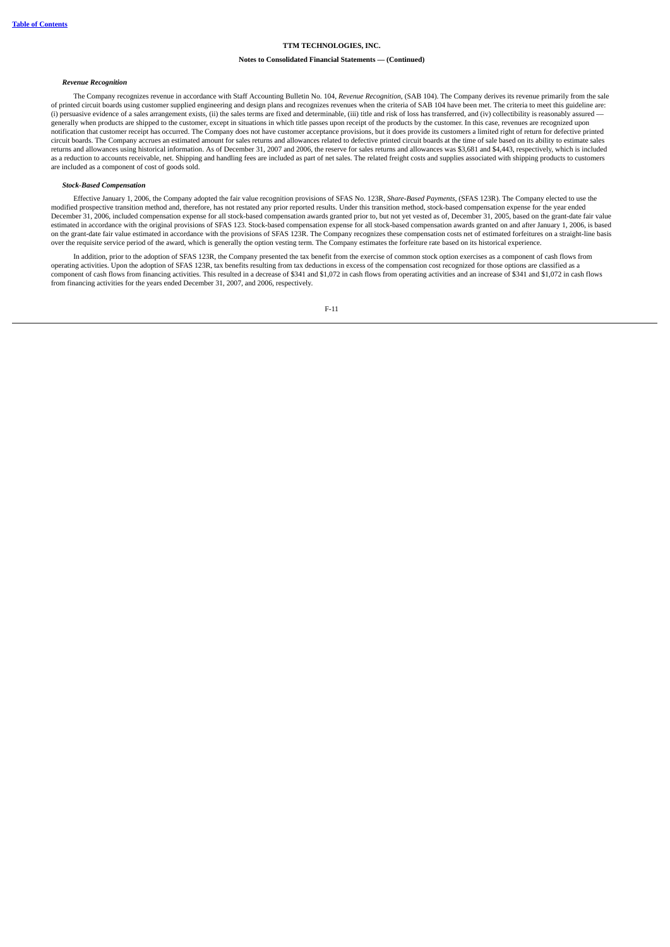### **Notes to Consolidated Financial Statements — (Continued)**

#### *Revenue Recognition*

The Company recognizes revenue in accordance with Staff Accounting Bulletin No. 104, Revenue Recognition, (SAB 104). The Company derives its revenue primarily from the sale<br>of printed circuit boards using customer supplied (i) persuasive evidence of a sales arrangement exists, (ii) the sales terms are fixed and determinable, (iii) title and risk of loss has transferred, and (iv) collectibility is reasonably assured generally when products are shipped to the customer, except in situations in which title passes upon receipt of the products by the customer. In this case, revenues are recognized upon notification that customer receipt has occurred. The Company does not have customer acceptance provisions, but it does provide its customers a limited right of return for defective printed circuit boards. The Company accrues an estimated amount for sales returns and allowances related to defective printed circuit boards at the time of sale based on its ability to estimate sales returns and allowances using historical information. As of December 31, 2007 and 2006, the reserve for sales returns and allowances was \$3,681 and \$4,443, respectively, which is included as a reduction to accounts receivable, net. Shipping and handling fees are included as part of net sales. The related freight costs and supplies associated with shipping products to customers are included as a component of cost of goods sold.

#### *Stock-Based Compensation*

Effective January 1, 2006, the Company adopted the fair value recognition provisions of SFAS No. 123R*, Share-Based Payments*, (SFAS 123R). The Company elected to use the modified prospective transition method and, therefore, has not restated any prior reported results. Under this transition method, stock-based compensation expense for the year ended December 31, 2006, included compensation expense for all stock-based compensation awards granted prior to, but not yet vested as of, December 31, 2005, based on the grant-date fair value estimated in accordance with the original provisions of SFAS 123. Stock-based compensation expense for all stock-based compensation awards granted on and after January 1, 2006, is based on the grant-date fair value estimated in accordance with the provisions of SFAS 123R. The Company recognizes these compensation costs net of estimated forfeitures on a straight-line basis over the requisite service period of the award, which is generally the option vesting term. The Company estimates the forfeiture rate based on its historical experience.

In addition, prior to the adoption of SFAS 123R, the Company presented the tax benefit from the exercise of common stock option exercises as a component of cash flows from<br>operating activities. Upon the adoption of SFAS 12 component of cash flows from financing activities. This resulted in a decrease of \$341 and \$1,072 in cash flows from operating activities and an increase of \$341 and \$1,072 in cash flows from financing activities for the years ended December 31, 2007, and 2006, respectively.

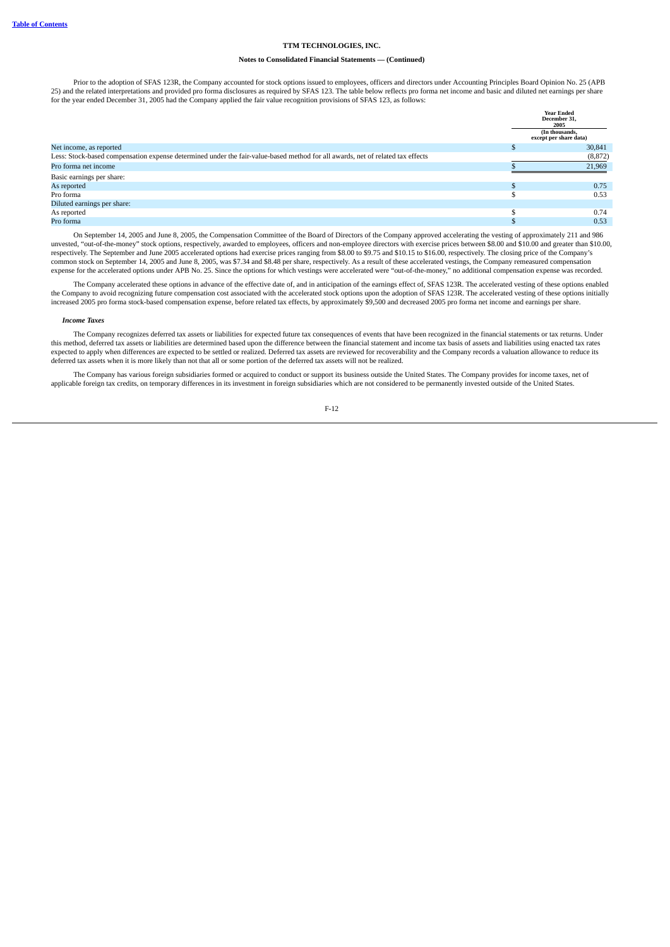### **Notes to Consolidated Financial Statements — (Continued)**

Prior to the adoption of SFAS 123R, the Company accounted for stock options issued to employees, officers and directors under Accounting Principles Board Opinion No. 25 (APB 25) and the related interpretations and provided pro forma disclosures as required by SFAS 123. The table below reflects pro forma net income and basic and diluted net earnings per share for the year ended December 31, 2005 had the Company applied the fair value recognition provisions of SFAS 123, as follows:

|                                                                                                                                | <b>Year Ended</b><br>December 31.<br>2005<br>(In thousands,<br>except per share data) |
|--------------------------------------------------------------------------------------------------------------------------------|---------------------------------------------------------------------------------------|
| Net income, as reported                                                                                                        | 30,841                                                                                |
| Less: Stock-based compensation expense determined under the fair-value-based method for all awards, net of related tax effects | (8, 872)                                                                              |
| Pro forma net income                                                                                                           | 21,969                                                                                |
| Basic earnings per share:                                                                                                      |                                                                                       |
| As reported                                                                                                                    | 0.75                                                                                  |
| Pro forma                                                                                                                      | 0.53                                                                                  |
| Diluted earnings per share:                                                                                                    |                                                                                       |
| As reported                                                                                                                    | 0.74                                                                                  |
| Pro forma                                                                                                                      | 0.53                                                                                  |
|                                                                                                                                |                                                                                       |

On September 14, 2005 and June 8, 2005, the Compensation Committee of the Board of Directors of the Company approved accelerating the vesting of approximately 211 and 986 unvested, "out-of-the-money" stock options, respectively, awarded to employees, officers and non-employee directors with exercise prices between \$8.00 and \$10.00 and greater than \$10.00, respectively. The September and June 2005 accelerated options had exercise prices ranging from \$8.00 to \$9.75 and \$10.15 to \$16.00, respectively. The closing price of the Company's common stock on September 14, 2005 and June 8, 2005, was \$7.34 and \$8.48 per share, respectively. As a result of these accelerated vestings, the Company remeasured compensation expense for the accelerated options under APB No. 25. Since the options for which vestings were accelerated were "out-of-the-money," no additional compensation expense was recorded.

The Company accelerated these options in advance of the effective date of, and in anticipation of the earnings effect of, SFAS 123R. The accelerated vesting of these options enabled the Company to avoid recognizing future compensation cost associated with the accelerated stock options upon the adoption of SFAS 123R. The accelerated vesting of these options initially increased 2005 pro forma stock-based compensation expense, before related tax effects, by approximately \$9,500 and decreased 2005 pro forma net income and earnings per share.

#### *Income Taxes*

The Company recognizes deferred tax assets or liabilities for expected future tax consequences of events that have been recognized in the financial statements or tax returns. Under this method, deferred tax assets or liabilities are determined based upon the difference between the financial statement and income tax basis of assets and liabilities using enacted tax rates expected to apply when differences are expected to be settled or realized. Deferred tax assets are reviewed for recoverability and the Company records a valuation allowance to reduce its deferred tax assets when it is more likely than not that all or some portion of the deferred tax assets will not be realized.

The Company has various foreign subsidiaries formed or acquired to conduct or support its business outside the United States. The Company provides for income taxes, net of applicable foreign tax credits, on temporary differences in its investment in foreign subsidiaries which are not considered to be permanently invested outside of the United States.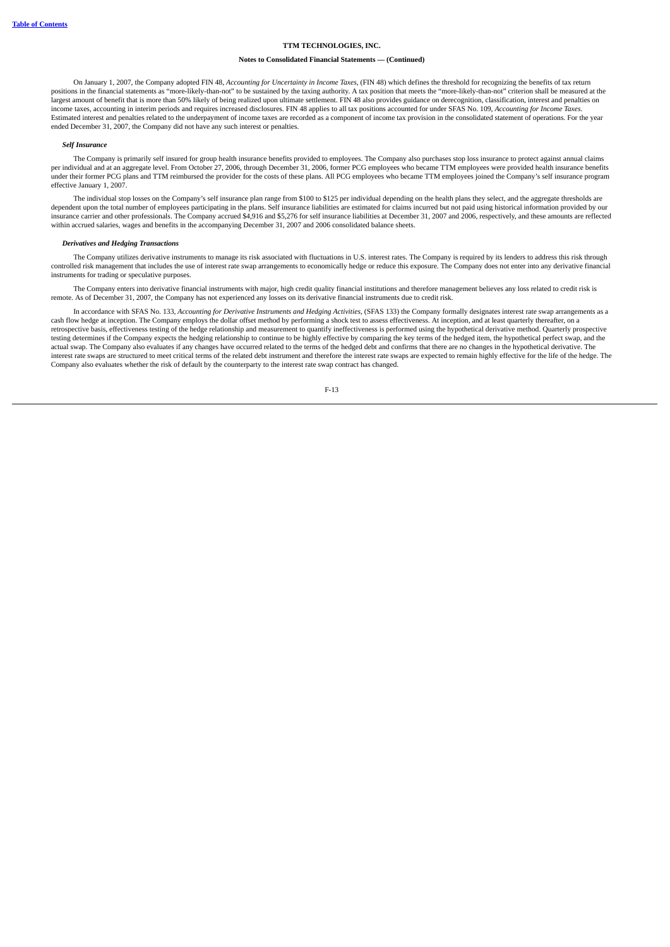### **Notes to Consolidated Financial Statements — (Continued)**

On January 1, 2007, the Company adopted FIN 48, *Accounting for Uncertainty in Income Taxes*, (FIN 48) which defines the threshold for recognizing the benefits of tax return positions in the financial statements as "more-likely-than-not" to be sustained by the taxing authority. A tax position that meets the "more-likely-than-not" criterion shall be measured at the largest amount of benefit that is more than 50% likely of being realized upon ultimate settlement. FIN 48 also provides guidance on derecognition, classification, interest and penalties on income taxes, accounting in interim periods and requires increased disclosures. FIN 48 applies to all tax positions accounted for under SFAS No. 109, Accounting for Income Taxes.<br>Estimated interest and penalties related to ended December 31, 2007, the Company did not have any such interest or penalties.

#### *Self Insurance*

The Company is primarily self insured for group health insurance benefits provided to employees. The Company also purchases stop loss insurance to protect against annual claims per individual and at an aggregate level. From October 27, 2006, through December 31, 2006, former PCG employees who became TTM employees were provided health insurance benefits under their former PCG plans and TTM reimbursed the provider for the costs of these plans. All PCG employees who became TTM employees joined the Company's self insurance program effective January 1, 2007.

The individual stop losses on the Company's self insurance plan range from \$100 to \$125 per individual depending on the health plans they select, and the aggregate thresholds are dependent upon the total number of employees participating in the plans. Self insurance liabilities are estimated for claims incurred but not paid using historical information provided by our insurance carrier and other professionals. The Company accrued \$4,916 and \$5,276 for self insurance liabilities at December 31, 2007 and 2006, respectively, and these amounts are reflected within accrued salaries, wages and benefits in the accompanying December 31, 2007 and 2006 consolidated balance sheets.

#### *Derivatives and Hedging Transactions*

The Company utilizes derivative instruments to manage its risk associated with fluctuations in U.S. interest rates. The Company is required by its lenders to address this risk through controlled risk management that includes the use of interest rate swap arrangements to economically hedge or reduce this exposure. The Company does not enter into any derivative financial instruments for trading or speculative purposes.

The Company enters into derivative financial instruments with major, high credit quality financial institutions and therefore management believes any loss related to credit risk is remote. As of December 31, 2007, the Company has not experienced any losses on its derivative financial instruments due to credit risk.

In accordance with SFAS No. 133, *Accounting for Derivative Instruments and Hedging Activities*, (SFAS 133) the Company formally designates interest rate swap arrangements as a cash flow hedge at inception. The Company employs the dollar offset method by performing a shock test to assess effectiveness. At inception, and at least quarterly thereafter, on a<br>retrospective basis, effectiveness testin testing determines if the Company expects the hedging relationship to continue to be highly effective by comparing the key terms of the hedged item, the hypothetical perfect swap, and the actual swap. The Company also evaluates if any changes have occurred related to the terms of the hedged debt and confirms that there are no changes in the hypothetical derivative. The interest rate swaps are structured to meet critical terms of the related debt instrument and therefore the interest rate swaps are expected to remain highly effective for the life of the hedge. The Company also evaluates whether the risk of default by the counterparty to the interest rate swap contract has changed.

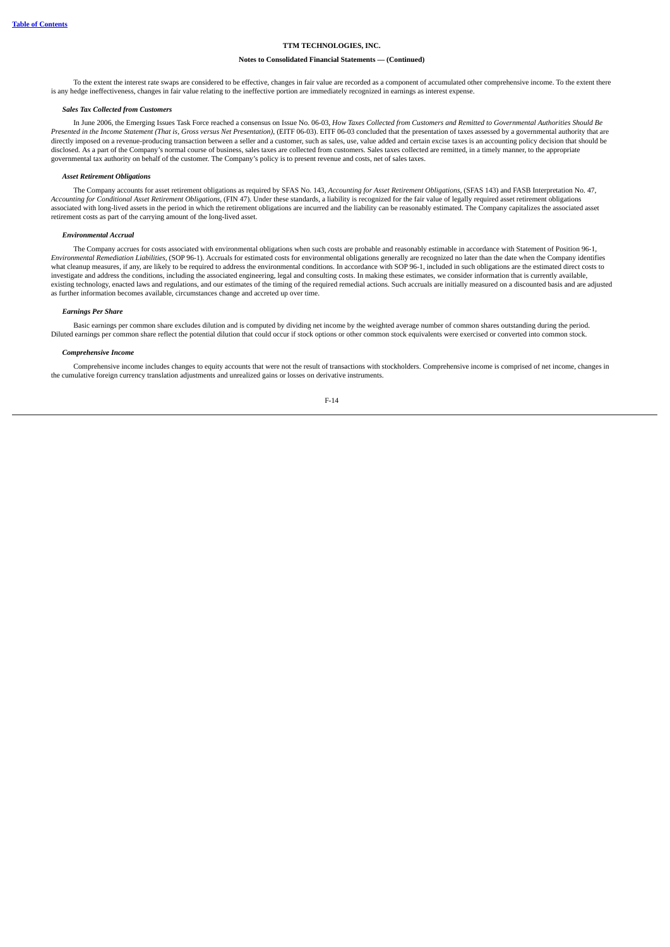### **Notes to Consolidated Financial Statements — (Continued)**

To the extent the interest rate swaps are considered to be effective, changes in fair value are recorded as a component of accumulated other comprehensive income. To the extent there is any hedge ineffectiveness, changes in fair value relating to the ineffective portion are immediately recognized in earnings as interest expense.

#### *Sales Tax Collected from Customers*

In June 2006, the Emerging Issues Task Force reached a consensus on Issue No. 06-03, How Taxes Collected from Customers and Remitted to Governmental Authorities Should Be Presented in the Income Statement (That is, Gross versus Net Presentation), (EITF 06-03). EITF 06-03 concluded that the presentation of taxes assessed by a governmental authority that are directly imposed on a revenue-producing transaction between a seller and a customer, such as sales, use, value added and certain excise taxes is an accounting policy decision that should be disclosed. As a part of the Company's normal course of business, sales taxes are collected from customers. Sales taxes collected are remitted, in a timely manner, to the appropriate governmental tax authority on behalf of the customer. The Company's policy is to present revenue and costs, net of sales taxes.

### *Asset Retirement Obligations*

The Company accounts for asset retirement obligations as required by SFAS No. 143, *Accounting for Asset Retirement Obligations,* (SFAS 143) and FASB Interpretation No. 47*,* Accounting for Conditional Asset Retirement Obligations, (FIN 47). Under these standards, a liability is recognized for the fair value of legally required asset retirement obligations associated with long-lived assets in the period in which the retirement obligations are incurred and the liability can be reasonably estimated. The Company capitalizes the associated asset retirement costs as part of the carrying amount of the long-lived asset.

#### *Environmental Accrual*

The Company accrues for costs associated with environmental obligations when such costs are probable and reasonably estimable in accordance with Statement of Position 96-1, *Environmental Remediation Liabilities*, (SOP 96-1). Accruals for estimated costs for environmental obligations generally are recognized no later than the date when the Company identifies what cleanup measures, if any, are likely to be required to address the environmental conditions. In accordance with SOP 96-1, included in such obligations are the estimated direct costs to investigate and address the conditions, including the associated engineering, legal and consulting costs. In making these estimates, we consider information that is currently available, existing technology, enacted laws and regulations, and our estimates of the timing of the required remedial actions. Such accruals are initially measured on a discounted basis and are adjusted as further information becomes available, circumstances change and accreted up over time.

### *Earnings Per Share*

Basic earnings per common share excludes dilution and is computed by dividing net income by the weighted average number of common shares outstanding during the period. Diluted earnings per common share reflect the potential dilution that could occur if stock options or other common stock equivalents were exercised or converted into common stock.

#### *Comprehensive Income*

Comprehensive income includes changes to equity accounts that were not the result of transactions with stockholders. Comprehensive income is comprised of net income, changes in the cumulative foreign currency translation adjustments and unrealized gains or losses on derivative instruments.

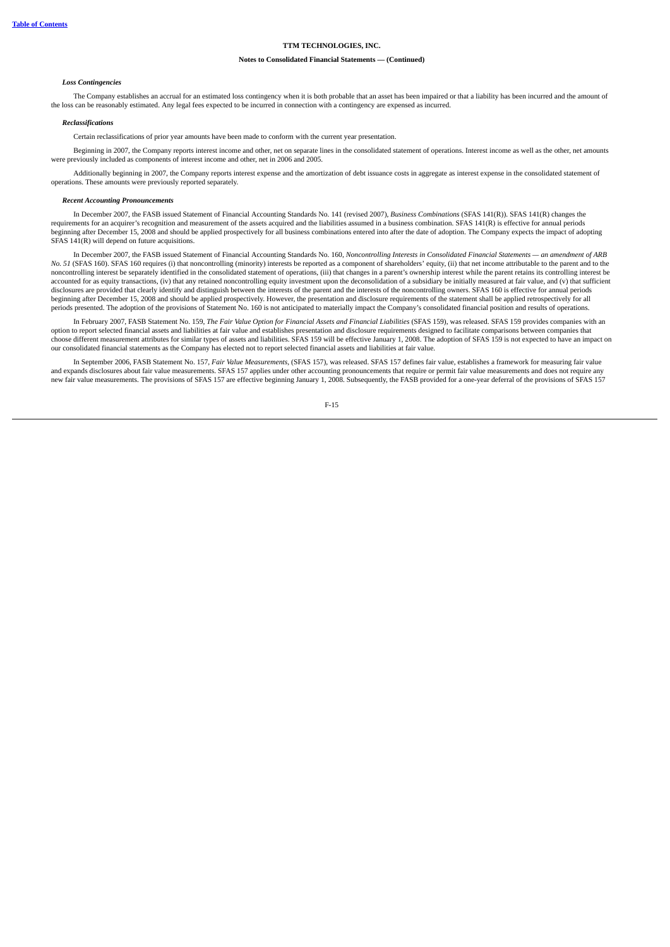#### **Notes to Consolidated Financial Statements — (Continued)**

#### *Loss Contingencies*

The Company establishes an accrual for an estimated loss contingency when it is both probable that an asset has been impaired or that a liability has been incurred and the amount of the loss can be reasonably estimated. An

#### *Reclassifications*

Certain reclassifications of prior year amounts have been made to conform with the current year presentation.

Beginning in 2007, the Company reports interest income and other, net on separate lines in the consolidated statement of operations. Interest income as well as the other, net amounts were previously included as components of interest income and other, net in 2006 and 2005.

Additionally beginning in 2007, the Company reports interest expense and the amortization of debt issuance costs in aggregate as interest expense in the consolidated statement of operations. These amounts were previously reported separately.

#### *Recent Accounting Pronouncements*

In December 2007, the FASB issued Statement of Financial Accounting Standards No. 141 (revised 2007), *Business Combinations* (SFAS 141(R)). SFAS 141(R) changes the requirements for an acquirer's recognition and measurement of the assets acquired and the liabilities assumed in a business combination. SFAS 141(R) is effective for annual periods beginning after December 15, 2008 and should be applied prospectively for all business combinations entered into after the date of adoption. The Company expects the impact of adopting SFAS 141(R) will depend on future acquisitions.

In December 2007, the FASB issued Statement of Financial Accounting Standards No. 160, Noncontrolling Interests in Consolidated Financial Statements - an amendment of ARB No. 51 (SFAS 160). SFAS 160 requires (i) that noncontrolling (minority) interests be reported as a component of shareholders' equity, (ii) that net income attributable to the parent and to the noncontrolling interest be separately identified in the consolidated statement of operations, (iii) that changes in a parent's ownership interest while the parent retains its controlling interest be accounted for as equity transactions, (iv) that any retained noncontrolling equity investment upon the deconsolidation of a subsidiary be initially measured at fair value, and (v) that sufficient disclosures are provided that clearly identify and distinguish between the interests of the parent and the interests of the noncontrolling owners. SFAS 160 is effective for annual periods beginning after December 15, 2008 and should be applied prospectively. However, the presentation and disclosure requirements of the statement shall be applied retrospectively for all periods presented. The adoption of the provisions of Statement No. 160 is not anticipated to materially impact the Company's consolidated financial position and results of operations.

In February 2007, FASB Statement No. 159, The Fair Value Option for Financial Assets and Financial Liabilities (SFAS 159), was released. SFAS 159 provides companies with an option to report selected financial assets and liabilities at fair value and establishes presentation and disclosure requirements designed to facilitate comparisons between companies that choose different measurement attributes for similar types of assets and liabilities. SFAS 159 will be effective January 1, 2008. The adoption of SFAS 159 is not expected to have an impact on our consolidated financial statements as the Company has elected not to report selected financial assets and liabilities at fair value.

In September 2006, FASB Statement No. 157, *Fair Value Measurements*, (SFAS 157), was released. SFAS 157 defines fair value, establishes a framework for measuring fair value and expands disclosures about fair value measurements. SFAS 157 applies under other accounting pronouncements that require or permit fair value measurements and does not require any<br>new fair value measurements. The provisi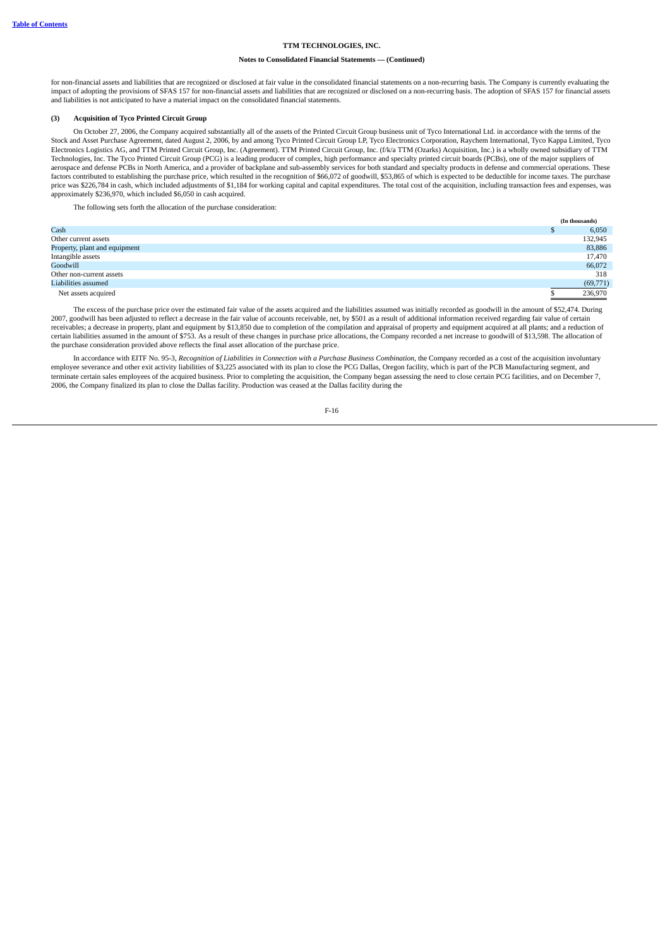# **Notes to Consolidated Financial Statements — (Continued)**

for non-financial assets and liabilities that are recognized or disclosed at fair value in the consolidated financial statements on a non-recurring basis. The Company is currently evaluating the impact of adopting the provisions of SFAS 157 for non-financial assets and liabilities that are recognized or disclosed on a non-recurring basis. The adoption of SFAS 157 for financial assets and liabilities is not anticipated to have a material impact on the consolidated financial statements.

### **(3) Acquisition of Tyco Printed Circuit Group**

On October 27, 2006, the Company acquired substantially all of the assets of the Printed Circuit Group business unit of Tyco International Ltd. in accordance with the terms of the Stock and Asset Purchase Agreement, dated August 2, 2006, by and among Tyco Printed Circuit Group LP, Tyco Electronics Corporation, Raychem International, Tyco Kappa Limited, Tyco<br>Electronics Logistics AG, and TTM Printed Technologies, Inc. The Tyco Printed Circuit Group (PCG) is a leading producer of complex, high performance and specialty printed circuit boards (PCBs), one of the major suppliers of aerospace and defense PCBs in North America, and a provider of backplane and sub-assembly services for both standard and specialty products in defense and commercial operations. These factors contributed to establishing the purchase price, which resulted in the recognition of \$66,072 of goodwill, \$53,865 of which is expected to be deductible for income taxes. The purchase price was \$226,784 in cash, which included adjustments of \$1,184 for working capital and capital expenditures. The total cost of the acquisition, including transaction fees and expenses, was approximately \$236,970, which included \$6,050 in cash acquired.

The following sets forth the allocation of the purchase consideration:

|                               | (In thousands) |
|-------------------------------|----------------|
| Cash                          | 6,050          |
| Other current assets          | 132,945        |
| Property, plant and equipment | 83,886         |
| Intangible assets             | 17,470         |
| Goodwill                      | 66,072         |
| Other non-current assets      | 318            |
| Liabilities assumed           | (69,771)       |
| Net assets acquired           | 236,970        |

The excess of the purchase price over the estimated fair value of the assets acquired and the liabilities assumed was initially recorded as goodwill in the amount of \$52,474. During 2007, goodwill has been adjusted to reflect a decrease in the fair value of accounts receivable, net, by \$501 as a result of additional information received regarding fair value of certain receivables; a decrease in property, plant and equipment by \$13,850 due to completion of the compilation and appraisal of property and equipment acquired at all plants; and a reduction of certain liabilities assumed in the amount of \$753. As a result of these changes in purchase price allocations, the Company recorded a net increase to goodwill of \$13,598. The allocation of the purchase consideration provided above reflects the final asset allocation of the purchase price.

In accordance with EITF No. 95-3, Recognition of Liabilities in Connection with a Purchase Business Combination, the Company recorded as a cost of the acquisition involuntary employee severance and other exit activity liabilities of \$3,225 associated with its plan to close the PCG Dallas, Oregon facility, which is part of the PCB Manufacturing segment, and<br>terminate certain sales employees of t 2006, the Company finalized its plan to close the Dallas facility. Production was ceased at the Dallas facility during the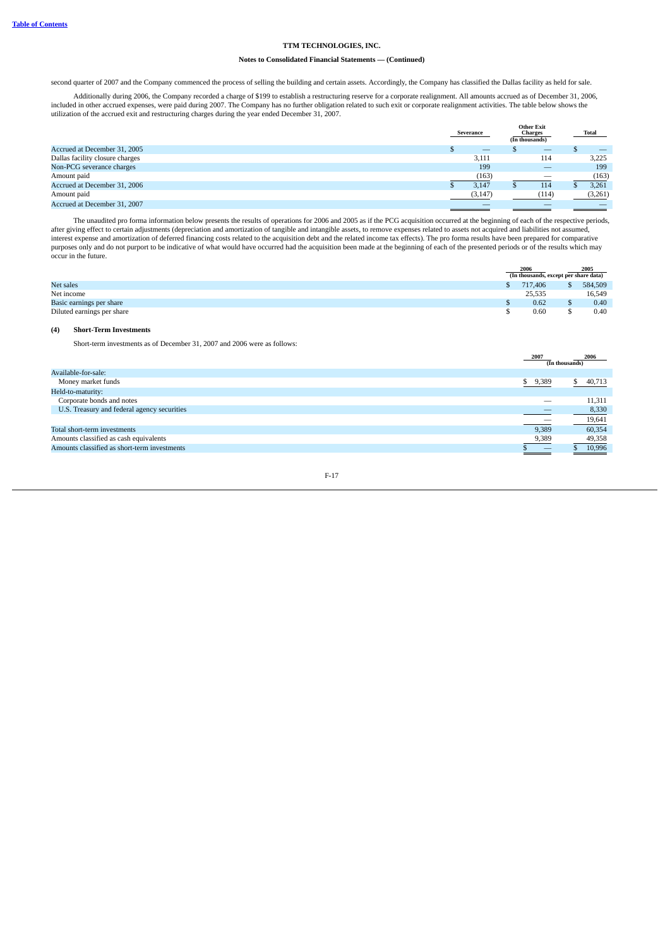### **Notes to Consolidated Financial Statements — (Continued)**

second quarter of 2007 and the Company commenced the process of selling the building and certain assets. Accordingly, the Company has classified the Dallas facility as held for sale.

Additionally during 2006, the Company recorded a charge of \$199 to establish a restructuring reserve for a corporate realignment. All amounts accrued as of December 31, 2006,<br>included in other accrued expenses, were paid d utilization of the accrued exit and restructuring charges during the year ended December 31, 2007.

|                                 | Severance | <b>Other Exit</b><br>Charges<br>(In thousands) |       |  | Total   |  |  |
|---------------------------------|-----------|------------------------------------------------|-------|--|---------|--|--|
| Accrued at December 31, 2005    |           |                                                |       |  |         |  |  |
| Dallas facility closure charges | 3.111     |                                                | 114   |  | 3,225   |  |  |
| Non-PCG severance charges       | 199       |                                                |       |  | 199     |  |  |
| Amount paid                     | (163)     |                                                |       |  | (163)   |  |  |
| Accrued at December 31, 2006    | 3,147     |                                                | 114   |  | 3,261   |  |  |
| Amount paid                     | (3, 147)  |                                                | (114) |  | (3,261) |  |  |
| Accrued at December 31, 2007    |           |                                                |       |  |         |  |  |

The unaudited pro forma information below presents the results of operations for 2006 and 2005 as if the PCG acquisition occurred at the beginning of each of the respective periods, after giving effect to certain adjustments (depreciation and amortization of tangible and intangible assets, to remove expenses related to assets not acquired and liabilities not assumed, interest expense and amortization interest expense and amortization of deferred financing costs related to the acquisition debt and the related income tax effects). The pro forma results have been prepared for comparative purposes only and do not purport t

|                            | 2006                                  |    | 2005    |
|----------------------------|---------------------------------------|----|---------|
|                            | (In thousands, except per share data) |    |         |
| Net sales                  | 717,406                               | £. | 584,509 |
| Net income                 | 25,535                                |    | 16,549  |
| Basic earnings per share   | 0.62                                  |    | 0.40    |
| Diluted earnings per share | 0.60                                  |    | 0.40    |

#### **(4) Short-Term Investments**

Short-term investments as of December 31, 2007 and 2006 were as follows:

|                                              | 2007                     | 2006           |
|----------------------------------------------|--------------------------|----------------|
|                                              |                          | (In thousands) |
| Available-for-sale:                          |                          |                |
| Money market funds                           | 9,389                    | 40,713         |
| Held-to-maturity:                            |                          |                |
| Corporate bonds and notes                    |                          | 11,311         |
| U.S. Treasury and federal agency securities  |                          | 8,330          |
|                                              |                          | 19,641         |
| Total short-term investments                 | 9.389                    | 60,354         |
| Amounts classified as cash equivalents       | 9,389                    | 49,358         |
| Amounts classified as short-term investments | $\overline{\phantom{0}}$ | 10,996         |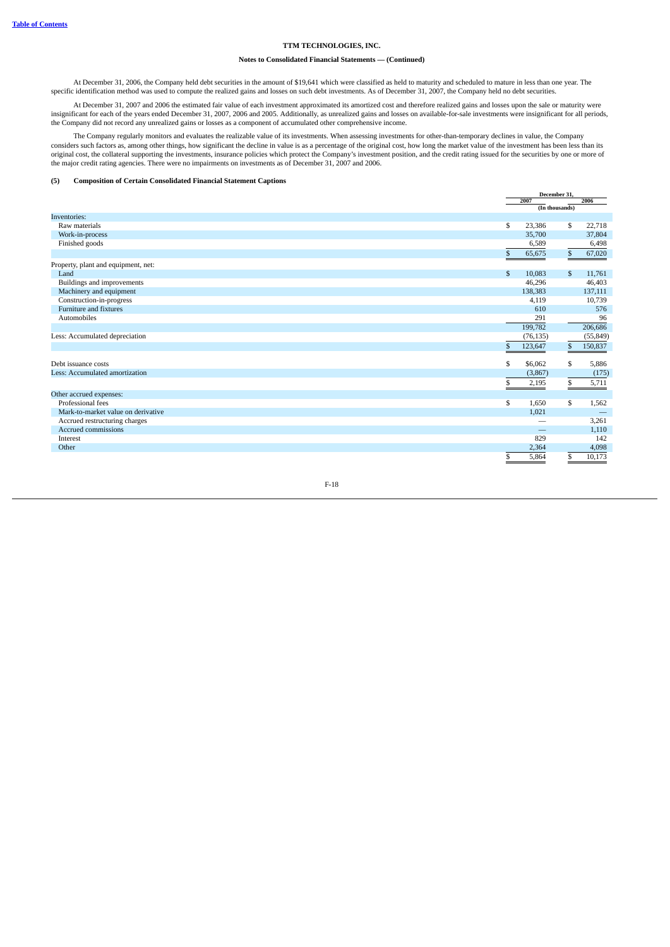### **Notes to Consolidated Financial Statements — (Continued)**

At December 31, 2006, the Company held debt securities in the amount of \$19,641 which were classified as held to maturity and scheduled to mature in less than one year. The specific identification method was used to compute the realized gains and losses on such debt investments. As of December 31, 2007, the Company held no debt securities.

At December 31, 2007 and 2006 the estimated fair value of each investment approximated its amortized cost and therefore realized gains and losses upon the sale or maturity were insignificant for each of the years ended December 31, 2007, 2006 and 2005. Additionally, as unrealized gains and losses on available-for-sale investments were insignificant for all periods, the Company did not record any unrealized gains or losses as a component of accumulated other comprehensive income.

The Company regularly monitors and evaluates the realizable value of its investments. When assessing investments for other-than-temporary declines in value, the Company<br>Considers such factors as, among other things, how si original cost, the collateral supporting the investments, insurance policies which protect the Company's investment position, and the credit rating issued for the securities by one or more of the major credit rating agencies. There were no impairments on investments as of December 31, 2007 and 2006.

### **(5) Composition of Certain Consolidated Financial Statement Captions**

|                                     |                |                          | December 31,   |           |  |
|-------------------------------------|----------------|--------------------------|----------------|-----------|--|
|                                     |                | 2007                     |                | 2006      |  |
|                                     |                |                          | (In thousands) |           |  |
| Inventories:                        |                |                          |                |           |  |
| Raw materials                       | \$             | 23,386                   | \$             | 22,718    |  |
| Work-in-process                     |                | 35,700                   |                | 37,804    |  |
| Finished goods                      |                | 6,589                    |                | 6,498     |  |
|                                     | \$             | 65,675                   | \$             | 67,020    |  |
| Property, plant and equipment, net: |                |                          |                |           |  |
| Land                                | $\mathfrak{S}$ | 10,083                   | \$             | 11,761    |  |
| Buildings and improvements          |                | 46,296                   |                | 46,403    |  |
| Machinery and equipment             |                | 138,383                  |                | 137,111   |  |
| Construction-in-progress            |                | 4,119                    |                | 10,739    |  |
| Furniture and fixtures              |                | 610                      |                | 576       |  |
| Automobiles                         |                | 291                      |                | 96        |  |
|                                     |                | 199,782                  |                | 206,686   |  |
| Less: Accumulated depreciation      |                | (76, 135)                |                | (55, 849) |  |
|                                     | \$             | 123,647                  | \$             | 150,837   |  |
|                                     |                |                          |                |           |  |
| Debt issuance costs                 | \$             | \$6,062                  | \$             | 5,886     |  |
| Less: Accumulated amortization      |                | (3,867)                  |                | (175)     |  |
|                                     |                | 2,195                    | \$             | 5,711     |  |
| Other accrued expenses:             |                |                          |                |           |  |
| Professional fees                   | \$             | 1,650                    | \$             | 1,562     |  |
| Mark-to-market value on derivative  |                | 1,021                    |                |           |  |
| Accrued restructuring charges       |                |                          |                | 3,261     |  |
| Accrued commissions                 |                | $\qquad \qquad - \qquad$ |                | 1,110     |  |
| Interest                            |                | 829                      |                | 142       |  |
| Other                               |                | 2,364                    |                | 4,098     |  |
|                                     | \$             | 5,864                    | \$             | 10,173    |  |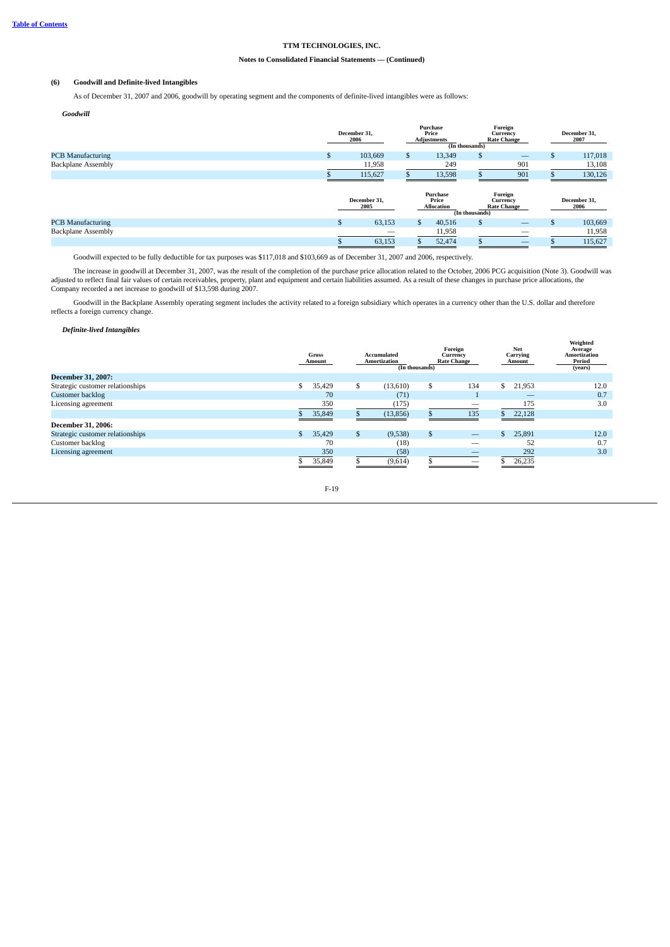### **Notes to Consolidated Financial Statements — (Continued)**

### **(6) Goodwill and Definite-lived Intangibles**

As of December 31, 2007 and 2006, goodwill by operating segment and the components of definite-lived intangibles were as follows:

*Goodwill*

|                           |    | December 31,<br>2006 |                                                                                                       | Purchase<br>Price<br><b>Adjustments</b><br>(In thousands) |    | Foreign<br>Currency<br><b>Rate Change</b> |                      | December 31,<br>2007 |
|---------------------------|----|----------------------|-------------------------------------------------------------------------------------------------------|-----------------------------------------------------------|----|-------------------------------------------|----------------------|----------------------|
| <b>PCB Manufacturing</b>  | S  | 103,669              | \$                                                                                                    | 13,349                                                    | \$ |                                           | .b                   | 117,018              |
| <b>Backplane Assembly</b> |    | 11,958               |                                                                                                       | 249                                                       |    | 901                                       |                      | 13,108               |
|                           |    | 115,627              |                                                                                                       | 13,598                                                    |    | 901                                       |                      | 130,126              |
|                           |    | December 31,<br>2005 | Purchase<br>Foreign<br>Price<br>Currency<br><b>Allocation</b><br><b>Rate Change</b><br>(In thousands) |                                                           |    |                                           | December 31,<br>2006 |                      |
|                           |    |                      |                                                                                                       |                                                           |    |                                           |                      |                      |
| <b>PCB Manufacturing</b>  | \$ | 63,153               | \$                                                                                                    | 40,516                                                    | \$ |                                           |                      | 103,669              |
| <b>Backplane Assembly</b> |    |                      |                                                                                                       | 11,958                                                    |    |                                           |                      | 11,958               |

Goodwill expected to be fully deductible for tax purposes was \$117,018 and \$103,669 as of December 31, 2007 and 2006, respectively.

The increase in goodwill at December 31, 2007, was the result of the completion of the purchase price allocation related to the October, 2006 PCG acquisition (Note 3). Goodwill was adjusted to reflect final fair values of certain receivables, property, plant and equipment and certain liabilities assumed. As a result of these changes in purchase price allocations, the Company recorded a net increase to goodwill of \$13,598 during 2007.

Goodwill in the Backplane Assembly operating segment includes the activity related to a foreign subsidiary which operates in a currency other than the U.S. dollar and therefore reflects a foreign currency change.

### *Definite-lived Intangibles*

|                                  | <b>Gross</b><br><b>Accumulated</b><br><b>Amortization</b><br>Amount<br>(In thousands) |        |     |           | Foreign<br><b>Net</b><br>Currency<br><b>Rate Change</b> |                          |     |        |      |  |  |  |  |  |  |  |  |  |  |  | Carrying<br>Amount | Weighted<br>Average<br><b>Amortization</b><br>Period<br>(years) |
|----------------------------------|---------------------------------------------------------------------------------------|--------|-----|-----------|---------------------------------------------------------|--------------------------|-----|--------|------|--|--|--|--|--|--|--|--|--|--|--|--------------------|-----------------------------------------------------------------|
| <b>December 31, 2007:</b>        |                                                                                       |        |     |           |                                                         |                          |     |        |      |  |  |  |  |  |  |  |  |  |  |  |                    |                                                                 |
| Strategic customer relationships | \$                                                                                    | 35,429 | s.  | (13,610)  | \$                                                      | 134                      | \$  | 21,953 | 12.0 |  |  |  |  |  |  |  |  |  |  |  |                    |                                                                 |
| Customer backlog                 |                                                                                       | 70     |     | (71)      |                                                         |                          |     | —      | 0.7  |  |  |  |  |  |  |  |  |  |  |  |                    |                                                                 |
| Licensing agreement              |                                                                                       | 350    |     | (175)     |                                                         | --                       |     | 175    | 3.0  |  |  |  |  |  |  |  |  |  |  |  |                    |                                                                 |
|                                  |                                                                                       | 35,849 |     | (13, 856) |                                                         | 135                      |     | 22,128 |      |  |  |  |  |  |  |  |  |  |  |  |                    |                                                                 |
| <b>December 31, 2006:</b>        |                                                                                       |        |     |           |                                                         |                          |     |        |      |  |  |  |  |  |  |  |  |  |  |  |                    |                                                                 |
| Strategic customer relationships | \$                                                                                    | 35.429 | \$. | (9,538)   | \$                                                      |                          | \$. | 25.891 | 12.0 |  |  |  |  |  |  |  |  |  |  |  |                    |                                                                 |
| Customer backlog                 |                                                                                       | 70     |     | (18)      |                                                         | $\overline{\phantom{a}}$ |     | 52     | 0.7  |  |  |  |  |  |  |  |  |  |  |  |                    |                                                                 |
| Licensing agreement              |                                                                                       | 350    |     | (58)      |                                                         | $-$                      |     | 292    | 3.0  |  |  |  |  |  |  |  |  |  |  |  |                    |                                                                 |
|                                  |                                                                                       | 35,849 |     | (9,614)   |                                                         |                          |     | 26,235 |      |  |  |  |  |  |  |  |  |  |  |  |                    |                                                                 |

$$
F-19
$$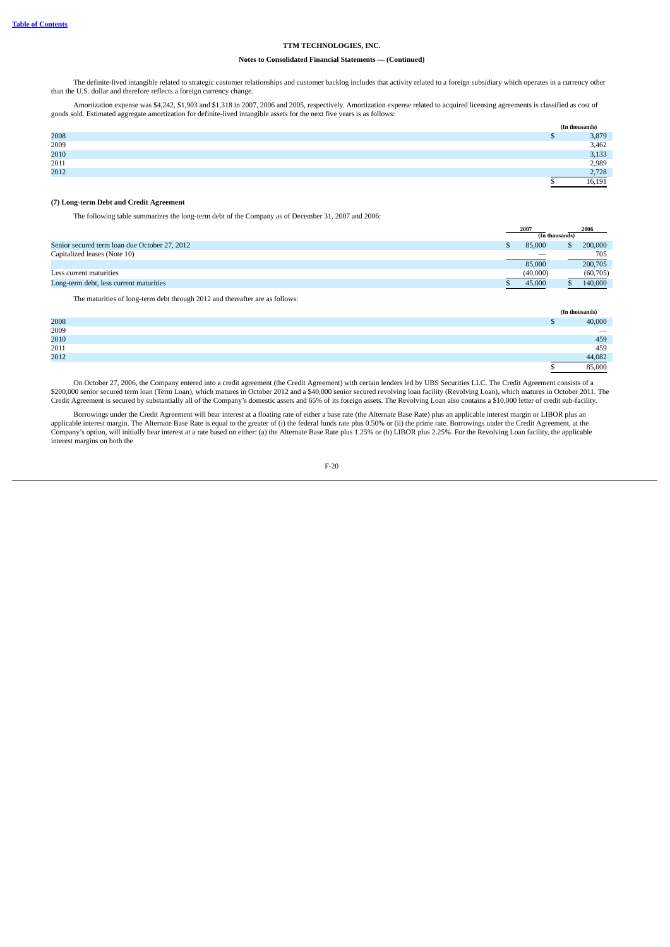### **Notes to Consolidated Financial Statements — (Continued)**

The definite-lived intangible related to strategic customer relationships and customer backlog includes that activity related to a foreign subsidiary which operates in a currency other than the U.S. dollar and therefore reflects a foreign currency change.

Amortization expense was \$4,242, \$1,903 and \$1,318 in 2007, 2006 and 2005, respectively. Amortization expense related to acquired licensing agreements is classified as cost of goods sold. Estimated aggregate amortization for definite-lived intangible assets for the next five years is as follows:

|              | (In thousands) |  |  |
|--------------|----------------|--|--|
| 2008         | 3,879          |  |  |
| 2009<br>2010 | 3,462          |  |  |
|              | 3,133          |  |  |
| 2011<br>2012 | 2,989          |  |  |
|              | 2,728          |  |  |
|              | 16,191         |  |  |

### **(7) Long-term Debt and Credit Agreement**

The following table summarizes the long-term debt of the Company as of December 31, 2007 and 2006:

|                                               | 2007 |                |  | 2006      |
|-----------------------------------------------|------|----------------|--|-----------|
|                                               |      | (In thousands) |  |           |
| Senior secured term loan due October 27, 2012 |      | 85,000         |  | 200,000   |
| Capitalized leases (Note 10)                  |      |                |  | 705       |
|                                               |      | 85,000         |  | 200,705   |
| Less current maturities                       |      | (40,000)       |  | (60, 705) |
| Long-term debt, less current maturities       |      | 45,000         |  | 140,000   |

The maturities of long-term debt through 2012 and thereafter are as follows:

|              | (In thousands)                  |
|--------------|---------------------------------|
| 2008         | 40,000                          |
| 2009         | $\hspace{0.1mm}-\hspace{0.1mm}$ |
| 2010         | 459                             |
| 2011<br>2012 | 459                             |
|              | 44,082                          |
|              | 85,000                          |

On October 27, 2006, the Company entered into a credit agreement (the Credit Agreement) with certain lenders led by UBS Securities LLC. The Credit Agreement consists of a \$200,000 senior secured term loan (Term Loan), which matures in October 2012 and a \$40,000 senior secured revolving loan facility (Revolving Loan), which matures in October 2011. The Credit Agreement is secured by substantially all of the Company's domestic assets and 65% of its foreign assets. The Revolving Loan also contains a \$10,000 letter of credit sub-facility.

Borrowings under the Credit Agreement will bear interest at a floating rate of either a base rate (the Alternate Base Rate) plus an applicable interest margin or LIBOR plus an applicable interest margin. The Alternate Base Rate is equal to the greater of (i) the federal funds rate plus 0.50% or (ii) the prime rate. Borrowings under the Credit Agreement, at the applicable interest margin. The Alt Company's option, will initially bear interest at a rate based on either: (a) the Alternate Base Rate plus 1.25% or (b) LIBOR plus 2.25%. For the Revolving Loan facility, the applicable interest margins on both the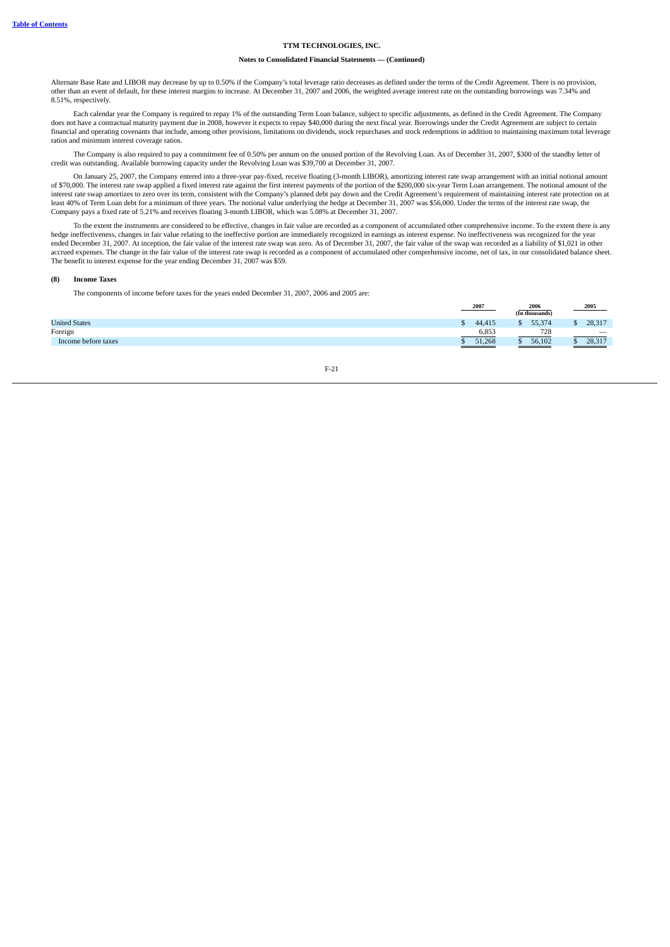### **Notes to Consolidated Financial Statements — (Continued)**

Alternate Base Rate and LIBOR may decrease by up to 0.50% if the Company's total leverage ratio decreases as defined under the terms of the Credit Agreement. There is no provision, other than an event of default, for these interest margins to increase. At December 31, 2007 and 2006, the weighted average interest rate on the outstanding borrowings was 7.34% and 8.51%, respectively.

Each calendar year the Company is required to repay 1% of the outstanding Term Loan balance, subject to specific adjustments, as defined in the Credit Agreement. The Company does not have a contractual maturity payment due in 2008, however it expects to repay \$40,000 during the next fiscal year. Borrowings under the Credit Agreement are subject to certain financial and operating covenants that include, among other provisions, limitations on dividends, stock repurchases and stock redemptions in addition to maintaining maximum total leverage ratios and minimum interest coverage ratios.

The Company is also required to pay a commitment fee of 0.50% per annum on the unused portion of the Revolving Loan. As of December 31, 2007, \$300 of the standby letter of credit was outstanding. Available borrowing capacity under the Revolving Loan was \$39,700 at December 31, 2007.

On January 25, 2007, the Company entered into a three-year pay-fixed, receive floating (3-month LIBOR), amortizing interest rate swap arrangement with an initial notional amount of \$70,000. The interest rate swap applied a fixed interest rate against the first interest payments of the portion of the \$200,000 six-year Term Loan arrangement. The notional amount of the interest rate swap amortizes to zero over its term, consistent with the Company's planned debt pay down and the Credit Agreement's requirement of maintaining interest rate protection on at least 40% of Term Loan debt for a minimum of three years. The notional value underlying the hedge at December 31, 2007 was \$56,000. Under the terms of the interest rate swap, the Company pays a fixed rate of 5.21% and receives floating 3-month LIBOR, which was 5.08% at December 31, 2007.

To the extent the instruments are considered to be effective, changes in fair value are recorded as a component of accumulated other comprehensive income. To the extent there is any hedge ineffectiveness, changes in fair value relating to the ineffective portion are immediately recognized in earnings as interest expense. No ineffectiveness was recognized for the year<br>ended December 31, 2007. At incept accrued expenses. The change in the fair value of the interest rate swap is recorded as a component of accumulated other comprehensive income, net of tax, in our consolidated balance sheet. The benefit to interest expense for the year ending December 31, 2007 was \$59.

#### **(8) Income Taxes**

The components of income before taxes for the years ended December 31, 2007, 2006 and 2005 are:

|                      | 2007   | 2006<br>(In thousands) | 2005   |
|----------------------|--------|------------------------|--------|
| <b>United States</b> | 44.415 | 55,374                 | 28,317 |
| Foreign              | 6,853  | 728                    |        |
| Income before taxes  | 51,268 | 56,102                 | 28,317 |
|                      |        |                        |        |

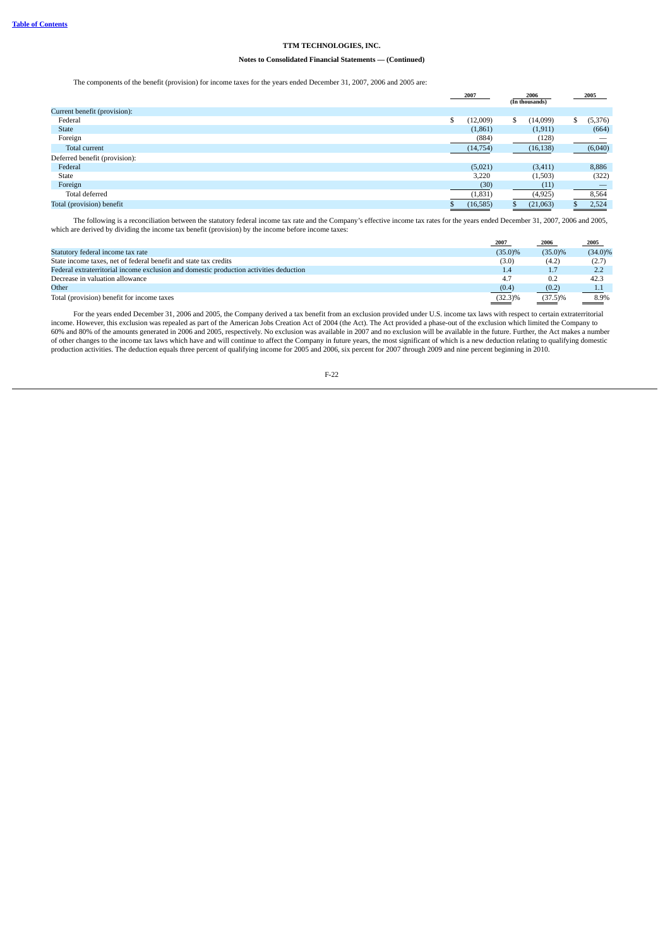### **Notes to Consolidated Financial Statements — (Continued)**

The components of the benefit (provision) for income taxes for the years ended December 31, 2007, 2006 and 2005 are:

|                               |     | 2007      | 2006<br>(In thousands) |           |   | 2005     |
|-------------------------------|-----|-----------|------------------------|-----------|---|----------|
| Current benefit (provision):  |     |           |                        |           |   |          |
| Federal                       | \$. | (12,009)  | S                      | (14,099)  | ъ | (5, 376) |
| <b>State</b>                  |     | (1,861)   |                        | (1, 911)  |   | (664)    |
| Foreign                       |     | (884)     |                        | (128)     |   |          |
| Total current                 |     | (14, 754) |                        | (16, 138) |   | (6,040)  |
| Deferred benefit (provision): |     |           |                        |           |   |          |
| Federal                       |     | (5,021)   |                        | (3, 411)  |   | 8,886    |
| State                         |     | 3,220     |                        | (1,503)   |   | (322)    |
| Foreign                       |     | (30)      |                        | (11)      |   |          |
| Total deferred                |     | (1, 831)  |                        | (4,925)   |   | 8,564    |
| Total (provision) benefit     |     | (16, 585) |                        | (21,063)  |   | 2,524    |

The following is a reconciliation between the statutory federal income tax rate and the Company's effective income tax rates for the years ended December 31, 2007, 2006 and 2005, which are derived by dividing the income tax benefit (provision) by the income before income taxes:

|                                                                                        | 2007       | 2006       | 2005         |
|----------------------------------------------------------------------------------------|------------|------------|--------------|
| Statutory federal income tax rate                                                      | $(35.0)\%$ | $(35.0)\%$ | $(34.0)\%$   |
| State income taxes, net of federal benefit and state tax credits                       | (3.0)      | (4.2)      | (2.7)        |
| Federal extraterritorial income exclusion and domestic production activities deduction | 1.4        |            | 2.2          |
| Decrease in valuation allowance                                                        | 4.7        | 0.2        | 42.3         |
| Other                                                                                  | (0.4)      | (0.2)      | $\sqrt{1.1}$ |
| Total (provision) benefit for income taxes                                             | $(32.3)\%$ | $(37.5)\%$ | 8.9%         |

For the years ended December 31, 2006 and 2005, the Company derived a tax benefit from an exclusion provided under U.S. income tax laws with respect to certain extraterritorial income. However, this exclusion was repealed as part of the American Jobs Creation Act of 2004 (the Act). The Act provided a phase-out of the exclusion which limited the Company to<br>60% and 80% of the amounts generated in 2 of other changes to the income tax laws which have and will continue to affect the Company in future years, the most significant of which is a new deduction relating to qualifying domestic production activities. The deduction equals three percent of qualifying income for 2005 and 2006, six percent for 2007 through 2009 and nine percent beginning in 2010.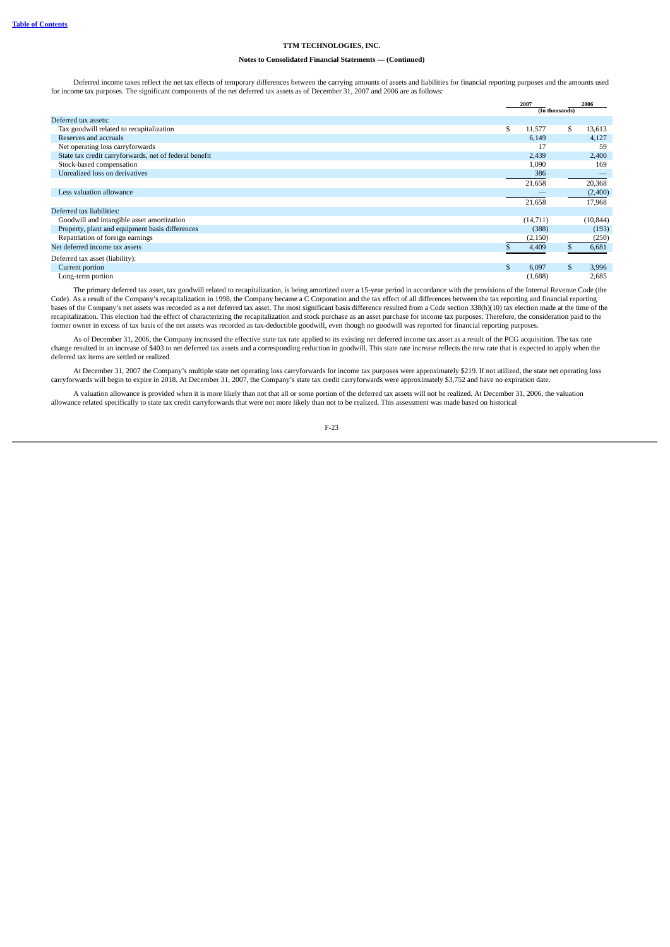### **Notes to Consolidated Financial Statements — (Continued)**

Deferred income taxes reflect the net tax effects of temporary differences between the carrying amounts of assets and liabilities for financial reporting purposes and the amounts used for income tax purposes. The significant components of the net deferred tax assets as of December 31, 2007 and 2006 are as follows:

|                                                        | 2007           |     | 2006      |
|--------------------------------------------------------|----------------|-----|-----------|
|                                                        | (In thousands) |     |           |
| Deferred tax assets:                                   |                |     |           |
| Tax goodwill related to recapitalization               | \$<br>11,577   | S   | 13,613    |
| Reserves and accruals                                  | 6,149          |     | 4,127     |
| Net operating loss carryforwards                       | 17             |     | 59        |
| State tax credit carryforwards, net of federal benefit | 2,439          |     | 2,400     |
| Stock-based compensation                               | 1,090          |     | 169       |
| Unrealized loss on derivatives                         | 386            |     |           |
|                                                        | 21,658         |     | 20,368    |
| Less valuation allowance                               |                |     | (2,400)   |
|                                                        | 21,658         |     | 17,968    |
| Deferred tax liabilities:                              |                |     |           |
| Goodwill and intangible asset amortization             | (14,711)       |     | (10, 844) |
| Property, plant and equipment basis differences        | (388)          |     | (193)     |
| Repatriation of foreign earnings                       | (2,150)        |     | (250)     |
| Net deferred income tax assets                         | 4,409          |     | 6,681     |
| Deferred tax asset (liability):                        |                |     |           |
| Current portion                                        | \$<br>6,097    | \$. | 3,996     |
| Long-term portion                                      | (1,688)        |     | 2,685     |

The primary deferred tax asset, tax goodwill related to recapitalization, is being amortized over a 15-year period in accordance with the provisions of the Internal Revenue Code (the Code). As a result of the Company's recapitalization in 1998, the Company became a C Corporation and the tax effect of all differences between the tax reporting and financial reporting bases of the Company's net assets was recorded as a net deferred tax asset. The most significant basis difference resulted from a Code section 338(h)(10) tax election made at the time of the recapitalization. This election had the effect of characterizing the recapitalization and stock purchase as an asset purchase for income tax purposes. Therefore, the consideration paid to the recapitalization and stock pur former owner in excess of tax basis of the net assets was recorded as tax-deductible goodwill, even though no goodwill was reported for financial reporting purposes.

As of December 31, 2006, the Company increased the effective state tax rate applied to its existing net deferred income tax asset as a result of the PCG acquisition. The tax rate change resulted in an increase of \$403 to net deferred tax assets and a corresponding reduction in goodwill. This state rate increase reflects the new rate that is expected to apply when the deferred tax items are settled or realized.

At December 31, 2007 the Company's multiple state net operating loss carryforwards for income tax purposes were approximately \$219. If not utilized, the state net operating loss<br>Carryforwards will begin to expire in 2018.

A valuation allowance is provided when it is more likely than not that all or some portion of the deferred tax assets will not be realized. At December 31, 2006, the valuation allowance related specifically to state tax credit carryforwards that were not more likely than not to be realized. This assessment was made based on historical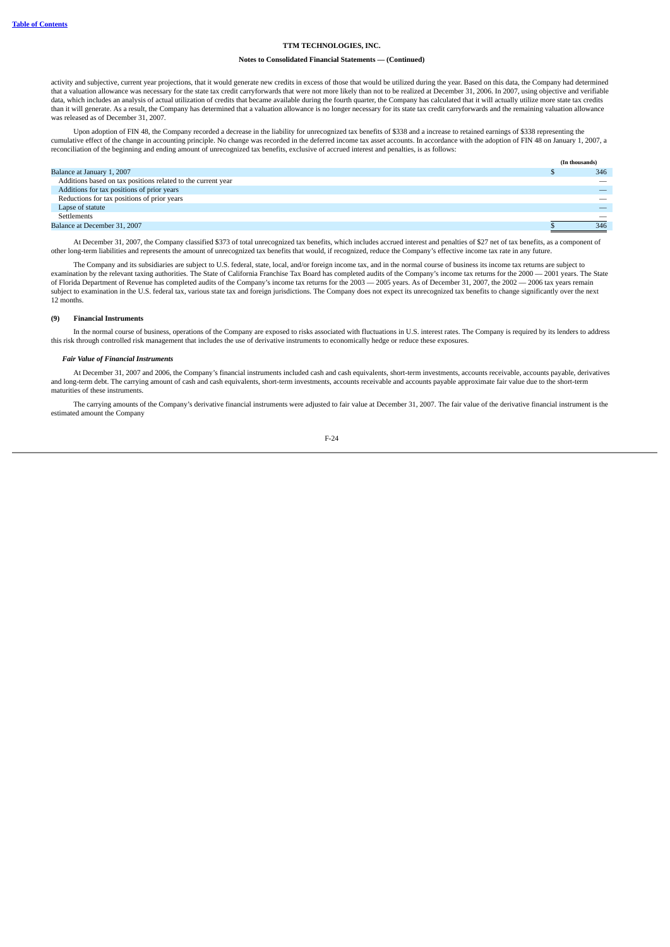# **Notes to Consolidated Financial Statements — (Continued)**

activity and subjective, current year projections, that it would generate new credits in excess of those that would be utilized during the year. Based on this data, the Company had determined that a valuation allowance was necessary for the state tax credit carryforwards that were not more likely than not to be realized at December 31, 2006. In 2007, using objective and verifiable data, which includes an analysis of actual utilization of credits that became available during the fourth quarter, the Company has calculated that it will actually utilize more state tax credits than it will generate. As a result, the Company has determined that a valuation allowance is no longer necessary for its state tax credit carryforwards and the remaining valuation allowance was released as of December 31, 2007.

Upon adoption of FIN 48, the Company recorded a decrease in the liability for unrecognized tax benefits of \$338 and a increase to retained earnings of \$338 representing the cumulative effect of the change in accounting principle. No change was recorded in the deferred income tax asset accounts. In accordance with the adoption of FIN 48 on January 1, 2007, a reconciliation of the beginning and ending amount of unrecognized tax benefits, exclusive of accrued interest and penalties, is as follows:

|                                                              | (In thousands) |     |
|--------------------------------------------------------------|----------------|-----|
| Balance at January 1, 2007                                   |                | 346 |
| Additions based on tax positions related to the current year |                |     |
| Additions for tax positions of prior years                   |                |     |
| Reductions for tax positions of prior years                  |                |     |
| Lapse of statute                                             |                |     |
| <b>Settlements</b>                                           |                |     |
| Balance at December 31, 2007                                 |                | 346 |
|                                                              |                |     |

At December 31, 2007, the Company classified \$373 of total unrecognized tax benefits, which includes accrued interest and penalties of \$27 net of tax benefits, as a component of other long-term liabilities and represents the amount of unrecognized tax benefits that would, if recognized, reduce the Company's effective income tax rate in any future.

The Company and its subsidiaries are subject to U.S. federal, state, local, and/or foreign income tax, and in the normal course of business its income tax returns are subject to examination by the relevant taxing authorities. The State of California Franchise Tax Board has completed audits of the Company's income tax returns for the 2000 — 2001 years. The State<br>of Florida Department of Revenue has 12 months.

#### **(9) Financial Instruments**

In the normal course of business, operations of the Company are exposed to risks associated with fluctuations in U.S. interest rates. The Company is required by its lenders to address this risk through controlled risk management that includes the use of derivative instruments to economically hedge or reduce these exposures.

#### *Fair Value of Financial Instruments*

At December 31, 2007 and 2006, the Company's financial instruments included cash and cash equivalents, short-term investments, accounts receivable, accounts payable, derivatives and long-term debt. The carrying amount of cash and cash equivalents, short-term investments, accounts receivable and accounts payable approximate fair value due to the short-term maturities of these instruments.

The carrying amounts of the Company's derivative financial instruments were adjusted to fair value at December 31, 2007. The fair value of the derivative financial instrument is the estimated amount the Company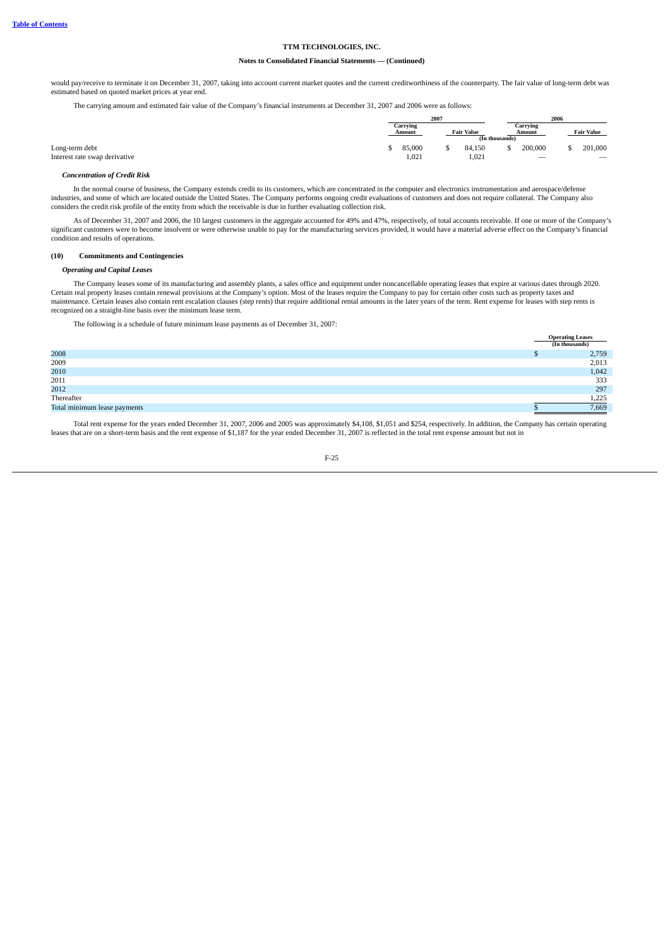### **Notes to Consolidated Financial Statements — (Continued)**

would pay/receive to terminate it on December 31, 2007, taking into account current market quotes and the current creditworthiness of the counterparty. The fair value of long-term debt was estimated based on quoted market prices at year end.

The carrying amount and estimated fair value of the Company's financial instruments at December 31, 2007 and 2006 were as follows:

|                               | 2007           |          | 2006 |                   |  |          |  |                   |
|-------------------------------|----------------|----------|------|-------------------|--|----------|--|-------------------|
|                               |                | Carrying |      |                   |  | Carrying |  |                   |
|                               |                | Amount   |      | <b>Fair Value</b> |  | Amount   |  | <b>Fair Value</b> |
|                               | (In thousands) |          |      |                   |  |          |  |                   |
| Long-term debt                |                | 85,000   |      | 84.150            |  | 200,000  |  | 201.000           |
| Interest rate swap derivative |                | 1,021    |      | 1,021             |  | —        |  |                   |

#### *Concentration of Credit Risk*

In the normal course of business, the Company extends credit to its customers, which are concentrated in the computer and electronics instrumentation and aerospace/defense industries, and some of which are located outside the United States. The Company performs ongoing credit evaluations of customers and does not require collateral. The Company also considers the credit risk profile of the entity from which the receivable is due in further evaluating collection risk.

As of December 31, 2007 and 2006, the 10 largest customers in the aggregate accounted for 49% and 47%, respectively, of total accounts receivable. If one or more of the Company's significant customers were to become insolvent or were otherwise unable to pay for the manufacturing services provided, it would have a material adverse effect on the Company's financial condition and results of operations.

#### **(10) Commitments and Contingencies**

#### *Operating and Capital Leases*

The Company leases some of its manufacturing and assembly plants, a sales office and equipment under noncancellable operating leases that expire at various dates through 2020. Certain real property leases contain renewal provisions at the Company's option. Most of the leases require the Company to pay for certain other costs such as property taxes and maintenance. Certain leases also contain rent escalation clauses (step rents) that require additional rental amounts in the later years of the term. Rent expense for leases with step rents is recognized on a straight-line basis over the minimum lease term.

The following is a schedule of future minimum lease payments as of December 31, 2007:

|                              | <b>Operating Leases</b> |  |
|------------------------------|-------------------------|--|
|                              | (In thousands)          |  |
| 2008                         | 2,759                   |  |
| 2009                         | 2,013                   |  |
| 2010                         | 1,042                   |  |
| 2011                         | 333                     |  |
| 2012                         | 297                     |  |
| Thereafter                   | 1,225                   |  |
| Total minimum lease payments | 7,669                   |  |
|                              |                         |  |

Total rent expense for the years ended December 31, 2007, 2006 and 2005 was approximately \$4,108, \$1,051 and \$254, respectively. In addition, the Company has certain operating<br>leases that are on a short-term basis and the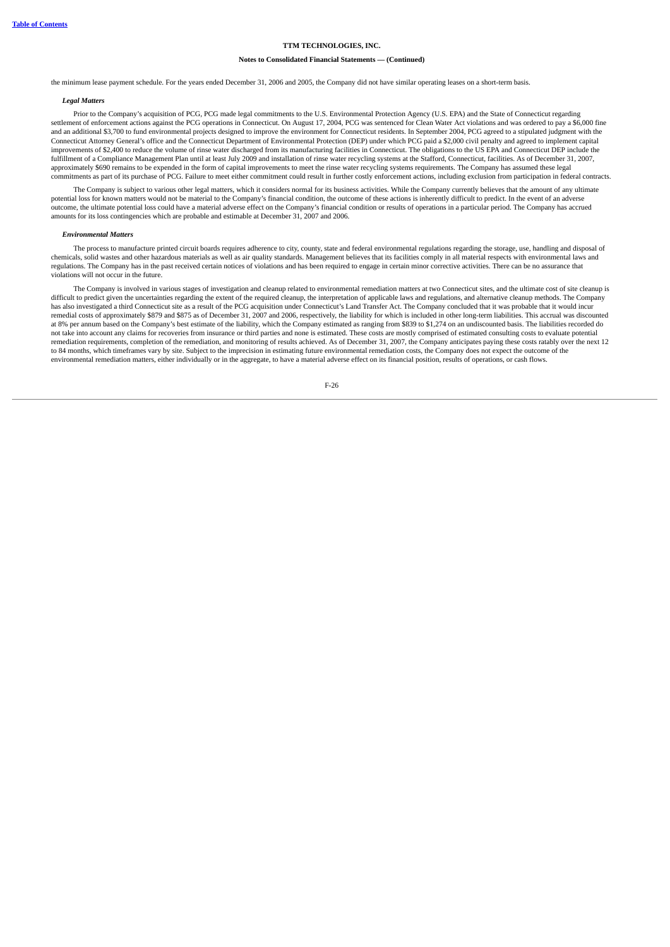### **Notes to Consolidated Financial Statements — (Continued)**

the minimum lease payment schedule. For the years ended December 31, 2006 and 2005, the Company did not have similar operating leases on a short-term basis.

#### *Legal Matters*

Prior to the Company's acquisition of PCG, PCG made legal commitments to the U.S. Environmental Protection Agency (U.S. EPA) and the State of Connecticut regarding settlement of enforcement actions against the PCG operations in Connecticut. On August 17, 2004, PCG was sentenced for Clean Water Act violations and was ordered to pay a \$6,000 fine and an additional \$3,700 to fund environmental projects designed to improve the environment for Connecticut residents. In September 2004, PCG agreed to a stipulated judgment with the Connecticut Attorney General's office and the Connecticut Department of Environmental Protection (DEP) under which PCG paid a \$2,000 civil penalty and agreed to implement capital improvements of \$2,400 to reduce the volume of rinse water discharged from its manufacturing facilities in Connecticut. The obligations to the US EPA and Connecticut DEP include the fulfillment of a Compliance Management Plan until at least July 2009 and installation of rinse water recycling systems at the Stafford, Connecticut, facilities. As of December 31, 2007, approximately \$690 remains to be expended in the form of capital improvements to meet the rinse water recycling systems requirements. The Company has assumed these legal commitments as part of its purchase of PCG. Failure to meet either commitment could result in further costly enforcement actions, including exclusion from participation in federal contracts.

The Company is subject to various other legal matters, which it considers normal for its business activities. While the Company currently believes that the amount of any ultimate potential loss for known matters would not be material to the Company's financial condition, the outcome of these actions is inherently difficult to predict. In the event of an adverse outcome, the ultimate potential loss could have a material adverse effect on the Company's financial condition or results of operations in a particular period. The Company has accrued amounts for its loss contingencies which are probable and estimable at December 31, 2007 and 2006.

#### *Environmental Matters*

The process to manufacture printed circuit boards requires adherence to city, county, state and federal environmental regulations regarding the storage, use, handling and disposal of chemicals, solid wastes and other hazardous materials as well as air quality standards. Management believes that its facilities comply in all material respects with environmental laws and regulations. The Company has in the past received certain notices of violations and has been required to engage in certain minor corrective activities. There can be no assurance that violations will not occur in the future.

The Company is involved in various stages of investigation and cleanup related to environmental remediation matters at two Connecticut sites, and the ultimate cost of site cleanup is difficult to predict given the uncertainties regarding the extent of the required cleanup, the interpretation of applicable laws and regulations, and alternative cleanup methods. The Company has also investigated a third Connecticut site as a result of the PCG acquisition under Connecticut's Land Transfer Act. The Company concluded that it was probable that it would incur remedial costs of approximately \$879 and \$875 as of December 31, 2007 and 2006, respectively, the liability for which is included in other long-term liabilities. This accrual was discounted at 8% per annum based on the Company's best estimate of the liability, which the Company estimated as ranging from \$839 to \$1,274 on an undiscounted basis. The liabilities recorded do not take into account any claims for recoveries from insurance or third parties and none is estimated. These costs are mostly comprised of estimated consulting costs to evaluate potential remediation requirements, completion of the remediation, and monitoring of results achieved. As of December 31, 2007, the Company anticipates paying these costs ratably over the next 12<br>to 84 months, which timeframes vary environmental remediation matters, either individually or in the aggregate, to have a material adverse effect on its financial position, results of operations, or cash flows.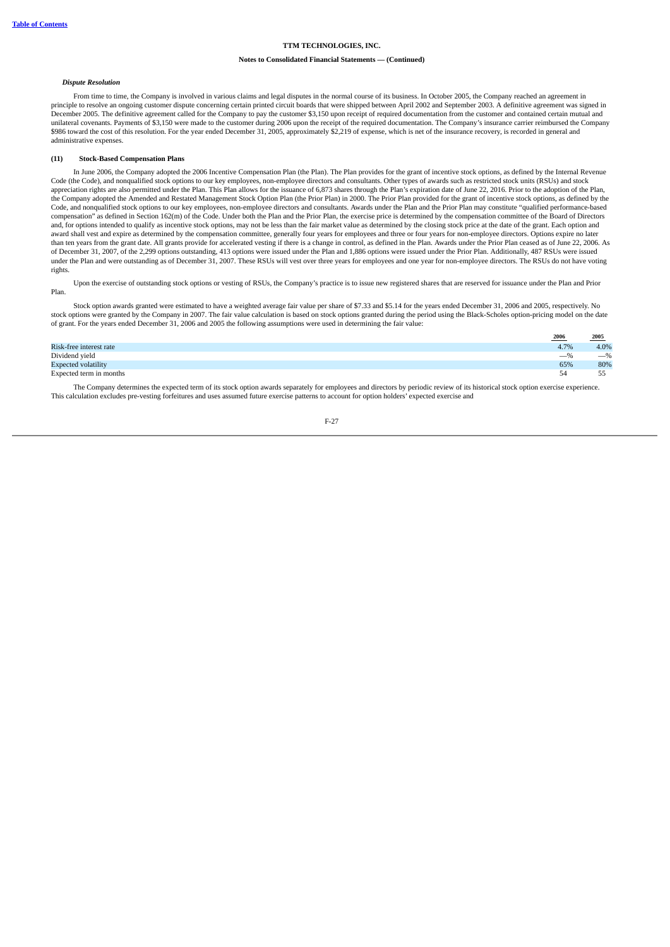#### **Notes to Consolidated Financial Statements — (Continued)**

#### *Dispute Resolution*

From time to time, the Company is involved in various claims and legal disputes in the normal course of its business. In October 2005, the Company reached an agreement in principle to resolve an ongoing customer dispute concerning certain printed circuit boards that were shipped between April 2002 and September 2003. A definitive agreement was signed in December 2005. The definitive agreement called for the Company to pay the customer \$3,150 upon receipt of required documentation from the customer and contained certain mutual and unilateral covenants. Payments of \$3,150 were made to the customer during 2006 upon the receipt of the required documentation. The Company's insurance carrier reimbursed the Company \$986 toward the cost of this resolution. For the year ended December 31, 2005, approximately \$2,219 of expense, which is net of the insurance recovery, is recorded in general and administrative expenses.

#### **(11) Stock-Based Compensation Plans**

In June 2006, the Company adopted the 2006 Incentive Compensation Plan (the Plan). The Plan provides for the grant of incentive stock options, as defined by the Internal Revenue Code (the Code), and nonqualified stock options to our key employees, non-employee directors and consultants. Other types of awards such as restricted stock units (RSUs) and stock appreciation rights are also permitted under the Plan. This Plan allows for the issuance of 6,873 shares through the Plan's expiration date of June 22, 2016. Prior to the adoption of the Plan, the Company adopted the Amended and Restated Management Stock Option Plan (the Prior Plan) in 2000. The Prior Plan provided for the grant of incentive stock options, as defined by the Code, and nonqualified stock options to our key employees, non-employee directors and consultants. Awards under the Plan and the Prior Plan may constitute "qualified performance-based compensation" as defined in Section 162(m) of the Code. Under both the Plan and the Prior Plan, the exercise price is determined by the compensation committee of the Board of Directors and, for options intended to qualify as incentive stock options, may not be less than the fair market value as determined by the closing stock price at the date of the grant. Each option and award shall vest and expire as determined by the compensation committee, generally four years for employees and three or four years for non-employee directors. Options expire no later than ten years from the grant date. All grants provide for accelerated vesting if there is a change in control, as defined in the Plan. Awards under the Prior Plan ceased as of June 22, 2006. As of December 31, 2007, of the 2,299 options outstanding, 413 options were issued under the Plan and 1,886 options were issued under the Prior Plan. Additionally, 487 RSUs were issued under the Plan and were outstanding as of December 31, 2007. These RSUs will vest over three years for employees and one year for non-employee directors. The RSUs do not have voting rights.

Upon the exercise of outstanding stock options or vesting of RSUs, the Company's practice is to issue new registered shares that are reserved for issuance under the Plan and Prior Plan.

Stock option awards granted were estimated to have a weighted average fair value per share of \$7.33 and \$5.14 for the years ended December 31, 2006 and 2005, respectively. No stock options were granted by the Company in 2007. The fair value calculation is based on stock options granted during the period using the Black-Scholes option-pricing model on the date of grant. For the years ended December 31, 2006 and 2005 the following assumptions were used in determining the fair value:

|                            | 2006 | 2005              |
|----------------------------|------|-------------------|
| Risk-free interest rate    | 4.7% | 4.0%              |
| Dividend yield             | __   | $\Omega$<br>$-$ % |
| <b>Expected volatility</b> | 65%  | 80%               |
| Expected term in months    |      | --<br>ں ب         |

The Company determines the expected term of its stock option awards separately for employees and directors by periodic review of its historical stock option exercise experience. This calculation excludes pre-vesting forfeitures and uses assumed future exercise patterns to account for option holders' expected exercise and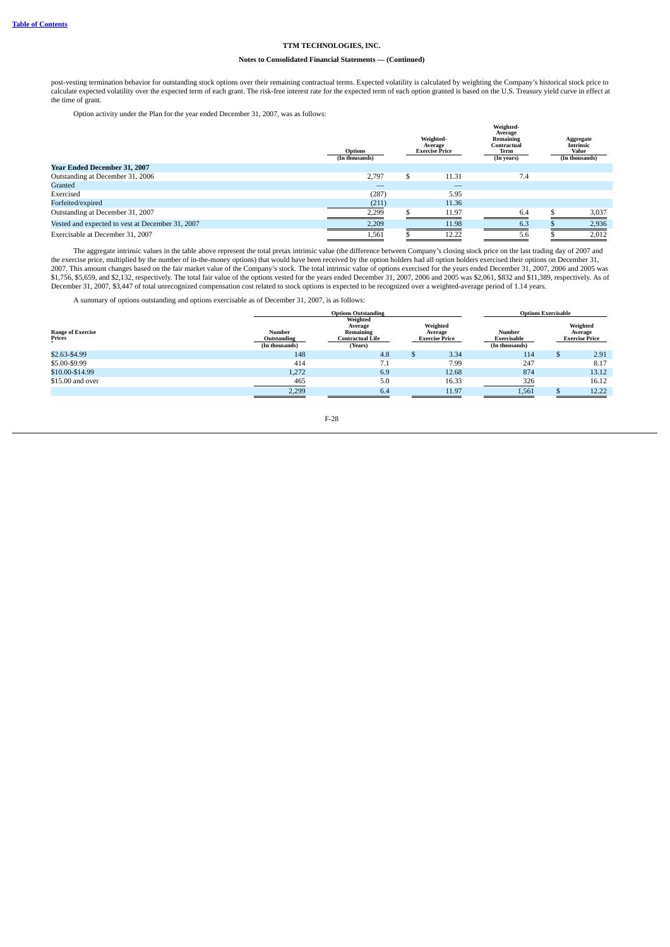## **Notes to Consolidated Financial Statements — (Continued)**

post-vesting termination behavior for outstanding stock options over their remaining contractual terms. Expected volatility is calculated by weighting the Company's historical stock price to calculate expected volatility over the expected term of each grant. The risk-free interest rate for the expected term of each option granted is based on the U.S. Treasury yield curve in effect at the time of grant.

**Weighted-**

Option activity under the Plan for the year ended December 31, 2007, was as follows:

|                                                  | <b>Options</b><br>(In thousands) | Weighted-<br>Average<br><b>Exercise Price</b> | weighteu-<br>Average<br>Remaining<br>Contractual<br>Term<br>(In years) | Aggregate<br><b>Intrinsic</b><br>Value<br>(In thousands) |
|--------------------------------------------------|----------------------------------|-----------------------------------------------|------------------------------------------------------------------------|----------------------------------------------------------|
| Year Ended December 31, 2007                     |                                  |                                               |                                                                        |                                                          |
| Outstanding at December 31, 2006                 | 2.797                            | \$<br>11.31                                   | 7.4                                                                    |                                                          |
| Granted                                          |                                  |                                               |                                                                        |                                                          |
| Exercised                                        | (287)                            | 5.95                                          |                                                                        |                                                          |
| Forfeited/expired                                | (211)                            | 11.36                                         |                                                                        |                                                          |
| Outstanding at December 31, 2007                 | 2,299                            | 11.97                                         | 6.4                                                                    | 3,037                                                    |
| Vested and expected to vest at December 31, 2007 | 2,209                            | 11.98                                         | 6.3                                                                    | 2,936                                                    |
| Exercisable at December 31, 2007                 | 1,561                            | 12.22                                         | 5.6                                                                    | 2,012                                                    |

The aggregate intrinsic values in the table above represent the total pretax intrinsic value (the difference between Company's closing stock price on the last trading day of 2007 and the exercise price, multiplied by the number of in-the-money options) that would have been received by the option holders had all option holders exercised their options on December 31,<br>2007. This amount changes based on th \$1,756, \$5,659, and \$2,132, respectively. The total fair value of the options vested for the years ended December 31, 2007, 2006 and 2005 was \$2,061, \$832 and \$11,389, respectively. As of December 31, 2007, \$3,447 of total unrecognized compensation cost related to stock options is expected to be recognized over a weighted-average period of 1.14 years.

A summary of options outstanding and options exercisable as of December 31, 2007, is as follows:

|                                    |                                                | <b>Options Outstanding</b>                                             |                                              | <b>Options Exercisable</b>              |    |                                              |  |  |  |  |
|------------------------------------|------------------------------------------------|------------------------------------------------------------------------|----------------------------------------------|-----------------------------------------|----|----------------------------------------------|--|--|--|--|
| <b>Range of Exercise</b><br>Prices | <b>Number</b><br>Outstanding<br>(In thousands) | Weighted<br>Average<br>Remaining<br><b>Contractual Life</b><br>(Years) | Weighted<br>Average<br><b>Exercise Price</b> | Number<br>Exercisable<br>(In thousands) |    | Weighted<br>Average<br><b>Exercise Price</b> |  |  |  |  |
| \$2.63-\$4.99                      | 148                                            | 4.8                                                                    | 3.34<br>S                                    | 114                                     | -D | 2.91                                         |  |  |  |  |
| \$5.00-\$9.99                      | 414                                            | 7.1                                                                    | 7.99                                         | 247                                     |    | 8.17                                         |  |  |  |  |
| \$10.00-\$14.99                    | 1,272                                          | 6.9                                                                    | 12.68                                        | 874                                     |    | 13.12                                        |  |  |  |  |
| \$15.00 and over                   | 465                                            | 5.0                                                                    | 16.33                                        | 326                                     |    | 16.12                                        |  |  |  |  |
|                                    | 2,299                                          | 6.4                                                                    | 11.97                                        | 1,561                                   |    | 12.22                                        |  |  |  |  |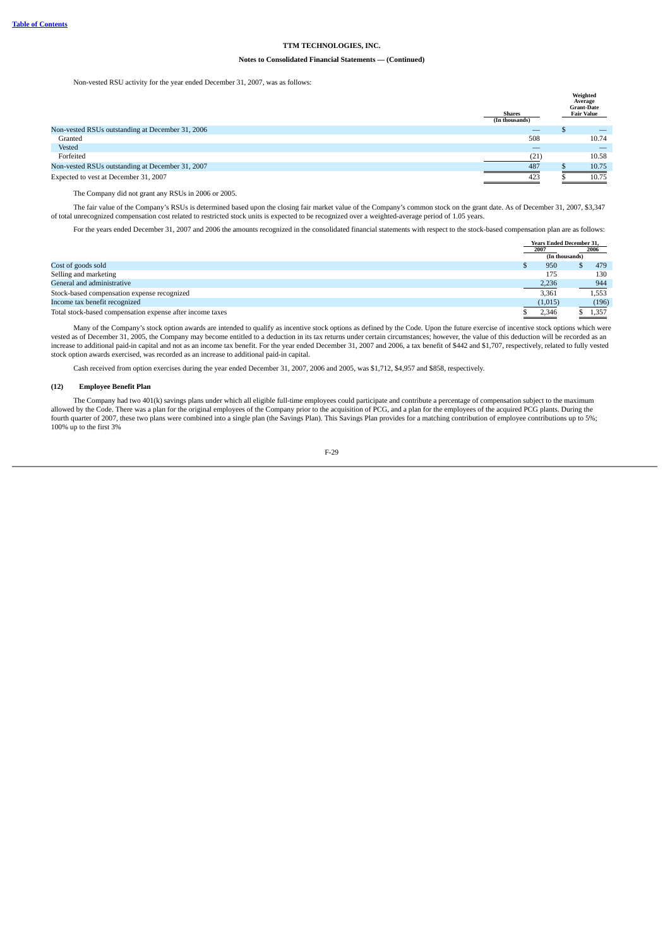## **Notes to Consolidated Financial Statements — (Continued)**

Non-vested RSU activity for the year ended December 31, 2007, was as follows:

|                                                  | <b>Shares</b><br>(In thousands) | Weighted<br>Average<br><b>Grant-Date</b><br>Fair Value |
|--------------------------------------------------|---------------------------------|--------------------------------------------------------|
| Non-vested RSUs outstanding at December 31, 2006 |                                 |                                                        |
| Granted                                          | 508                             | 10.74                                                  |
| Vested                                           |                                 |                                                        |
| Forfeited                                        | (21)                            | 10.58                                                  |
| Non-vested RSUs outstanding at December 31, 2007 | 487                             | 10.75                                                  |
| Expected to vest at December 31, 2007            | 423                             | 10.75                                                  |

The Company did not grant any RSUs in 2006 or 2005.

The fair value of the Company's RSUs is determined based upon the closing fair market value of the Company's common stock on the grant date. As of December 31, 2007, \$3,347 of total unrecognized compensation cost related to restricted stock units is expected to be recognized over a weighted-average period of 1.05 years.

For the years ended December 31, 2007 and 2006 the amounts recognized in the consolidated financial statements with respect to the stock-based compensation plan are as follows:

|         |      | 2006                                              |
|---------|------|---------------------------------------------------|
|         |      |                                                   |
| 950     |      | 479                                               |
| 175     |      | 130                                               |
| 2,236   |      | 944                                               |
| 3,361   |      | 1,553                                             |
| (1,015) |      | (196)                                             |
| 2,346   |      | \$1,357                                           |
|         | 2007 | <b>Years Ended December 31.</b><br>(In thousands) |

Many of the Company's stock option awards are intended to qualify as incentive stock options as defined by the Code. Upon the future exercise of incentive stock options which were vested as of December 31, 2005, the Company may become entitled to a deduction in its tax returns under certain circumstances; however, the value of this deduction will be recorded as an increase to additional paid-in capital and not as an income tax benefit. For the year ended December 31, 2007 and 2006, a tax benefit of \$442 and \$1,707, respectively, related to fully vested stock option awards exercised, was recorded as an increase to additional paid-in capital.

Cash received from option exercises during the year ended December 31, 2007, 2006 and 2005, was \$1,712, \$4,957 and \$858, respectively.

## **(12) Employee Benefit Plan**

The Company had two 401(k) savings plans under which all eligible full-time employees could participate and contribute a percentage of compensation subject to the maximum allowed by the Code. There was a plan for the original employees of the Company prior to the acquisition of PCG, and a plan for the employees of the acquired PCG plants. During the fourth quarter of 2007, these two plans were combined into a single plan (the Savings Plan). This Savings Plan provides for a matching contribution of employee contributions up to 5%; 100% up to the first 3%

$$
F-29
$$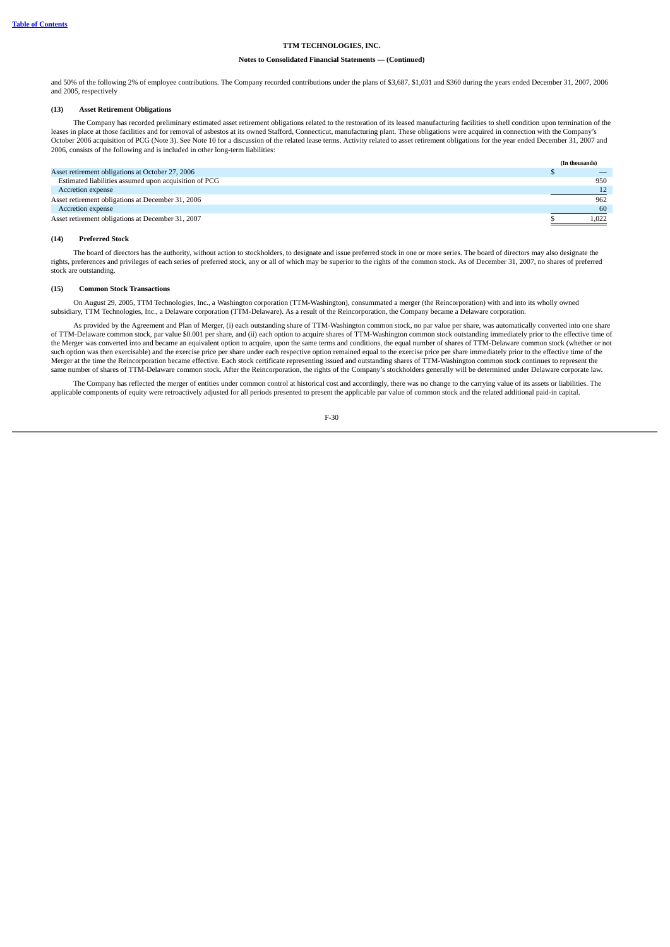## **Notes to Consolidated Financial Statements — (Continued)**

and 50% of the following 2% of employee contributions. The Company recorded contributions under the plans of \$3,687, \$1,031 and \$360 during the years ended December 31, 2007, 2006 and 2005, respectively

#### **(13) Asset Retirement Obligations**

The Company has recorded preliminary estimated asset retirement obligations related to the restoration of its leased manufacturing facilities to shell condition upon termination of the leases in place at those facilities and for removal of asbestos at its owned Stafford, Connecticut, manufacturing plant. These obligations were acquired in connection with the Company's October 2006 acquisition of PCG (Note 3). See Note 10 for a discussion of the related lease terms. Activity related to asset retirement obligations for the year ended December 31, 2007 and 2006, consists of the following and is included in other long-term liabilities:

**(In thousands)**

|                                                       | (in monamus) |       |
|-------------------------------------------------------|--------------|-------|
| Asset retirement obligations at October 27, 2006      |              |       |
| Estimated liabilities assumed upon acquisition of PCG |              | 950   |
| Accretion expense                                     |              |       |
| Asset retirement obligations at December 31, 2006     |              | 962   |
| Accretion expense                                     |              | 60    |
| Asset retirement obligations at December 31, 2007     |              | 1.022 |

## **(14) Preferred Stock**

The board of directors has the authority, without action to stockholders, to designate and issue preferred stock in one or more series. The board of directors may also designate the rights, preferences and privileges of each series of preferred stock, any or all of which may be superior to the rights of the common stock. As of December 31, 2007, no shares of preferred stock are outstanding.

#### **(15) Common Stock Transactions**

On August 29, 2005, TTM Technologies, Inc., a Washington corporation (TTM-Washington), consummated a merger (the Reincorporation) with and into its wholly owned subsidiary, TTM Technologies, Inc., a Delaware corporation (TTM-Delaware). As a result of the Reincorporation, the Company became a Delaware corporation.

As provided by the Agreement and Plan of Merger, (i) each outstanding share of TTM-Washington common stock, no par value per share, was automatically converted into one share of TTM-Delaware common stock, par value \$0.001 per share, and (ii) each option to acquire shares of TTM-Washington common stock outstanding immediately prior to the effective time of the Merger was converted into and became an equivalent option to acquire, upon the same terms and conditions, the equal number of shares of TTM-Delaware common stock (whether or not such option was then exercisable) and the exercise price per share under each respective option remained equal to the exercise price per share immediately prior to the effective time of the Merger at the time the Reincorporation became effective. Each stock certificate representing issued and outstanding shares of TTM-Washington common stock continues to represent the same number of shares of TTM-Delaware common stock. After the Reincorporation, the rights of the Company's stockholders generally will be determined under Delaware corporate law.

The Company has reflected the merger of entities under common control at historical cost and accordingly, there was no change to the carrying value of its assets or liabilities. The applicable components of equity were ret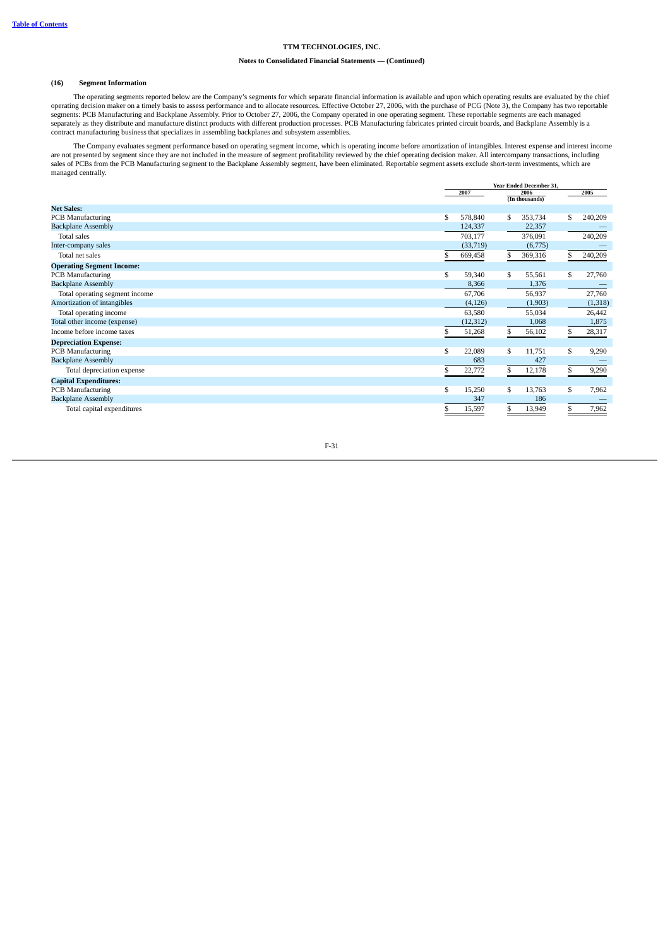## **Notes to Consolidated Financial Statements — (Continued)**

## **(16) Segment Information**

The operating segments reported below are the Company's segments for which separate financial information is available and upon which operating results are evaluated by the chief operating decision maker on a timely basis to assess performance and to allocate resources. Effective October 27, 2006, with the purchase of PCG (Note 3), the Company has two reportable segments: PCB Manufacturing fabricat

The Company evaluates segment performance based on operating segment income, which is operating income before amortization of intangibles. Interest expense and interest income<br>are not presented by segment since they are no sales of PCBs from the PCB Manufacturing segment to the Backplane Assembly segment, have been eliminated. Reportable segment assets exclude short-term investments, which are managed centrally.

|                                  | Year Ended December 31, |    |                |     |         |  |
|----------------------------------|-------------------------|----|----------------|-----|---------|--|
|                                  | 2007                    |    | 2006           |     | 2005    |  |
|                                  |                         |    | (In thousands) |     |         |  |
| <b>Net Sales:</b>                |                         |    |                |     |         |  |
| <b>PCB Manufacturing</b>         | \$<br>578,840           | \$ | 353,734        | \$  | 240,209 |  |
| <b>Backplane Assembly</b>        | 124,337                 |    | 22,357         |     |         |  |
| <b>Total sales</b>               | 703,177                 |    | 376,091        |     | 240,209 |  |
| Inter-company sales              | (33,719)                |    | (6,775)        |     |         |  |
| Total net sales                  | \$<br>669,458           | \$ | 369,316        | \$  | 240,209 |  |
| <b>Operating Segment Income:</b> |                         |    |                |     |         |  |
| <b>PCB Manufacturing</b>         | \$<br>59,340            | \$ | 55,561         | \$  | 27,760  |  |
| <b>Backplane Assembly</b>        | 8,366                   |    | 1,376          |     |         |  |
| Total operating segment income   | 67,706                  |    | 56,937         |     | 27,760  |  |
| Amortization of intangibles      | (4, 126)                |    | (1,903)        |     | (1,318) |  |
| Total operating income           | 63,580                  |    | 55,034         |     | 26,442  |  |
| Total other income (expense)     | (12, 312)               |    | 1,068          |     | 1,875   |  |
| Income before income taxes       | \$<br>51,268            | \$ | 56,102         | \$  | 28,317  |  |
| <b>Depreciation Expense:</b>     |                         |    |                |     |         |  |
| <b>PCB Manufacturing</b>         | \$<br>22,089            | \$ | 11,751         | \$  | 9,290   |  |
| <b>Backplane Assembly</b>        | 683                     |    | 427            |     |         |  |
| Total depreciation expense       | \$<br>22,772            | \$ | 12,178         |     | 9,290   |  |
| <b>Capital Expenditures:</b>     |                         |    |                |     |         |  |
| <b>PCB Manufacturing</b>         | \$<br>15,250            | \$ | 13,763         | \$. | 7,962   |  |
| <b>Backplane Assembly</b>        | 347                     |    | 186            |     |         |  |
| Total capital expenditures       | 15,597                  |    | 13,949         |     | 7,962   |  |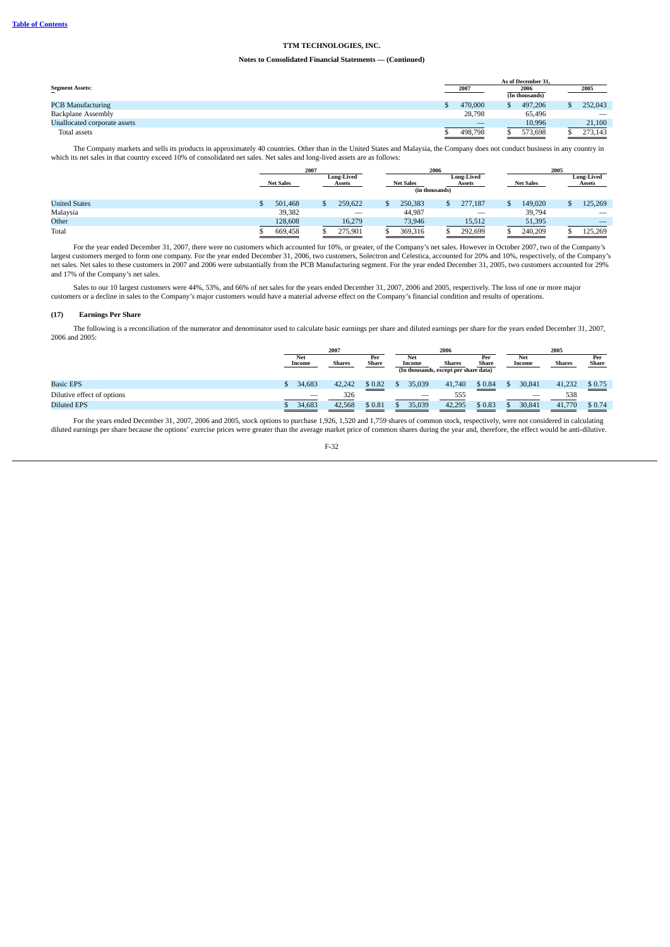## **Notes to Consolidated Financial Statements — (Continued)**

|                              |         | As of December 31.     |         |  |  |  |  |  |  |  |  |
|------------------------------|---------|------------------------|---------|--|--|--|--|--|--|--|--|
| <b>Segment Assets:</b>       | 2007    | 2006<br>(In thousands) |         |  |  |  |  |  |  |  |  |
| <b>PCB Manufacturing</b>     | 470,000 | 497.206                | 252,043 |  |  |  |  |  |  |  |  |
| <b>Backplane Assembly</b>    | 28,798  | 65.496                 |         |  |  |  |  |  |  |  |  |
| Unallocated corporate assets | __      | 10,996                 | 21,100  |  |  |  |  |  |  |  |  |
| Total assets                 | 498,798 | 573,698                | 273.143 |  |  |  |  |  |  |  |  |

The Company markets and sells its products in approximately 40 countries. Other than in the United States and Malaysia, the Company does not conduct business in any country in which its net sales in that country exceed 10% of consolidated net sales. Net sales and long-lived assets are as follows:

|                      | 2007             |         |  |  | 2006                     |         |                             |                  | 2005           |         |                             |                  |         |  |                                    |
|----------------------|------------------|---------|--|--|--------------------------|---------|-----------------------------|------------------|----------------|---------|-----------------------------|------------------|---------|--|------------------------------------|
|                      | <b>Net Sales</b> |         |  |  |                          |         | <b>Long-Lived</b><br>Assets | <b>Net Sales</b> | (in thousands) |         | <b>Long-Lived</b><br>Assets | <b>Net Sales</b> |         |  | <b>Long-Lived</b><br><b>Assets</b> |
| <b>United States</b> |                  | 501,468 |  |  | 259,622                  | 250,383 |                             |                  | 277,187        | 149,020 |                             |                  | 125,269 |  |                                    |
| Malaysia             |                  | 39,382  |  |  | $\overline{\phantom{a}}$ | 44,987  |                             |                  | _              | 39,794  |                             |                  |         |  |                                    |
| Other                |                  | 128,608 |  |  | 16,279                   | 73,946  |                             |                  | 15,512         | 51,395  |                             |                  |         |  |                                    |
| Total                |                  | 669,458 |  |  | 275,901                  | 369,316 |                             |                  | 292,699        | 240,209 |                             |                  | 125,269 |  |                                    |

For the year ended December 31, 2007, there were no customers which accounted for 10%, or greater, of the Company's net sales. However in October 2007, two of the Company's largest customers merged to form one company. For the year ended December 31, 2006, two customers, Solectron and Celestica, accounted for 20% and 10%, respectively, of the Company's net sales. Net sales to these customers in 2007 and 2006 were substantially from the PCB Manufacturing segment. For the year ended December 31, 2005, two customers accounted for 29% and 17% of the Company's net sales.

Sales to our 10 largest customers were 44%, 53%, and 66% of net sales for the years ended December 31, 2007, 2006 and 2005, respectively. The loss of one or more major customers or a decline in sales to the Company's major customers would have a material adverse effect on the Company's financial condition and results of operations.

## **(17) Earnings Per Share**

The following is a reconciliation of the numerator and denominator used to calculate basic earnings per share and diluted earnings per share for the years ended December 31, 2007, 2006 and 2005:

|                            | 2007          |               |                     |               | 2006                                                   |              | 2005          |               |              |  |  |  |
|----------------------------|---------------|---------------|---------------------|---------------|--------------------------------------------------------|--------------|---------------|---------------|--------------|--|--|--|
|                            | Net<br>Income | <b>Shares</b> | Per<br><b>Share</b> | Net<br>Income | <b>Shares</b><br>(In thousands, except per share data) | Per<br>Share | Net<br>Income | <b>Shares</b> | Per<br>Share |  |  |  |
| <b>Basic EPS</b>           | 34,683        | 42,242        | \$0.82              | 35,039        | 41,740                                                 | \$0.84       | 30,841        | 41,232        | \$0.75       |  |  |  |
| Dilutive effect of options |               | 326           |                     |               | 555                                                    |              |               | 538           |              |  |  |  |
| <b>Diluted EPS</b>         | 34,683        | 42.568        | \$0.81              | 35.039        | 42.295                                                 | \$0.83       | 30,841        | 41,770        | \$0.74       |  |  |  |

For the years ended December 31, 2007, 2006 and 2005, stock options to purchase 1,926, 1,520 and 1,759 shares of common stock, respectively, were not considered in calculating diluted earnings per share because the options' exercise prices were greater than the average market price of common shares during the year and, therefore, the effect would be anti-dilutive.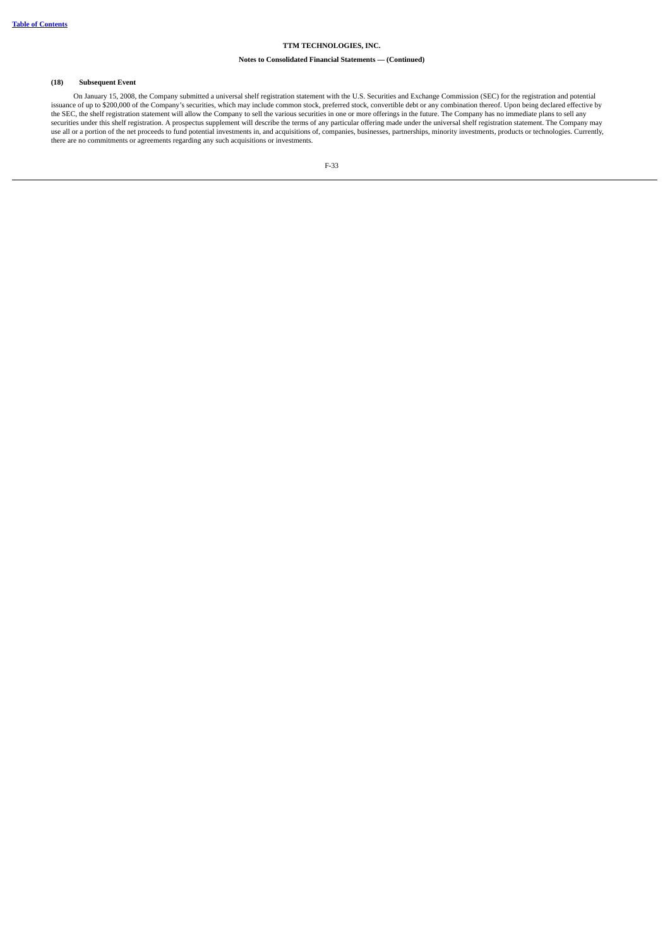## **Notes to Consolidated Financial Statements — (Continued)**

## **(18) Subsequent Event**

On January 15, 2008, the Company submitted a universal shelf registration statement with the U.S. Securities and Exchange Commission (SEC) for the registration and potential<br>issuance of up to \$200,000 of the Company's secu the SEC, the shelf registration statement will allow the Company to sell the various securities in one or more offerings in the future. The Company has no immediate plans to sell any securities under this shelf registration. A prospectus supplement will describe the terms of any particular offering made under the universal shelf registration statement. The Company may use all or a portion of the net proceeds to fund potential investments in, and acquisitions of, companies, businesses, partnerships, minority investments, products or technologies. Currently, there are no commitments or agreements regarding any such acquisitions or investments.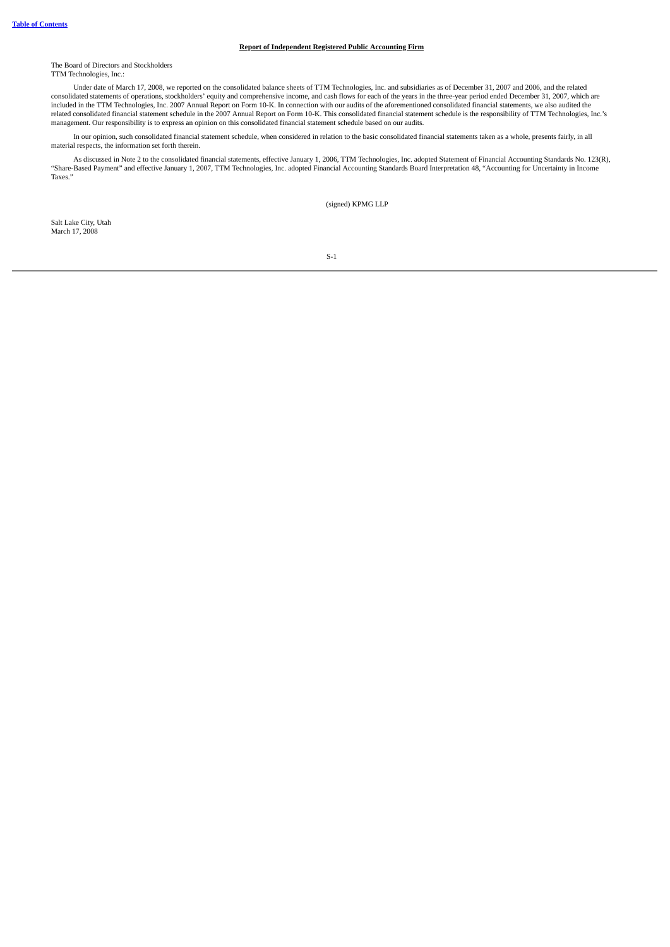## **Report of Independent Registered Public Accounting Firm**

The Board of Directors and Stockholders TTM Technologies, Inc.:

Under date of March 17, 2008, we reported on the consolidated balance sheets of TTM Technologies, Inc. and subsidiaries as of December 31, 2007 and 2006, and the related consolidated statements of operations, stockholders' equity and comprehensive income, and cash flows for each of the years in the three-year period ended December 31, 2007, which are<br>included in the TTM Technologies, Inc. related consolidated financial statement schedule in the 2007 Annual Report on Form 10-K. This consolidated financial statement schedule is the responsibility of TTM Technologies, Inc.'s management. Our responsibility is to express an opinion on this consolidated financial statement schedule based on our audits.

In our opinion, such consolidated financial statement schedule, when considered in relation to the basic consolidated financial statements taken as a whole, presents fairly, in all material respects, the information set forth therein.

As discussed in Note 2 to the consolidated financial statements, effective January 1, 2006, TTM Technologies, Inc. adopted Statement of Financial Accounting Standards No. 123(R),<br>"Share-Based Payment" and effective January Taxes."

(signed) KPMG LLP

Salt Lake City, Utah March 17, 2008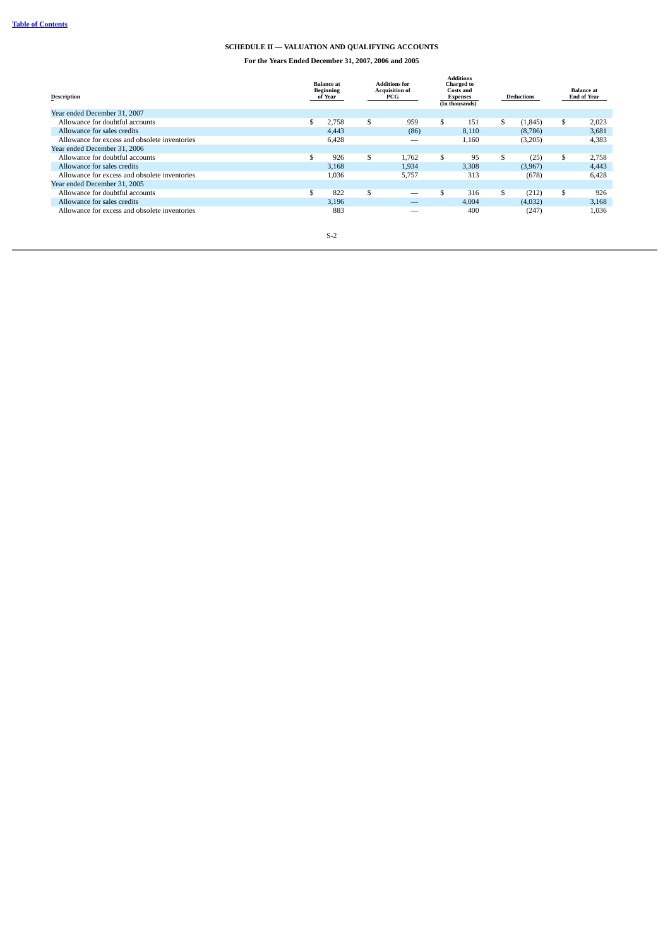# **SCHEDULE II — VALUATION AND QUALIFYING ACCOUNTS**

**For the Years Ended December 31, 2007, 2006 and 2005**

| <b>Description</b>                            | <b>Balance</b> at<br><b>Beginning</b><br>of Year |       |    | <b>Additions for</b><br><b>Acquisition of</b><br>PCG |    | <b>Additions</b><br><b>Charged to</b><br><b>Costs and</b><br><b>Expenses</b><br>(In thousands) | Deductions |          | <b>Balance</b> at<br>End of Year |
|-----------------------------------------------|--------------------------------------------------|-------|----|------------------------------------------------------|----|------------------------------------------------------------------------------------------------|------------|----------|----------------------------------|
| Year ended December 31, 2007                  |                                                  |       |    |                                                      |    |                                                                                                |            |          |                                  |
| Allowance for doubtful accounts               | \$                                               | 2,758 | S  | 959                                                  | \$ | 151                                                                                            | \$         | (1, 845) | \$<br>2,023                      |
| Allowance for sales credits                   |                                                  | 4,443 |    | (86)                                                 |    | 8,110                                                                                          |            | (8,786)  | 3,681                            |
| Allowance for excess and obsolete inventories |                                                  | 6,428 |    |                                                      |    | 1,160                                                                                          |            | (3,205)  | 4,383                            |
| Year ended December 31, 2006                  |                                                  |       |    |                                                      |    |                                                                                                |            |          |                                  |
| Allowance for doubtful accounts               |                                                  | 926   | \$ | 1.762                                                | \$ | 95                                                                                             | \$         | (25)     | \$<br>2,758                      |
| Allowance for sales credits                   |                                                  | 3,168 |    | 1,934                                                |    | 3,308                                                                                          |            | (3,967)  | 4,443                            |
| Allowance for excess and obsolete inventories |                                                  | 1,036 |    | 5,757                                                |    | 313                                                                                            |            | (678)    | 6,428                            |
| Year ended December 31, 2005                  |                                                  |       |    |                                                      |    |                                                                                                |            |          |                                  |
| Allowance for doubtful accounts               |                                                  | 822   | \$ |                                                      |    | 316                                                                                            | \$         | (212)    | \$<br>926                        |
| Allowance for sales credits                   |                                                  | 3,196 |    |                                                      |    | 4,004                                                                                          |            | (4,032)  | 3,168                            |
| Allowance for excess and obsolete inventories |                                                  | 883   |    |                                                      |    | 400                                                                                            |            | (247)    | 1,036                            |
|                                               |                                                  | $S-2$ |    |                                                      |    |                                                                                                |            |          |                                  |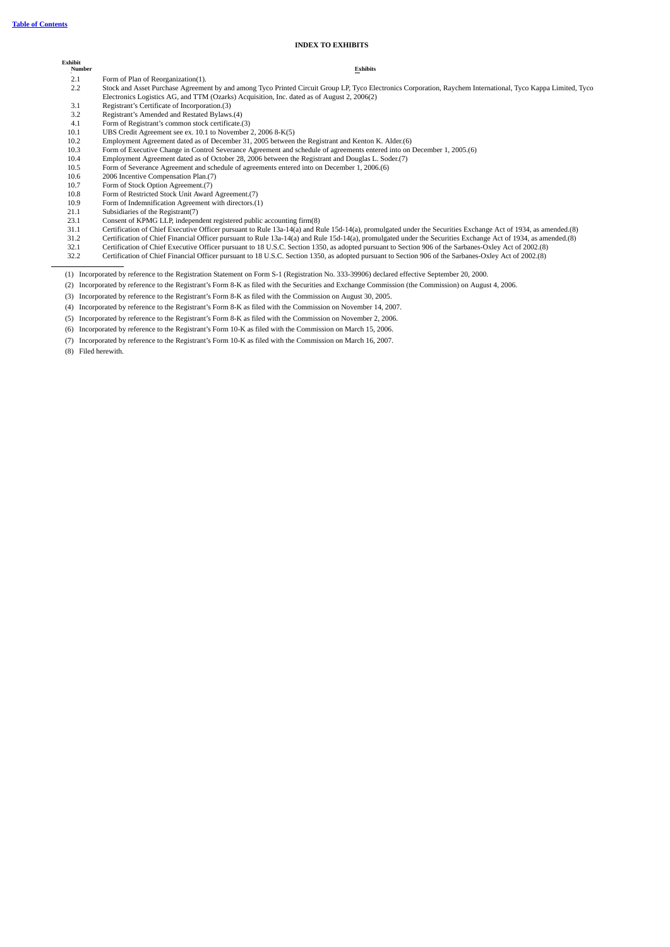## **INDEX TO EXHIBITS**

# **Exhibit**

**Number Exhibits**

2.1 Form of Plan of Reorganization(1).<br>2.2 Stock and Asset Purchase Agreeme

- 2.2 Stock and Asset Purchase Agreement by and among Tyco Printed Circuit Group LP, Tyco Electronics Corporation, Raychem International, Tyco Kappa Limited, Tyco Electronics Logistics AG, and TTM (Ozarks) Acquisition, Inc. dated as of August 2, 2006(2)
- 3.1 Registrant's Certificate of Incorporation.(3)
- 3.2 Registrant's Amended and Restated Bylaws.(4)
- 4.1 Form of Registrant's common stock certificate.(3)<br>10.1 UBS Credit Agreement see ex. 10.1 to November
- 10.1 UBS Credit Agreement see ex. 10.1 to November 2, 2006 8-K(5) Employment Agreement dated as of December 31, 2005 between the Registrant and Kenton K. Alder.(6)
- 10.3 Form of Executive Change in Control Severance Agreement and schedule of agreements entered into on December 1, 2005.(6)
- 10.4 Employment Agreement dated as of October 28, 2006 between the Registrant and Douglas L. Soder.(7)
- 10.5 Form of Severance Agreement and schedule of agreements entered into on December 1, 2006.(6)<br>10.6 2006 Incentive Compensation Plan.(7)
- 10.6 2006 Incentive Compensation Plan.(7)<br>10.7 Form of Stock Option Agreement.(7)
- Form of Stock Option Agreement.(7)
- 10.8 Form of Restricted Stock Unit Award Agreement.(7)
- 10.9 Form of Indemnification Agreement with directors.(1)<br>21.1 Subsidiaries of the Registrant(7)
- 21.1 Subsidiaries of the Registrant(7)<br>23.1 Consent of KPMG LLP, independ
- 23.1 Consent of KPMG LLP, independent registered public accounting firm(8)<br>
21.1 Certification of Chief Executive Officer pursuant to Rule 13a-14(a) and R
- 31.1 Certification of Chief Executive Officer pursuant to Rule 13a-14(a) and Rule 15d-14(a), promulgated under the Securities Exchange Act of 1934, as amended.(8)<br>31.2 Certification of Chief Financial Officer pursuant to R
- 31.2 Certification of Chief Financial Officer pursuant to Rule 13a-14(a) and Rule 15d-14(a), promulgated under the Securities Exchange Act of 1934, as amended.(8)<br>32.1 Certification of Chief Executive Officer pursuant to 1
- 32.2 Certification of Chief Financial Officer pursuant to 18 U.S.C. Section 1350, as adopted pursuant to Section 906 of the Sarbanes-Oxley Act of 2002.(8)
- 
- (1) Incorporated by reference to the Registration Statement on Form S-1 (Registration No. 333-39906) declared effective September 20, 2000.
- (2) Incorporated by reference to the Registrant's Form 8-K as filed with the Securities and Exchange Commission (the Commission) on August 4, 2006.
- (3) Incorporated by reference to the Registrant's Form 8-K as filed with the Commission on August 30, 2005.
- (4) Incorporated by reference to the Registrant's Form 8-K as filed with the Commission on November 14, 2007.
- (5) Incorporated by reference to the Registrant's Form 8-K as filed with the Commission on November 2, 2006.
- (6) Incorporated by reference to the Registrant's Form 10-K as filed with the Commission on March 15, 2006.
- (7) Incorporated by reference to the Registrant's Form 10-K as filed with the Commission on March 16, 2007.

(8) Filed herewith.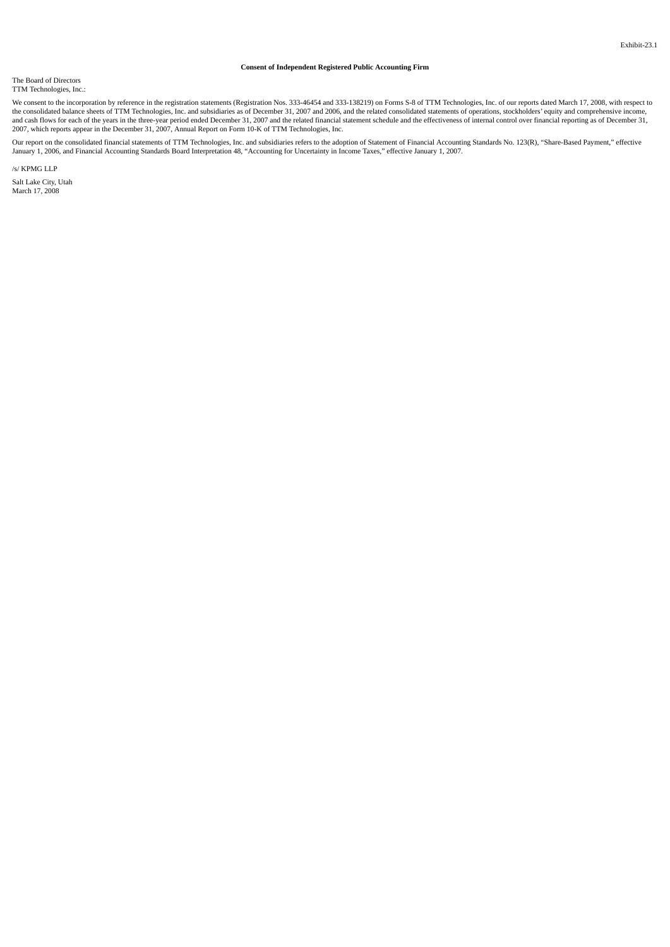## **Consent of Independent Registered Public Accounting Firm**

## The Board of Directors TTM Technologies, Inc.:

We consent to the incorporation by reference in the registration statements (Registration Nos. 333-46454 and 333-138219) on Forms S-8 of TTM Technologies, Inc. of our reports dated March 17, 2008, with respect to the conso

Our report on the consolidated financial statements of TTM Technologies, Inc. and subsidiaries refers to the adoption of Statement of Financial Accounting Standards No. 123(R), "Share-Based Payment," effective January 1, 2006, and Financial Accounting Standards Board Interpretation 48, "Accounting for Uncertainty in Income Taxes," effective January 1, 2007.

/s/ KPMG LLP

Salt Lake City, Utah March 17, 2008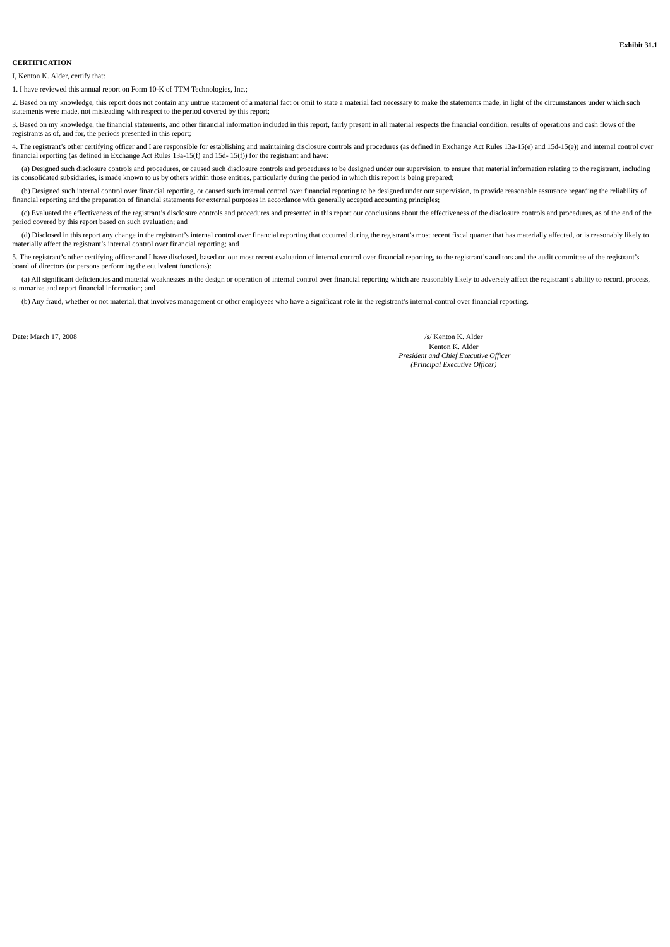## **Exhibit 31.1**

#### **CERTIFICATION**

I, Kenton K. Alder, certify that:

1. I have reviewed this annual report on Form 10-K of TTM Technologies, Inc.;

2. Based on my knowledge, this report does not contain any untrue statement of a material fact or omit to state a material fact necessary to make the statements made, in light of the circumstances under which such statements were made, not misleading with respect to the period covered by this report;

3. Based on my knowledge, the financial statements, and other financial information included in this report, fairly present in all material respects the financial condition, results of operations and cash flows of the registrants as of, and for, the periods presented in this report;

4. The registrant's other certifying officer and I are responsible for establishing and maintaining disclosure controls and procedures (as defined in Exchange Act Rules 13a-15(e) and 15d-15(e)) and internal control over financial reporting (as defined in Exchange Act Rules 13a-15(f) and 15d- 15(f)) for the registrant and have:

(a) Designed such disclosure controls and procedures, or caused such disclosure controls and procedures to be designed under our supervision, to ensure that material information relating to the registrant, including its consolidated subsidiaries, is made known to us by others within those entities, particularly during the period in which this report is being prepared;

(b) Designed such internal control over financial reporting, or caused such internal control over financial reporting to be designed under our supervision, to provide reasonable assurance regarding the reliability of financial reporting and the preparation of financial statements for external purposes in accordance with generally accepted accounting principles;

(c) Evaluated the effectiveness of the registrant's disclosure controls and procedures and presented in this report our conclusions about the effectiveness of the disclosure controls and procedures, as of the end of the period covered by this report based on such evaluation; and

(d) Disclosed in this report any change in the registrant's internal control over financial reporting that occurred during the registrant's most recent fiscal quarter that has materially affected, or is reasonably likely to materially affect the registrant's internal control over financial reporting; and

5. The registrant's other certifying officer and I have disclosed, based on our most recent evaluation of internal control over financial reporting, to the registrant's auditors and the audit committee of the registrant's board of directors (or persons performing the equivalent functions):

(a) All significant deficiencies and material weaknesses in the design or operation of internal control over financial reporting which are reasonably likely to adversely affect the registrant's ability to record, process, summarize and report financial information; and

(b) Any fraud, whether or not material, that involves management or other employees who have a significant role in the registrant's internal control over financial reporting.

Date: March 17, 2008 /s/ Kenton K. Alder

Kenton K. Alder

*President and Chief Executive Officer (Principal Executive Officer)*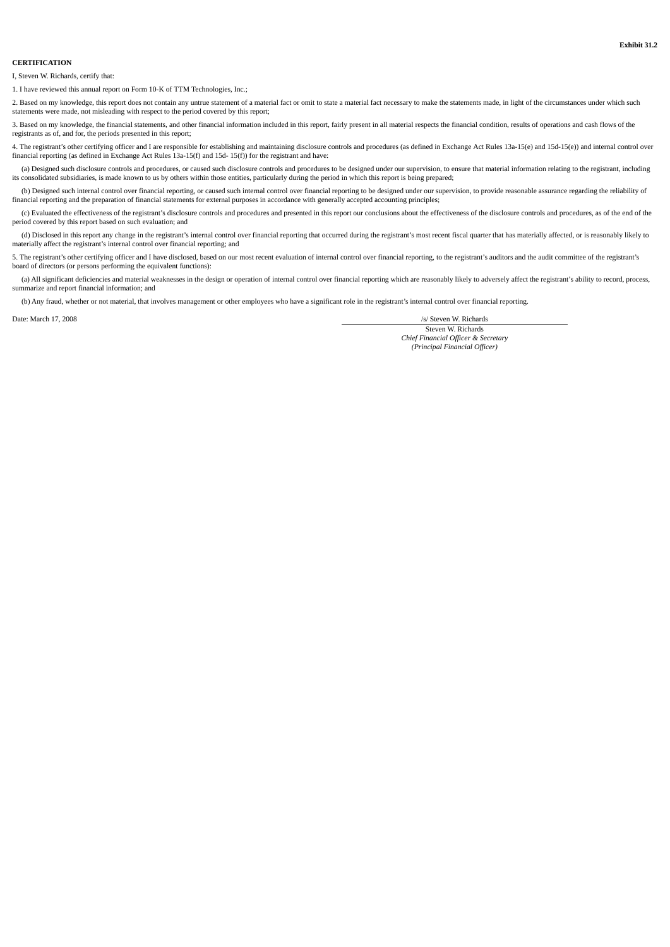## **Exhibit 31.2**

#### **CERTIFICATION**

I, Steven W. Richards, certify that:

1. I have reviewed this annual report on Form 10-K of TTM Technologies, Inc.;

2. Based on my knowledge, this report does not contain any untrue statement of a material fact or omit to state a material fact necessary to make the statements made, in light of the circumstances under which such statements were made, not misleading with respect to the period covered by this report;

3. Based on my knowledge, the financial statements, and other financial information included in this report, fairly present in all material respects the financial condition, results of operations and cash flows of the registrants as of, and for, the periods presented in this report;

4. The registrant's other certifying officer and I are responsible for establishing and maintaining disclosure controls and procedures (as defined in Exchange Act Rules 13a-15(e) and 15d-15(e)) and internal control over financial reporting (as defined in Exchange Act Rules 13a-15(f) and 15d- 15(f)) for the registrant and have:

(a) Designed such disclosure controls and procedures, or caused such disclosure controls and procedures to be designed under our supervision, to ensure that material information relating to the registrant, including its consolidated subsidiaries, is made known to us by others within those entities, particularly during the period in which this report is being prepared;

(b) Designed such internal control over financial reporting, or caused such internal control over financial reporting to be designed under our supervision, to provide reasonable assurance regarding the reliability of financial reporting and the preparation of financial statements for external purposes in accordance with generally accepted accounting principles;

(c) Evaluated the effectiveness of the registrant's disclosure controls and procedures and presented in this report our conclusions about the effectiveness of the disclosure controls and procedures, as of the end of the period covered by this report based on such evaluation; and

(d) Disclosed in this report any change in the registrant's internal control over financial reporting that occurred during the registrant's most recent fiscal quarter that has materially affected, or is reasonably likely to materially affect the registrant's internal control over financial reporting; and

5. The registrant's other certifying officer and I have disclosed, based on our most recent evaluation of internal control over financial reporting, to the registrant's auditors and the audit committee of the registrant's board of directors (or persons performing the equivalent functions):

(a) All significant deficiencies and material weaknesses in the design or operation of internal control over financial reporting which are reasonably likely to adversely affect the registrant's ability to record, process, summarize and report financial information; and

(b) Any fraud, whether or not material, that involves management or other employees who have a significant role in the registrant's internal control over financial reporting.

Date: March 17, 2008 /s/ Steven W. Richards

Steven W. Richards

*Chief Financial Officer & Secretary (Principal Financial Officer)*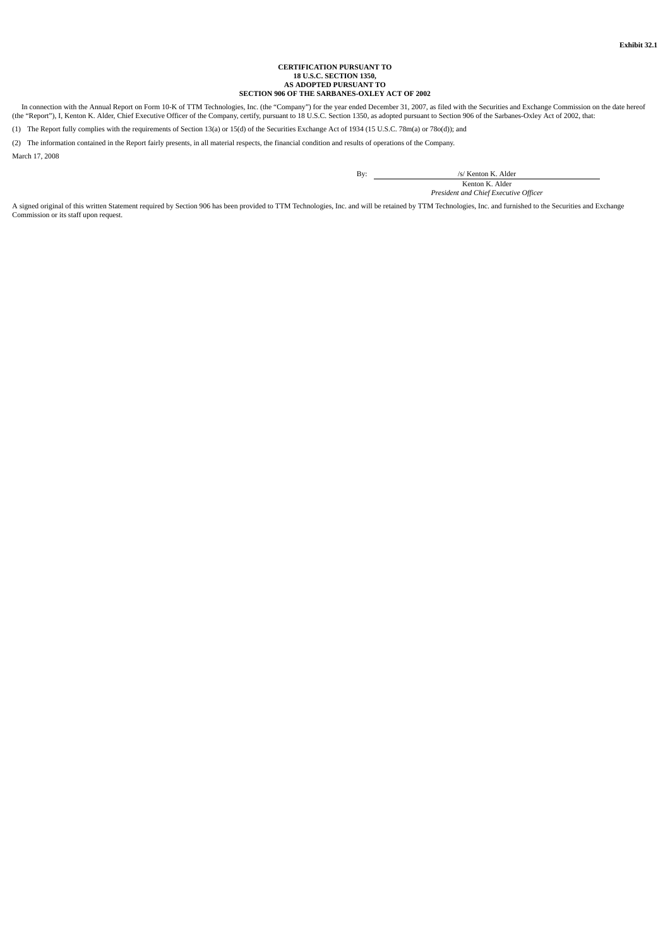#### **CERTIFICATION PURSUANT TO 18 U.S.C. SECTION 1350, AS ADOPTED PURSUANT TO SECTION 906 OF THE SARBANES-OXLEY ACT OF 2002**

In connection with the Annual Report on Form 10-K of TTM Technologies, Inc. (the "Company") for the year ended December 31, 2007, as filed with the Securities and Exchange Commission on the date hereof (the "Report"), I, Kenton K. Alder, Chief Executive Officer of the Company, certify, pursuant to 18 U.S.C. Section 1350, as adopted pursuant to Section 906 of the Sarbanes-Oxley Act of 2002, that:

(1) The Report fully complies with the requirements of Section 13(a) or 15(d) of the Securities Exchange Act of 1934 (15 U.S.C. 78m(a) or 78o(d)); and

(2) The information contained in the Report fairly presents, in all material respects, the financial condition and results of operations of the Company.

March 17, 2008

By:  $\frac{1}{s}$  Kenton K. Alder Kenton K. Alder

*President and Chief Executive Officer*

A signed original of this written Statement required by Section 906 has been provided to TTM Technologies, Inc. and will be retained by TTM Technologies, Inc. and furnished to the Securities and Exchange Commission or its staff upon request.